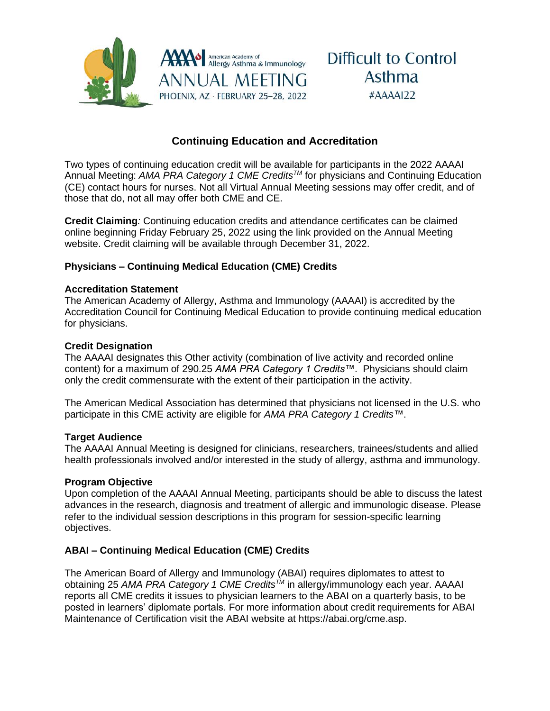

# **Continuing Education and Accreditation**

Two types of continuing education credit will be available for participants in the 2022 AAAAI Annual Meeting: *AMA PRA Category 1 CME CreditsTM* for physicians and Continuing Education (CE) contact hours for nurses. Not all Virtual Annual Meeting sessions may offer credit, and of those that do, not all may offer both CME and CE.

**Credit Claiming***:* Continuing education credits and attendance certificates can be claimed online beginning Friday February 25, 2022 using the link provided on the Annual Meeting website. Credit claiming will be available through December 31, 2022.

### **Physicians – Continuing Medical Education (CME) Credits**

#### **Accreditation Statement**

The American Academy of Allergy, Asthma and Immunology (AAAAI) is accredited by the Accreditation Council for Continuing Medical Education to provide continuing medical education for physicians.

#### **Credit Designation**

The AAAAI designates this Other activity (combination of live activity and recorded online content) for a maximum of 290.25 *AMA PRA Category 1 Credits™*. Physicians should claim only the credit commensurate with the extent of their participation in the activity.

The American Medical Association has determined that physicians not licensed in the U.S. who participate in this CME activity are eligible for *AMA PRA Category 1 Credits™*.

#### **Target Audience**

The AAAAI Annual Meeting is designed for clinicians, researchers, trainees/students and allied health professionals involved and/or interested in the study of allergy, asthma and immunology.

#### **Program Objective**

Upon completion of the AAAAI Annual Meeting, participants should be able to discuss the latest advances in the research, diagnosis and treatment of allergic and immunologic disease. Please refer to the individual session descriptions in this program for session-specific learning objectives.

#### **ABAI – Continuing Medical Education (CME) Credits**

The American Board of Allergy and Immunology (ABAI) requires diplomates to attest to obtaining 25 *AMA PRA Category 1 CME CreditsTM* in allergy/immunology each year. AAAAI reports all CME credits it issues to physician learners to the ABAI on a quarterly basis, to be posted in learners' diplomate portals. For more information about credit requirements for ABAI Maintenance of Certification visit the ABAI website at https://abai.org/cme.asp.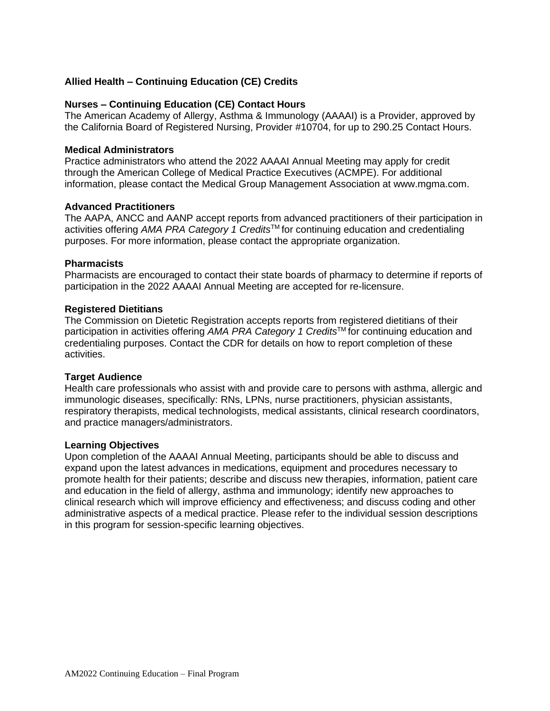#### **Allied Health – Continuing Education (CE) Credits**

#### **Nurses – Continuing Education (CE) Contact Hours**

The American Academy of Allergy, Asthma & Immunology (AAAAI) is a Provider, approved by the California Board of Registered Nursing, Provider #10704, for up to 290.25 Contact Hours.

#### **Medical Administrators**

Practice administrators who attend the 2022 AAAAI Annual Meeting may apply for credit through the American College of Medical Practice Executives (ACMPE). For additional information, please contact the Medical Group Management Association at www.mgma.com.

#### **Advanced Practitioners**

The AAPA, ANCC and AANP accept reports from advanced practitioners of their participation in activities offering *AMA PRA Category 1 Credits*TM for continuing education and credentialing purposes. For more information, please contact the appropriate organization.

#### **Pharmacists**

Pharmacists are encouraged to contact their state boards of pharmacy to determine if reports of participation in the 2022 AAAAI Annual Meeting are accepted for re-licensure.

#### **Registered Dietitians**

The Commission on Dietetic Registration accepts reports from registered dietitians of their participation in activities offering *AMA PRA Category 1 Credits*™ for continuing education and credentialing purposes. Contact the CDR for details on how to report completion of these activities.

#### **Target Audience**

Health care professionals who assist with and provide care to persons with asthma, allergic and immunologic diseases, specifically: RNs, LPNs, nurse practitioners, physician assistants, respiratory therapists, medical technologists, medical assistants, clinical research coordinators, and practice managers/administrators.

#### **Learning Objectives**

Upon completion of the AAAAI Annual Meeting, participants should be able to discuss and expand upon the latest advances in medications, equipment and procedures necessary to promote health for their patients; describe and discuss new therapies, information, patient care and education in the field of allergy, asthma and immunology; identify new approaches to clinical research which will improve efficiency and effectiveness; and discuss coding and other administrative aspects of a medical practice. Please refer to the individual session descriptions in this program for session-specific learning objectives.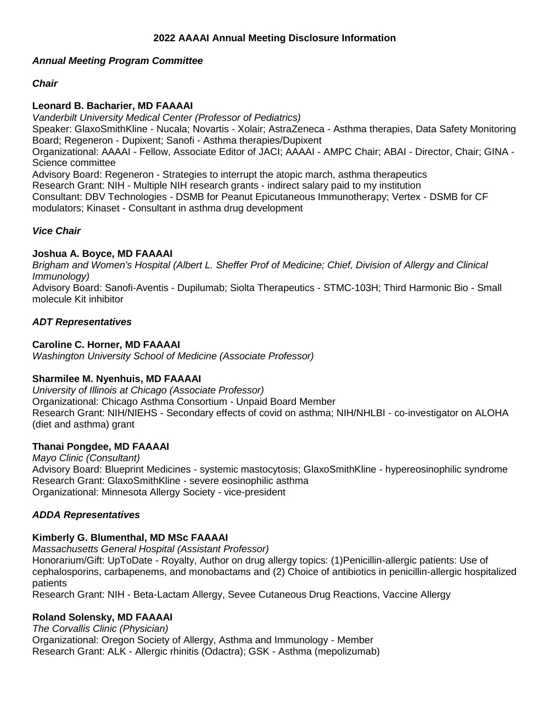#### **2022 AAAAI Annual Meeting Disclosure Information**

### *Annual Meeting Program Committee*

## *Chair*

### **Leonard B. Bacharier, MD FAAAAI**

*Vanderbilt University Medical Center (Professor of Pediatrics)* Speaker: GlaxoSmithKline - Nucala; Novartis - Xolair; AstraZeneca - Asthma therapies, Data Safety Monitoring Board; Regeneron - Dupixent; Sanofi - Asthma therapies/Dupixent Organizational: AAAAI - Fellow, Associate Editor of JACI; AAAAI - AMPC Chair; ABAI - Director, Chair; GINA - Science committee Advisory Board: Regeneron - Strategies to interrupt the atopic march, asthma therapeutics Research Grant: NIH - Multiple NIH research grants - indirect salary paid to my institution Consultant: DBV Technologies - DSMB for Peanut Epicutaneous Immunotherapy; Vertex - DSMB for CF modulators; Kinaset - Consultant in asthma drug development

#### *Vice Chair*

#### **Joshua A. Boyce, MD FAAAAI**

*Brigham and Women's Hospital (Albert L. Sheffer Prof of Medicine; Chief, Division of Allergy and Clinical Immunology)* Advisory Board: Sanofi-Aventis - Dupilumab; Siolta Therapeutics - STMC-103H; Third Harmonic Bio - Small molecule Kit inhibitor

# *ADT Representatives*

#### **Caroline C. Horner, MD FAAAAI**

*Washington University School of Medicine (Associate Professor)*

#### **Sharmilee M. Nyenhuis, MD FAAAAI**

*University of Illinois at Chicago (Associate Professor)* Organizational: Chicago Asthma Consortium - Unpaid Board Member Research Grant: NIH/NIEHS - Secondary effects of covid on asthma; NIH/NHLBI - co-investigator on ALOHA (diet and asthma) grant

#### **Thanai Pongdee, MD FAAAAI**

*Mayo Clinic (Consultant)* Advisory Board: Blueprint Medicines - systemic mastocytosis; GlaxoSmithKline - hypereosinophilic syndrome Research Grant: GlaxoSmithKline - severe eosinophilic asthma Organizational: Minnesota Allergy Society - vice-president

#### *ADDA Representatives*

# **Kimberly G. Blumenthal, MD MSc FAAAAI**

*Massachusetts General Hospital (Assistant Professor)*

Honorarium/Gift: UpToDate - Royalty, Author on drug allergy topics: (1)Penicillin-allergic patients: Use of cephalosporins, carbapenems, and monobactams and (2) Choice of antibiotics in penicillin-allergic hospitalized patients

Research Grant: NIH - Beta-Lactam Allergy, Sevee Cutaneous Drug Reactions, Vaccine Allergy

# **Roland Solensky, MD FAAAAI**

*The Corvallis Clinic (Physician)* Organizational: Oregon Society of Allergy, Asthma and Immunology - Member Research Grant: ALK - Allergic rhinitis (Odactra); GSK - Asthma (mepolizumab)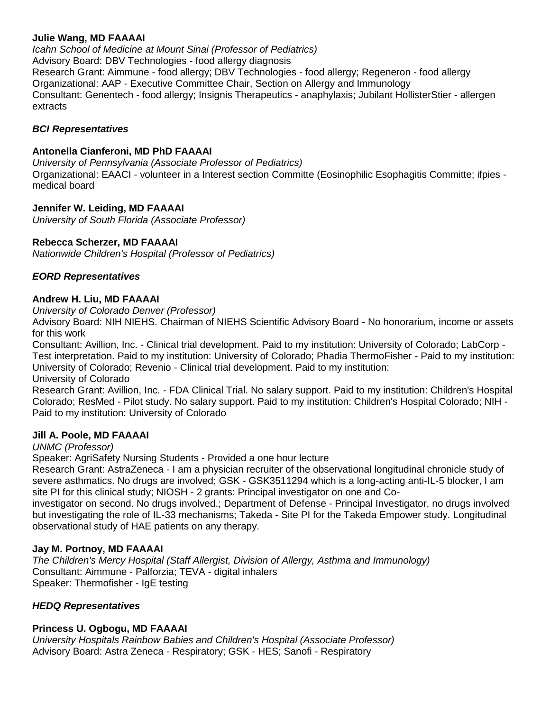#### **Julie Wang, MD FAAAAI**

*Icahn School of Medicine at Mount Sinai (Professor of Pediatrics)* Advisory Board: DBV Technologies - food allergy diagnosis Research Grant: Aimmune - food allergy; DBV Technologies - food allergy; Regeneron - food allergy Organizational: AAP - Executive Committee Chair, Section on Allergy and Immunology Consultant: Genentech - food allergy; Insignis Therapeutics - anaphylaxis; Jubilant HollisterStier - allergen extracts

#### *BCI Representatives*

#### **Antonella Cianferoni, MD PhD FAAAAI**

*University of Pennsylvania (Associate Professor of Pediatrics)* Organizational: EAACI - volunteer in a Interest section Committe (Eosinophilic Esophagitis Committe; ifpies medical board

#### **Jennifer W. Leiding, MD FAAAAI**

*University of South Florida (Associate Professor)*

#### **Rebecca Scherzer, MD FAAAAI**

*Nationwide Children's Hospital (Professor of Pediatrics)*

#### *EORD Representatives*

#### **Andrew H. Liu, MD FAAAAI**

*University of Colorado Denver (Professor)*

Advisory Board: NIH NIEHS. Chairman of NIEHS Scientific Advisory Board - No honorarium, income or assets for this work

Consultant: Avillion, Inc. - Clinical trial development. Paid to my institution: University of Colorado; LabCorp - Test interpretation. Paid to my institution: University of Colorado; Phadia ThermoFisher - Paid to my institution: University of Colorado; Revenio - Clinical trial development. Paid to my institution:

University of Colorado

Research Grant: Avillion, Inc. - FDA Clinical Trial. No salary support. Paid to my institution: Children's Hospital Colorado; ResMed - Pilot study. No salary support. Paid to my institution: Children's Hospital Colorado; NIH - Paid to my institution: University of Colorado

#### **Jill A. Poole, MD FAAAAI**

#### *UNMC (Professor)*

Speaker: AgriSafety Nursing Students - Provided a one hour lecture

Research Grant: AstraZeneca - I am a physician recruiter of the observational longitudinal chronicle study of severe asthmatics. No drugs are involved; GSK - GSK3511294 which is a long-acting anti-IL-5 blocker, I am site PI for this clinical study; NIOSH - 2 grants: Principal investigator on one and Co-

investigator on second. No drugs involved.; Department of Defense - Principal Investigator, no drugs involved but investigating the role of IL-33 mechanisms; Takeda - Site PI for the Takeda Empower study. Longitudinal observational study of HAE patients on any therapy.

#### **Jay M. Portnoy, MD FAAAAI**

*The Children's Mercy Hospital (Staff Allergist, Division of Allergy, Asthma and Immunology)* Consultant: Aimmune - Palforzia; TEVA - digital inhalers Speaker: Thermofisher - IgE testing

#### *HEDQ Representatives*

#### **Princess U. Ogbogu, MD FAAAAI**

*University Hospitals Rainbow Babies and Children's Hospital (Associate Professor)* Advisory Board: Astra Zeneca - Respiratory; GSK - HES; Sanofi - Respiratory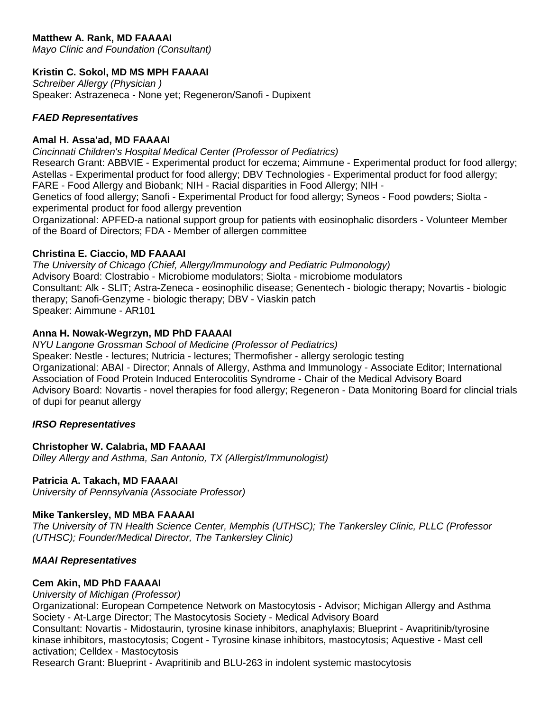# **Matthew A. Rank, MD FAAAAI**

*Mayo Clinic and Foundation (Consultant)*

## **Kristin C. Sokol, MD MS MPH FAAAAI**

*Schreiber Allergy (Physician )* Speaker: Astrazeneca - None yet; Regeneron/Sanofi - Dupixent

#### *FAED Representatives*

#### **Amal H. Assa'ad, MD FAAAAI**

*Cincinnati Children's Hospital Medical Center (Professor of Pediatrics)* Research Grant: ABBVIE - Experimental product for eczema; Aimmune - Experimental product for food allergy; Astellas - Experimental product for food allergy; DBV Technologies - Experimental product for food allergy; FARE - Food Allergy and Biobank; NIH - Racial disparities in Food Allergy; NIH -

Genetics of food allergy; Sanofi - Experimental Product for food allergy; Syneos - Food powders; Siolta experimental product for food allergy prevention

Organizational: APFED-a national support group for patients with eosinophalic disorders - Volunteer Member of the Board of Directors; FDA - Member of allergen committee

#### **Christina E. Ciaccio, MD FAAAAI**

*The University of Chicago (Chief, Allergy/Immunology and Pediatric Pulmonology)* Advisory Board: Clostrabio - Microbiome modulators; Siolta - microbiome modulators Consultant: Alk - SLIT; Astra-Zeneca - eosinophilic disease; Genentech - biologic therapy; Novartis - biologic therapy; Sanofi-Genzyme - biologic therapy; DBV - Viaskin patch Speaker: Aimmune - AR101

#### **Anna H. Nowak-Wegrzyn, MD PhD FAAAAI**

*NYU Langone Grossman School of Medicine (Professor of Pediatrics)* Speaker: Nestle - lectures; Nutricia - lectures; Thermofisher - allergy serologic testing Organizational: ABAI - Director; Annals of Allergy, Asthma and Immunology - Associate Editor; International Association of Food Protein Induced Enterocolitis Syndrome - Chair of the Medical Advisory Board Advisory Board: Novartis - novel therapies for food allergy; Regeneron - Data Monitoring Board for clincial trials of dupi for peanut allergy

#### *IRSO Representatives*

#### **Christopher W. Calabria, MD FAAAAI**

*Dilley Allergy and Asthma, San Antonio, TX (Allergist/Immunologist)*

#### **Patricia A. Takach, MD FAAAAI**

*University of Pennsylvania (Associate Professor)*

#### **Mike Tankersley, MD MBA FAAAAI**

*The University of TN Health Science Center, Memphis (UTHSC); The Tankersley Clinic, PLLC (Professor (UTHSC); Founder/Medical Director, The Tankersley Clinic)*

#### *MAAI Representatives*

#### **Cem Akin, MD PhD FAAAAI**

*University of Michigan (Professor)*

Organizational: European Competence Network on Mastocytosis - Advisor; Michigan Allergy and Asthma Society - At-Large Director; The Mastocytosis Society - Medical Advisory Board

Consultant: Novartis - Midostaurin, tyrosine kinase inhibitors, anaphylaxis; Blueprint - Avapritinib/tyrosine kinase inhibitors, mastocytosis; Cogent - Tyrosine kinase inhibitors, mastocytosis; Aquestive - Mast cell activation; Celldex - Mastocytosis

Research Grant: Blueprint - Avapritinib and BLU-263 in indolent systemic mastocytosis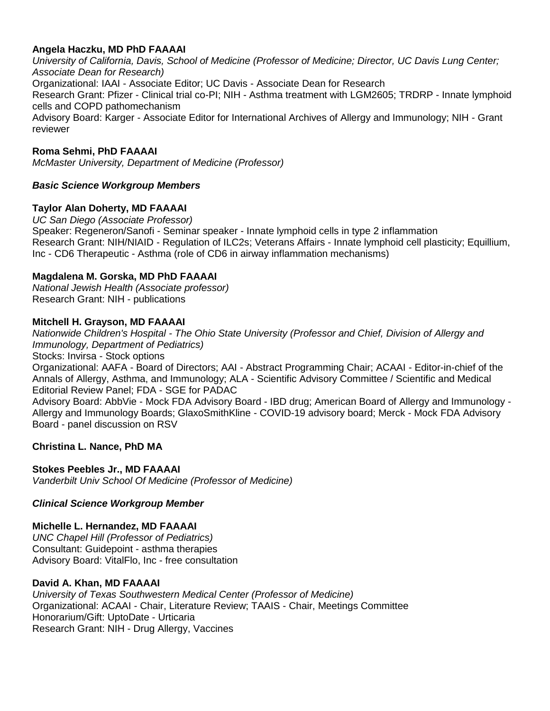## **Angela Haczku, MD PhD FAAAAI**

*University of California, Davis, School of Medicine (Professor of Medicine; Director, UC Davis Lung Center; Associate Dean for Research)* Organizational: IAAI - Associate Editor; UC Davis - Associate Dean for Research Research Grant: Pfizer - Clinical trial co-PI; NIH - Asthma treatment with LGM2605; TRDRP - Innate lymphoid cells and COPD pathomechanism Advisory Board: Karger - Associate Editor for International Archives of Allergy and Immunology; NIH - Grant reviewer

#### **Roma Sehmi, PhD FAAAAI**

*McMaster University, Department of Medicine (Professor)*

#### *Basic Science Workgroup Members*

#### **Taylor Alan Doherty, MD FAAAAI**

*UC San Diego (Associate Professor)* Speaker: Regeneron/Sanofi - Seminar speaker - Innate lymphoid cells in type 2 inflammation Research Grant: NIH/NIAID - Regulation of ILC2s; Veterans Affairs - Innate lymphoid cell plasticity; Equillium, Inc - CD6 Therapeutic - Asthma (role of CD6 in airway inflammation mechanisms)

#### **Magdalena M. Gorska, MD PhD FAAAAI**

*National Jewish Health (Associate professor)* Research Grant: NIH - publications

#### **Mitchell H. Grayson, MD FAAAAI**

*Nationwide Children's Hospital - The Ohio State University (Professor and Chief, Division of Allergy and Immunology, Department of Pediatrics)*

Stocks: Invirsa - Stock options

Organizational: AAFA - Board of Directors; AAI - Abstract Programming Chair; ACAAI - Editor-in-chief of the Annals of Allergy, Asthma, and Immunology; ALA - Scientific Advisory Committee / Scientific and Medical Editorial Review Panel; FDA - SGE for PADAC

Advisory Board: AbbVie - Mock FDA Advisory Board - IBD drug; American Board of Allergy and Immunology - Allergy and Immunology Boards; GlaxoSmithKline - COVID-19 advisory board; Merck - Mock FDA Advisory Board - panel discussion on RSV

#### **Christina L. Nance, PhD MA**

#### **Stokes Peebles Jr., MD FAAAAI**

*Vanderbilt Univ School Of Medicine (Professor of Medicine)*

#### *Clinical Science Workgroup Member*

#### **Michelle L. Hernandez, MD FAAAAI**

*UNC Chapel Hill (Professor of Pediatrics)* Consultant: Guidepoint - asthma therapies Advisory Board: VitalFlo, Inc - free consultation

#### **David A. Khan, MD FAAAAI**

*University of Texas Southwestern Medical Center (Professor of Medicine)* Organizational: ACAAI - Chair, Literature Review; TAAIS - Chair, Meetings Committee Honorarium/Gift: UptoDate - Urticaria Research Grant: NIH - Drug Allergy, Vaccines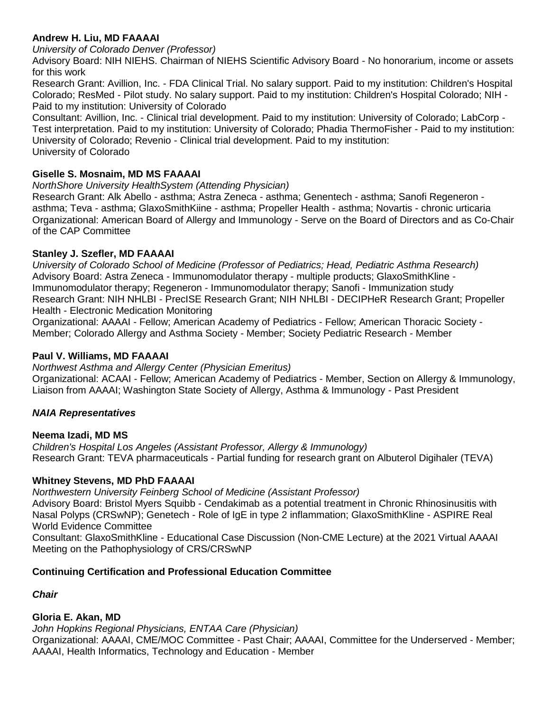## **Andrew H. Liu, MD FAAAAI**

*University of Colorado Denver (Professor)*

Advisory Board: NIH NIEHS. Chairman of NIEHS Scientific Advisory Board - No honorarium, income or assets for this work

Research Grant: Avillion, Inc. - FDA Clinical Trial. No salary support. Paid to my institution: Children's Hospital Colorado; ResMed - Pilot study. No salary support. Paid to my institution: Children's Hospital Colorado; NIH - Paid to my institution: University of Colorado

Consultant: Avillion, Inc. - Clinical trial development. Paid to my institution: University of Colorado; LabCorp - Test interpretation. Paid to my institution: University of Colorado; Phadia ThermoFisher - Paid to my institution: University of Colorado; Revenio - Clinical trial development. Paid to my institution: University of Colorado

# **Giselle S. Mosnaim, MD MS FAAAAI**

*NorthShore University HealthSystem (Attending Physician)*

Research Grant: Alk Abello - asthma; Astra Zeneca - asthma; Genentech - asthma; Sanofi Regeneron asthma; Teva - asthma; GlaxoSmithKiine - asthma; Propeller Health - asthma; Novartis - chronic urticaria Organizational: American Board of Allergy and Immunology - Serve on the Board of Directors and as Co-Chair of the CAP Committee

# **Stanley J. Szefler, MD FAAAAI**

*University of Colorado School of Medicine (Professor of Pediatrics; Head, Pediatric Asthma Research)* Advisory Board: Astra Zeneca - Immunomodulator therapy - multiple products; GlaxoSmithKline - Immunomodulator therapy; Regeneron - Immunomodulator therapy; Sanofi - Immunization study Research Grant: NIH NHLBI - PrecISE Research Grant; NIH NHLBI - DECIPHeR Research Grant; Propeller Health - Electronic Medication Monitoring

Organizational: AAAAI - Fellow; American Academy of Pediatrics - Fellow; American Thoracic Society - Member; Colorado Allergy and Asthma Society - Member; Society Pediatric Research - Member

# **Paul V. Williams, MD FAAAAI**

*Northwest Asthma and Allergy Center (Physician Emeritus)* Organizational: ACAAI - Fellow; American Academy of Pediatrics - Member, Section on Allergy & Immunology, Liaison from AAAAI; Washington State Society of Allergy, Asthma & Immunology - Past President

# *NAIA Representatives*

# **Neema Izadi, MD MS**

*Children's Hospital Los Angeles (Assistant Professor, Allergy & Immunology)* Research Grant: TEVA pharmaceuticals - Partial funding for research grant on Albuterol Digihaler (TEVA)

# **Whitney Stevens, MD PhD FAAAAI**

*Northwestern University Feinberg School of Medicine (Assistant Professor)* Advisory Board: Bristol Myers Squibb - Cendakimab as a potential treatment in Chronic Rhinosinusitis with Nasal Polyps (CRSwNP); Genetech - Role of IgE in type 2 inflammation; GlaxoSmithKline - ASPIRE Real World Evidence Committee

Consultant: GlaxoSmithKline - Educational Case Discussion (Non-CME Lecture) at the 2021 Virtual AAAAI Meeting on the Pathophysiology of CRS/CRSwNP

# **Continuing Certification and Professional Education Committee**

*Chair*

# **Gloria E. Akan, MD**

*John Hopkins Regional Physicians, ENTAA Care (Physician)* Organizational: AAAAI, CME/MOC Committee - Past Chair; AAAAI, Committee for the Underserved - Member; AAAAI, Health Informatics, Technology and Education - Member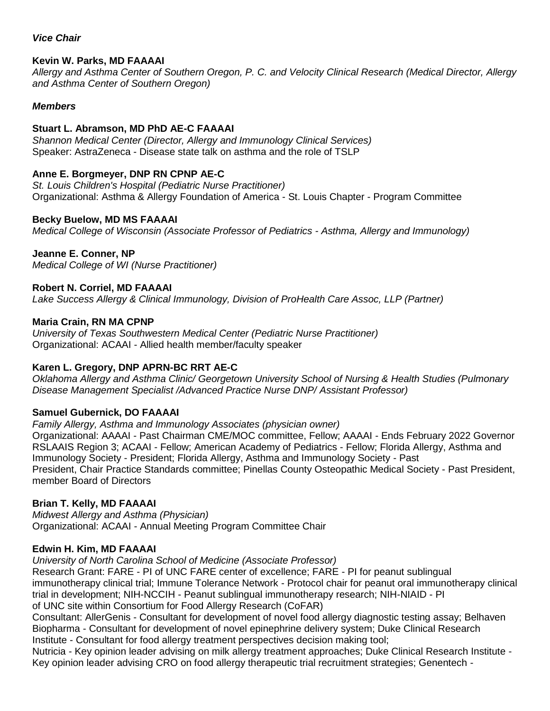#### *Vice Chair*

## **Kevin W. Parks, MD FAAAAI**

*Allergy and Asthma Center of Southern Oregon, P. C. and Velocity Clinical Research (Medical Director, Allergy and Asthma Center of Southern Oregon)*

### *Members*

## **Stuart L. Abramson, MD PhD AE-C FAAAAI**

*Shannon Medical Center (Director, Allergy and Immunology Clinical Services)* Speaker: AstraZeneca - Disease state talk on asthma and the role of TSLP

## **Anne E. Borgmeyer, DNP RN CPNP AE-C**

*St. Louis Children's Hospital (Pediatric Nurse Practitioner)* Organizational: Asthma & Allergy Foundation of America - St. Louis Chapter - Program Committee

### **Becky Buelow, MD MS FAAAAI**

*Medical College of Wisconsin (Associate Professor of Pediatrics - Asthma, Allergy and Immunology)*

### **Jeanne E. Conner, NP**

*Medical College of WI (Nurse Practitioner)*

### **Robert N. Corriel, MD FAAAAI**

*Lake Success Allergy & Clinical Immunology, Division of ProHealth Care Assoc, LLP (Partner)*

### **Maria Crain, RN MA CPNP**

*University of Texas Southwestern Medical Center (Pediatric Nurse Practitioner)* Organizational: ACAAI - Allied health member/faculty speaker

# **Karen L. Gregory, DNP APRN-BC RRT AE-C**

*Oklahoma Allergy and Asthma Clinic/ Georgetown University School of Nursing & Health Studies (Pulmonary Disease Management Specialist /Advanced Practice Nurse DNP/ Assistant Professor)*

#### **Samuel Gubernick, DO FAAAAI**

*Family Allergy, Asthma and Immunology Associates (physician owner)* Organizational: AAAAI - Past Chairman CME/MOC committee, Fellow; AAAAI - Ends February 2022 Governor RSLAAIS Region 3; ACAAI - Fellow; American Academy of Pediatrics - Fellow; Florida Allergy, Asthma and Immunology Society - President; Florida Allergy, Asthma and Immunology Society - Past President, Chair Practice Standards committee; Pinellas County Osteopathic Medical Society - Past President, member Board of Directors

# **Brian T. Kelly, MD FAAAAI**

*Midwest Allergy and Asthma (Physician)* Organizational: ACAAI - Annual Meeting Program Committee Chair

#### **Edwin H. Kim, MD FAAAAI**

*University of North Carolina School of Medicine (Associate Professor)* Research Grant: FARE - PI of UNC FARE center of excellence; FARE - PI for peanut sublingual immunotherapy clinical trial; Immune Tolerance Network - Protocol chair for peanut oral immunotherapy clinical trial in development; NIH-NCCIH - Peanut sublingual immunotherapy research; NIH-NIAID - PI of UNC site within Consortium for Food Allergy Research (CoFAR)

Consultant: AllerGenis - Consultant for development of novel food allergy diagnostic testing assay; Belhaven Biopharma - Consultant for development of novel epinephrine delivery system; Duke Clinical Research Institute - Consultant for food allergy treatment perspectives decision making tool;

Nutricia - Key opinion leader advising on milk allergy treatment approaches; Duke Clinical Research Institute - Key opinion leader advising CRO on food allergy therapeutic trial recruitment strategies; Genentech -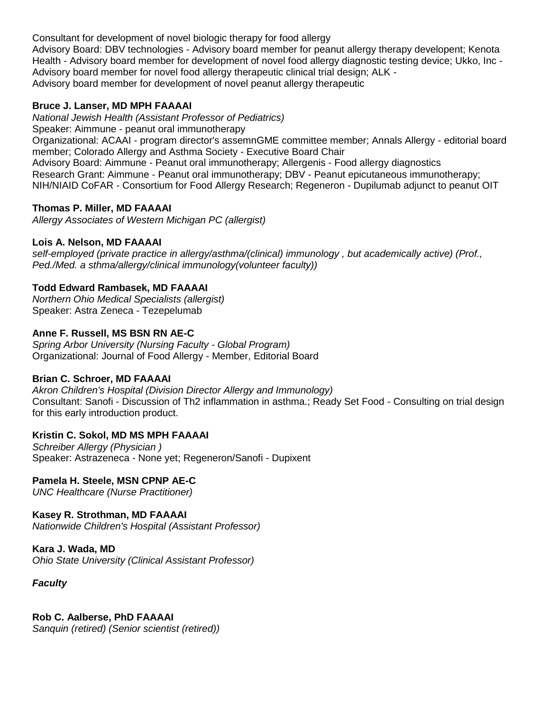Consultant for development of novel biologic therapy for food allergy

Advisory Board: DBV technologies - Advisory board member for peanut allergy therapy developent; Kenota Health - Advisory board member for development of novel food allergy diagnostic testing device; Ukko, Inc - Advisory board member for novel food allergy therapeutic clinical trial design; ALK - Advisory board member for development of novel peanut allergy therapeutic

#### **Bruce J. Lanser, MD MPH FAAAAI**

*National Jewish Health (Assistant Professor of Pediatrics)* Speaker: Aimmune - peanut oral immunotherapy Organizational: ACAAI - program director's assemnGME committee member; Annals Allergy - editorial board member; Colorado Allergy and Asthma Society - Executive Board Chair Advisory Board: Aimmune - Peanut oral immunotherapy; Allergenis - Food allergy diagnostics Research Grant: Aimmune - Peanut oral immunotherapy; DBV - Peanut epicutaneous immunotherapy; NIH/NIAID CoFAR - Consortium for Food Allergy Research; Regeneron - Dupilumab adjunct to peanut OIT

#### **Thomas P. Miller, MD FAAAAI**

*Allergy Associates of Western Michigan PC (allergist)*

#### **Lois A. Nelson, MD FAAAAI**

*self-employed (private practice in allergy/asthma/(clinical) immunology , but academically active) (Prof., Ped./Med. a sthma/allergy/clinical immunology(volunteer faculty))*

#### **Todd Edward Rambasek, MD FAAAAI**

*Northern Ohio Medical Specialists (allergist)* Speaker: Astra Zeneca - Tezepelumab

#### **Anne F. Russell, MS BSN RN AE-C**

*Spring Arbor University (Nursing Faculty - Global Program)* Organizational: Journal of Food Allergy - Member, Editorial Board

#### **Brian C. Schroer, MD FAAAAI**

*Akron Children's Hospital (Division Director Allergy and Immunology)* Consultant: Sanofi - Discussion of Th2 inflammation in asthma.; Ready Set Food - Consulting on trial design for this early introduction product.

#### **Kristin C. Sokol, MD MS MPH FAAAAI**

*Schreiber Allergy (Physician )* Speaker: Astrazeneca - None yet; Regeneron/Sanofi - Dupixent

#### **Pamela H. Steele, MSN CPNP AE-C**

*UNC Healthcare (Nurse Practitioner)*

#### **Kasey R. Strothman, MD FAAAAI**

*Nationwide Children's Hospital (Assistant Professor)*

#### **Kara J. Wada, MD**

*Ohio State University (Clinical Assistant Professor)*

*Faculty*

**Rob C. Aalberse, PhD FAAAAI** *Sanquin (retired) (Senior scientist (retired))*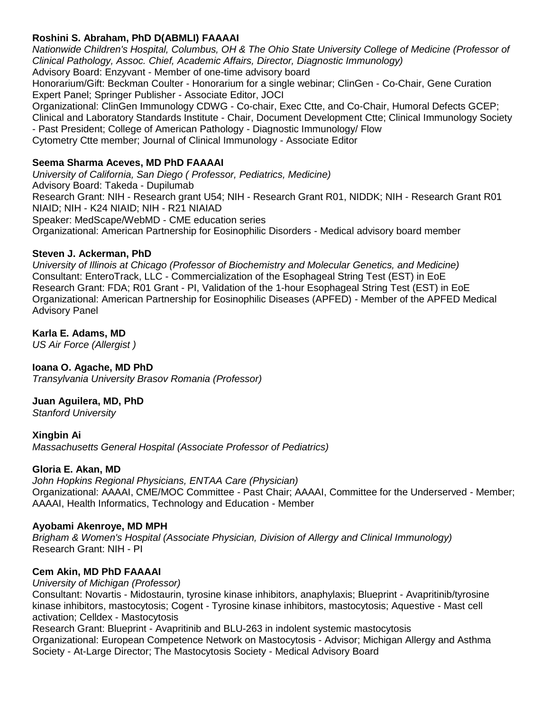## **Roshini S. Abraham, PhD D(ABMLI) FAAAAI**

*Nationwide Children's Hospital, Columbus, OH & The Ohio State University College of Medicine (Professor of Clinical Pathology, Assoc. Chief, Academic Affairs, Director, Diagnostic Immunology)* Advisory Board: Enzyvant - Member of one-time advisory board

Honorarium/Gift: Beckman Coulter - Honorarium for a single webinar; ClinGen - Co-Chair, Gene Curation Expert Panel; Springer Publisher - Associate Editor, JOCI

Organizational: ClinGen Immunology CDWG - Co-chair, Exec Ctte, and Co-Chair, Humoral Defects GCEP; Clinical and Laboratory Standards Institute - Chair, Document Development Ctte; Clinical Immunology Society - Past President; College of American Pathology - Diagnostic Immunology/ Flow Cytometry Ctte member; Journal of Clinical Immunology - Associate Editor

### **Seema Sharma Aceves, MD PhD FAAAAI**

*University of California, San Diego ( Professor, Pediatrics, Medicine)* Advisory Board: Takeda - Dupilumab Research Grant: NIH - Research grant U54; NIH - Research Grant R01, NIDDK; NIH - Research Grant R01 NIAID; NIH - K24 NIAID; NIH - R21 NIAIAD Speaker: MedScape/WebMD - CME education series Organizational: American Partnership for Eosinophilic Disorders - Medical advisory board member

### **Steven J. Ackerman, PhD**

*University of Illinois at Chicago (Professor of Biochemistry and Molecular Genetics, and Medicine)* Consultant: EnteroTrack, LLC - Commercialization of the Esophageal String Test (EST) in EoE Research Grant: FDA; R01 Grant - PI, Validation of the 1-hour Esophageal String Test (EST) in EoE Organizational: American Partnership for Eosinophilic Diseases (APFED) - Member of the APFED Medical Advisory Panel

### **Karla E. Adams, MD**

*US Air Force (Allergist )*

# **Ioana O. Agache, MD PhD**

*Transylvania University Brasov Romania (Professor)*

#### **Juan Aguilera, MD, PhD**

*Stanford University*

**Xingbin Ai** *Massachusetts General Hospital (Associate Professor of Pediatrics)*

#### **Gloria E. Akan, MD**

*John Hopkins Regional Physicians, ENTAA Care (Physician)* Organizational: AAAAI, CME/MOC Committee - Past Chair; AAAAI, Committee for the Underserved - Member; AAAAI, Health Informatics, Technology and Education - Member

#### **Ayobami Akenroye, MD MPH**

*Brigham & Women's Hospital (Associate Physician, Division of Allergy and Clinical Immunology)* Research Grant: NIH - PI

#### **Cem Akin, MD PhD FAAAAI**

*University of Michigan (Professor)*

Consultant: Novartis - Midostaurin, tyrosine kinase inhibitors, anaphylaxis; Blueprint - Avapritinib/tyrosine kinase inhibitors, mastocytosis; Cogent - Tyrosine kinase inhibitors, mastocytosis; Aquestive - Mast cell activation; Celldex - Mastocytosis

Research Grant: Blueprint - Avapritinib and BLU-263 in indolent systemic mastocytosis Organizational: European Competence Network on Mastocytosis - Advisor; Michigan Allergy and Asthma Society - At-Large Director; The Mastocytosis Society - Medical Advisory Board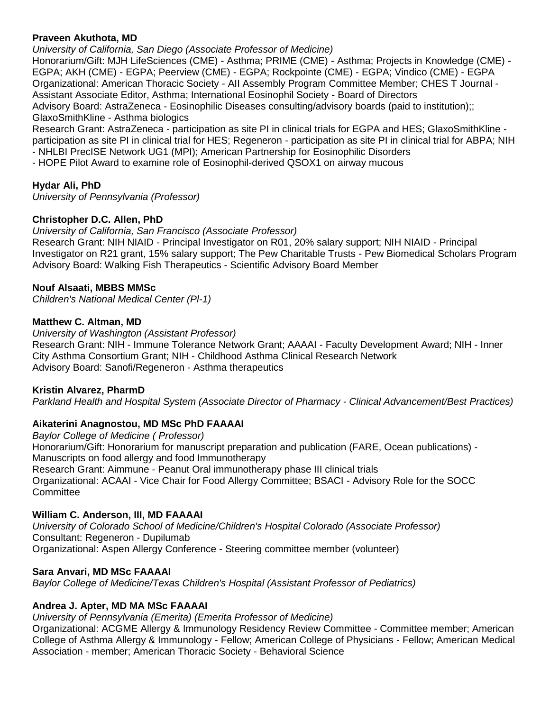### **Praveen Akuthota, MD**

*University of California, San Diego (Associate Professor of Medicine)*

Honorarium/Gift: MJH LifeSciences (CME) - Asthma; PRIME (CME) - Asthma; Projects in Knowledge (CME) - EGPA; AKH (CME) - EGPA; Peerview (CME) - EGPA; Rockpointe (CME) - EGPA; Vindico (CME) - EGPA Organizational: American Thoracic Society - AII Assembly Program Committee Member; CHES T Journal - Assistant Associate Editor, Asthma; International Eosinophil Society - Board of Directors Advisory Board: AstraZeneca - Eosinophilic Diseases consulting/advisory boards (paid to institution);; GlaxoSmithKline - Asthma biologics

Research Grant: AstraZeneca - participation as site PI in clinical trials for EGPA and HES; GlaxoSmithKline participation as site PI in clinical trial for HES; Regeneron - participation as site PI in clinical trial for ABPA; NIH - NHLBI PrecISE Network UG1 (MPI); American Partnership for Eosinophilic Disorders

- HOPE Pilot Award to examine role of Eosinophil-derived QSOX1 on airway mucous

# **Hydar Ali, PhD**

*University of Pennsylvania (Professor)*

### **Christopher D.C. Allen, PhD**

*University of California, San Francisco (Associate Professor)*

Research Grant: NIH NIAID - Principal Investigator on R01, 20% salary support; NIH NIAID - Principal Investigator on R21 grant, 15% salary support; The Pew Charitable Trusts - Pew Biomedical Scholars Program Advisory Board: Walking Fish Therapeutics - Scientific Advisory Board Member

#### **Nouf Alsaati, MBBS MMSc**

*Children's National Medical Center (Pl-1)*

#### **Matthew C. Altman, MD**

*University of Washington (Assistant Professor)* Research Grant: NIH - Immune Tolerance Network Grant; AAAAI - Faculty Development Award; NIH - Inner City Asthma Consortium Grant; NIH - Childhood Asthma Clinical Research Network Advisory Board: Sanofi/Regeneron - Asthma therapeutics

#### **Kristin Alvarez, PharmD**

*Parkland Health and Hospital System (Associate Director of Pharmacy - Clinical Advancement/Best Practices)*

# **Aikaterini Anagnostou, MD MSc PhD FAAAAI**

*Baylor College of Medicine ( Professor)* Honorarium/Gift: Honorarium for manuscript preparation and publication (FARE, Ocean publications) - Manuscripts on food allergy and food Immunotherapy Research Grant: Aimmune - Peanut Oral immunotherapy phase III clinical trials Organizational: ACAAI - Vice Chair for Food Allergy Committee; BSACI - Advisory Role for the SOCC **Committee** 

# **William C. Anderson, III, MD FAAAAI**

*University of Colorado School of Medicine/Children's Hospital Colorado (Associate Professor)* Consultant: Regeneron - Dupilumab Organizational: Aspen Allergy Conference - Steering committee member (volunteer)

#### **Sara Anvari, MD MSc FAAAAI**

*Baylor College of Medicine/Texas Children's Hospital (Assistant Professor of Pediatrics)*

# **Andrea J. Apter, MD MA MSc FAAAAI**

*University of Pennsylvania (Emerita) (Emerita Professor of Medicine)*

Organizational: ACGME Allergy & Immunology Residency Review Committee - Committee member; American College of Asthma Allergy & Immunology - Fellow; American College of Physicians - Fellow; American Medical Association - member; American Thoracic Society - Behavioral Science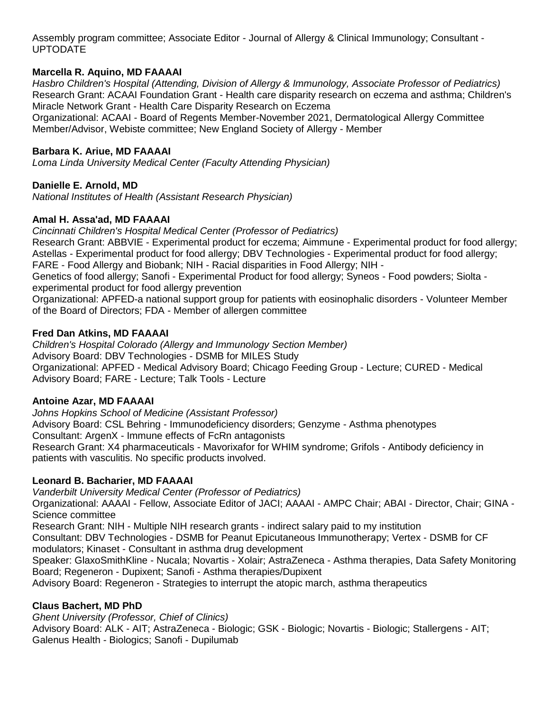Assembly program committee; Associate Editor - Journal of Allergy & Clinical Immunology; Consultant - UPTODATE

## **Marcella R. Aquino, MD FAAAAI**

*Hasbro Children's Hospital (Attending, Division of Allergy & Immunology, Associate Professor of Pediatrics)* Research Grant: ACAAI Foundation Grant - Health care disparity research on eczema and asthma; Children's Miracle Network Grant - Health Care Disparity Research on Eczema

Organizational: ACAAI - Board of Regents Member-November 2021, Dermatological Allergy Committee Member/Advisor, Webiste committee; New England Society of Allergy - Member

### **Barbara K. Ariue, MD FAAAAI**

*Loma Linda University Medical Center (Faculty Attending Physician)*

### **Danielle E. Arnold, MD**

*National Institutes of Health (Assistant Research Physician)*

#### **Amal H. Assa'ad, MD FAAAAI**

*Cincinnati Children's Hospital Medical Center (Professor of Pediatrics)*

Research Grant: ABBVIE - Experimental product for eczema; Aimmune - Experimental product for food allergy; Astellas - Experimental product for food allergy; DBV Technologies - Experimental product for food allergy; FARE - Food Allergy and Biobank; NIH - Racial disparities in Food Allergy; NIH -

Genetics of food allergy; Sanofi - Experimental Product for food allergy; Syneos - Food powders; Siolta experimental product for food allergy prevention

Organizational: APFED-a national support group for patients with eosinophalic disorders - Volunteer Member of the Board of Directors; FDA - Member of allergen committee

#### **Fred Dan Atkins, MD FAAAAI**

*Children's Hospital Colorado (Allergy and Immunology Section Member)* Advisory Board: DBV Technologies - DSMB for MILES Study Organizational: APFED - Medical Advisory Board; Chicago Feeding Group - Lecture; CURED - Medical Advisory Board; FARE - Lecture; Talk Tools - Lecture

#### **Antoine Azar, MD FAAAAI**

*Johns Hopkins School of Medicine (Assistant Professor)* Advisory Board: CSL Behring - Immunodeficiency disorders; Genzyme - Asthma phenotypes Consultant: ArgenX - Immune effects of FcRn antagonists Research Grant: X4 pharmaceuticals - Mavorixafor for WHIM syndrome; Grifols - Antibody deficiency in patients with vasculitis. No specific products involved.

#### **Leonard B. Bacharier, MD FAAAAI**

*Vanderbilt University Medical Center (Professor of Pediatrics)*

Organizational: AAAAI - Fellow, Associate Editor of JACI; AAAAI - AMPC Chair; ABAI - Director, Chair; GINA - Science committee

Research Grant: NIH - Multiple NIH research grants - indirect salary paid to my institution

Consultant: DBV Technologies - DSMB for Peanut Epicutaneous Immunotherapy; Vertex - DSMB for CF modulators; Kinaset - Consultant in asthma drug development

Speaker: GlaxoSmithKline - Nucala; Novartis - Xolair; AstraZeneca - Asthma therapies, Data Safety Monitoring Board; Regeneron - Dupixent; Sanofi - Asthma therapies/Dupixent

Advisory Board: Regeneron - Strategies to interrupt the atopic march, asthma therapeutics

#### **Claus Bachert, MD PhD**

*Ghent University (Professor, Chief of Clinics)* Advisory Board: ALK - AIT; AstraZeneca - Biologic; GSK - Biologic; Novartis - Biologic; Stallergens - AIT; Galenus Health - Biologics; Sanofi - Dupilumab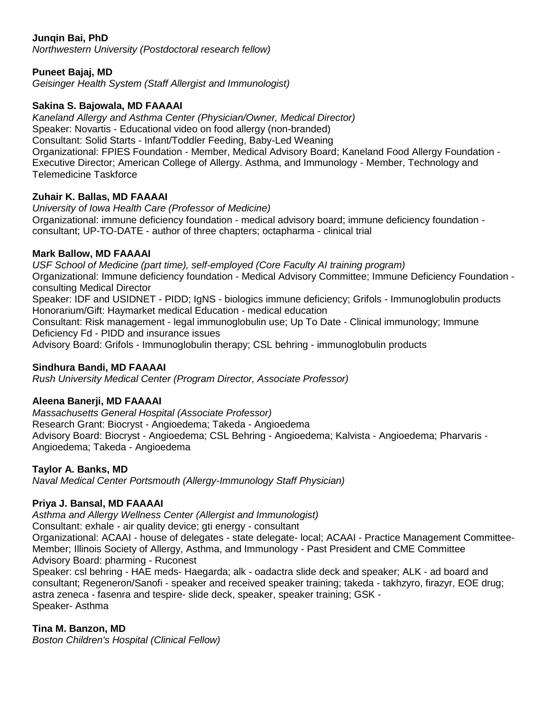# **Junqin Bai, PhD**

*Northwestern University (Postdoctoral research fellow)*

### **Puneet Bajaj, MD**

*Geisinger Health System (Staff Allergist and Immunologist)*

### **Sakina S. Bajowala, MD FAAAAI**

*Kaneland Allergy and Asthma Center (Physician/Owner, Medical Director)* Speaker: Novartis - Educational video on food allergy (non-branded) Consultant: Solid Starts - Infant/Toddler Feeding, Baby-Led Weaning Organizational: FPIES Foundation - Member, Medical Advisory Board; Kaneland Food Allergy Foundation - Executive Director; American College of Allergy. Asthma, and Immunology - Member, Technology and Telemedicine Taskforce

### **Zuhair K. Ballas, MD FAAAAI**

*University of Iowa Health Care (Professor of Medicine)* Organizational: immune deficiency foundation - medical advisory board; immune deficiency foundation consultant; UP-TO-DATE - author of three chapters; octapharma - clinical trial

#### **Mark Ballow, MD FAAAAI**

*USF School of Medicine (part time), self-employed (Core Faculty AI training program)* Organizational: Immune deficiency foundation - Medical Advisory Committee; Immune Deficiency Foundation consulting Medical Director Speaker: IDF and USIDNET - PIDD; IgNS - biologics immune deficiency; Grifols - Immunoglobulin products Honorarium/Gift: Haymarket medical Education - medical education Consultant: Risk management - legal immunoglobulin use; Up To Date - Clinical immunology; Immune Deficiency Fd - PIDD and insurance issues Advisory Board: Grifols - Immunoglobulin therapy; CSL behring - immunoglobulin products

#### **Sindhura Bandi, MD FAAAAI**

*Rush University Medical Center (Program Director, Associate Professor)*

#### **Aleena Banerji, MD FAAAAI**

*Massachusetts General Hospital (Associate Professor)* Research Grant: Biocryst - Angioedema; Takeda - Angioedema Advisory Board: Biocryst - Angioedema; CSL Behring - Angioedema; Kalvista - Angioedema; Pharvaris - Angioedema; Takeda - Angioedema

#### **Taylor A. Banks, MD**

*Naval Medical Center Portsmouth (Allergy-Immunology Staff Physician)*

# **Priya J. Bansal, MD FAAAAI**

*Asthma and Allergy Wellness Center (Allergist and Immunologist)*

Consultant: exhale - air quality device; gti energy - consultant

Organizational: ACAAI - house of delegates - state delegate- local; ACAAI - Practice Management Committee-Member; Illinois Society of Allergy, Asthma, and Immunology - Past President and CME Committee Advisory Board: pharming - Ruconest

Speaker: csl behring - HAE meds- Haegarda; alk - oadactra slide deck and speaker; ALK - ad board and consultant; Regeneron/Sanofi - speaker and received speaker training; takeda - takhzyro, firazyr, EOE drug; astra zeneca - fasenra and tespire- slide deck, speaker, speaker training; GSK - Speaker- Asthma

# **Tina M. Banzon, MD**

*Boston Children's Hospital (Clinical Fellow)*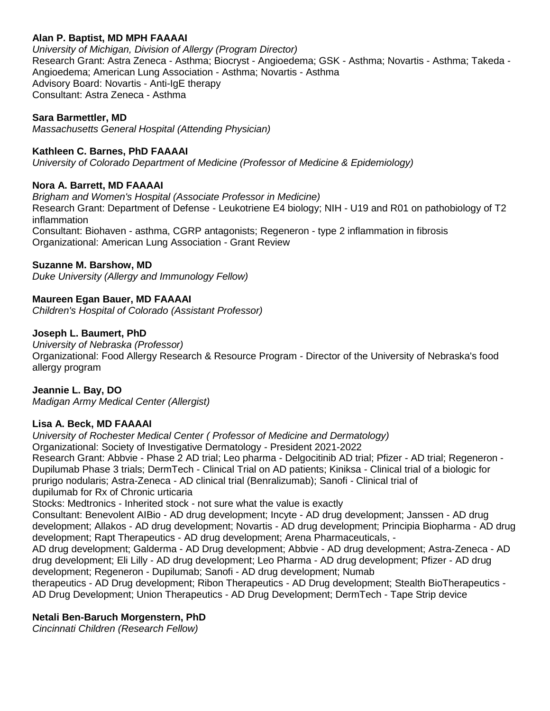### **Alan P. Baptist, MD MPH FAAAAI**

*University of Michigan, Division of Allergy (Program Director)* Research Grant: Astra Zeneca - Asthma; Biocryst - Angioedema; GSK - Asthma; Novartis - Asthma; Takeda - Angioedema; American Lung Association - Asthma; Novartis - Asthma Advisory Board: Novartis - Anti-IgE therapy Consultant: Astra Zeneca - Asthma

### **Sara Barmettler, MD**

*Massachusetts General Hospital (Attending Physician)*

### **Kathleen C. Barnes, PhD FAAAAI**

*University of Colorado Department of Medicine (Professor of Medicine & Epidemiology)*

### **Nora A. Barrett, MD FAAAAI**

*Brigham and Women's Hospital (Associate Professor in Medicine)* Research Grant: Department of Defense - Leukotriene E4 biology; NIH - U19 and R01 on pathobiology of T2 inflammation Consultant: Biohaven - asthma, CGRP antagonists; Regeneron - type 2 inflammation in fibrosis Organizational: American Lung Association - Grant Review

#### **Suzanne M. Barshow, MD**

*Duke University (Allergy and Immunology Fellow)*

### **Maureen Egan Bauer, MD FAAAAI**

*Children's Hospital of Colorado (Assistant Professor)*

#### **Joseph L. Baumert, PhD**

*University of Nebraska (Professor)* Organizational: Food Allergy Research & Resource Program - Director of the University of Nebraska's food allergy program

#### **Jeannie L. Bay, DO**

*Madigan Army Medical Center (Allergist)*

#### **Lisa A. Beck, MD FAAAAI**

*University of Rochester Medical Center ( Professor of Medicine and Dermatology)* Organizational: Society of Investigative Dermatology - President 2021-2022 Research Grant: Abbvie - Phase 2 AD trial; Leo pharma - Delgocitinib AD trial; Pfizer - AD trial; Regeneron - Dupilumab Phase 3 trials; DermTech - Clinical Trial on AD patients; Kiniksa - Clinical trial of a biologic for prurigo nodularis; Astra-Zeneca - AD clinical trial (Benralizumab); Sanofi - Clinical trial of dupilumab for Rx of Chronic urticaria Stocks: Medtronics - Inherited stock - not sure what the value is exactly Consultant: Benevolent AIBio - AD drug development; Incyte - AD drug development; Janssen - AD drug

development; Allakos - AD drug development; Novartis - AD drug development; Principia Biopharma - AD drug development; Rapt Therapeutics - AD drug development; Arena Pharmaceuticals, -

AD drug development; Galderma - AD Drug development; Abbvie - AD drug development; Astra-Zeneca - AD drug development; Eli Lilly - AD drug development; Leo Pharma - AD drug development; Pfizer - AD drug development; Regeneron - Dupilumab; Sanofi - AD drug development; Numab

therapeutics - AD Drug development; Ribon Therapeutics - AD Drug development; Stealth BioTherapeutics - AD Drug Development; Union Therapeutics - AD Drug Development; DermTech - Tape Strip device

#### **Netali Ben-Baruch Morgenstern, PhD**

*Cincinnati Children (Research Fellow)*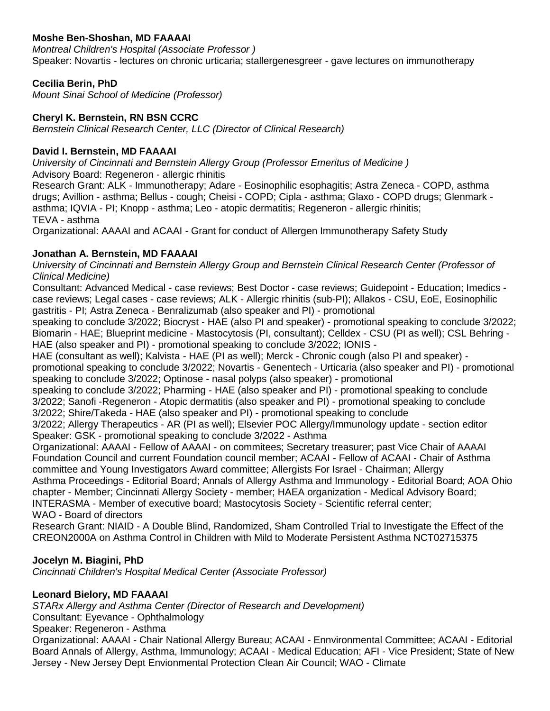# **Moshe Ben-Shoshan, MD FAAAAI**

*Montreal Children's Hospital (Associate Professor )* Speaker: Novartis - lectures on chronic urticaria; stallergenesgreer - gave lectures on immunotherapy

## **Cecilia Berin, PhD**

*Mount Sinai School of Medicine (Professor)*

## **Cheryl K. Bernstein, RN BSN CCRC**

*Bernstein Clinical Research Center, LLC (Director of Clinical Research)*

### **David I. Bernstein, MD FAAAAI**

*University of Cincinnati and Bernstein Allergy Group (Professor Emeritus of Medicine )* Advisory Board: Regeneron - allergic rhinitis Research Grant: ALK - Immunotherapy; Adare - Eosinophilic esophagitis; Astra Zeneca - COPD, asthma drugs; Avillion - asthma; Bellus - cough; Cheisi - COPD; Cipla - asthma; Glaxo - COPD drugs; Glenmark asthma; IQVIA - PI; Knopp - asthma; Leo - atopic dermatitis; Regeneron - allergic rhinitis; TEVA - asthma Organizational: AAAAI and ACAAI - Grant for conduct of Allergen Immunotherapy Safety Study

### **Jonathan A. Bernstein, MD FAAAAI**

*University of Cincinnati and Bernstein Allergy Group and Bernstein Clinical Research Center (Professor of Clinical Medicine)*

Consultant: Advanced Medical - case reviews; Best Doctor - case reviews; Guidepoint - Education; Imedics case reviews; Legal cases - case reviews; ALK - Allergic rhinitis (sub-PI); Allakos - CSU, EoE, Eosinophilic gastritis - PI; Astra Zeneca - Benralizumab (also speaker and PI) - promotional

speaking to conclude 3/2022; Biocryst - HAE (also PI and speaker) - promotional speaking to conclude 3/2022; Biomarin - HAE; Blueprint medicine - Mastocytosis (PI, consultant); Celldex - CSU (PI as well); CSL Behring - HAE (also speaker and PI) - promotional speaking to conclude 3/2022; IONIS -

HAE (consultant as well); Kalvista - HAE (PI as well); Merck - Chronic cough (also PI and speaker) promotional speaking to conclude 3/2022; Novartis - Genentech - Urticaria (also speaker and PI) - promotional speaking to conclude 3/2022; Optinose - nasal polyps (also speaker) - promotional

speaking to conclude 3/2022; Pharming - HAE (also speaker and PI) - promotional speaking to conclude 3/2022; Sanofi -Regeneron - Atopic dermatitis (also speaker and PI) - promotional speaking to conclude 3/2022; Shire/Takeda - HAE (also speaker and PI) - promotional speaking to conclude

3/2022; Allergy Therapeutics - AR (PI as well); Elsevier POC Allergy/Immunology update - section editor Speaker: GSK - promotional speaking to conclude 3/2022 - Asthma

Organizational: AAAAI - Fellow of AAAAI - on commitees; Secretary treasurer; past Vice Chair of AAAAI Foundation Council and current Foundation council member; ACAAI - Fellow of ACAAI - Chair of Asthma committee and Young Investigators Award committee; Allergists For Israel - Chairman; Allergy Asthma Proceedings - Editorial Board; Annals of Allergy Asthma and Immunology - Editorial Board; AOA Ohio chapter - Member; Cincinnati Allergy Society - member; HAEA organization - Medical Advisory Board; INTERASMA - Member of executive board; Mastocytosis Society - Scientific referral center; WAO - Board of directors

Research Grant: NIAID - A Double Blind, Randomized, Sham Controlled Trial to Investigate the Effect of the CREON2000A on Asthma Control in Children with Mild to Moderate Persistent Asthma NCT02715375

# **Jocelyn M. Biagini, PhD**

*Cincinnati Children's Hospital Medical Center (Associate Professor)*

# **Leonard Bielory, MD FAAAAI**

*STARx Allergy and Asthma Center (Director of Research and Development)*

Consultant: Eyevance - Ophthalmology

Speaker: Regeneron - Asthma

Organizational: AAAAI - Chair National Allergy Bureau; ACAAI - Ennvironmental Committee; ACAAI - Editorial Board Annals of Allergy, Asthma, Immunology; ACAAI - Medical Education; AFI - Vice President; State of New Jersey - New Jersey Dept Envionmental Protection Clean Air Council; WAO - Climate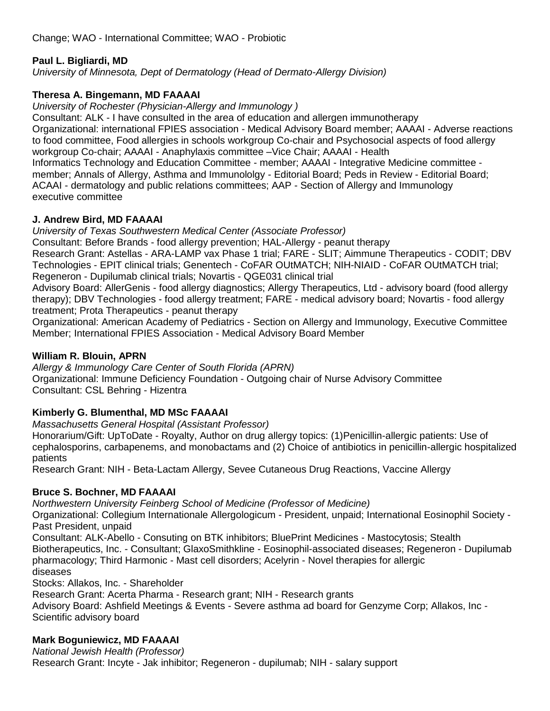# **Paul L. Bigliardi, MD**

*University of Minnesota, Dept of Dermatology (Head of Dermato-Allergy Division)*

# **Theresa A. Bingemann, MD FAAAAI**

*University of Rochester (Physician-Allergy and Immunology )*

Consultant: ALK - I have consulted in the area of education and allergen immunotherapy Organizational: international FPIES association - Medical Advisory Board member; AAAAI - Adverse reactions to food committee, Food allergies in schools workgroup Co-chair and Psychosocial aspects of food allergy

workgroup Co-chair; AAAAI - Anaphylaxis committee –Vice Chair; AAAAI - Health

Informatics Technology and Education Committee - member; AAAAI - Integrative Medicine committee member; Annals of Allergy, Asthma and Immunololgy - Editorial Board; Peds in Review - Editorial Board; ACAAI - dermatology and public relations committees; AAP - Section of Allergy and Immunology executive committee

# **J. Andrew Bird, MD FAAAAI**

*University of Texas Southwestern Medical Center (Associate Professor)*

Consultant: Before Brands - food allergy prevention; HAL-Allergy - peanut therapy Research Grant: Astellas - ARA-LAMP vax Phase 1 trial; FARE - SLIT; Aimmune Therapeutics - CODIT; DBV Technologies - EPIT clinical trials; Genentech - CoFAR OUtMATCH; NIH-NIAID - CoFAR OUtMATCH trial; Regeneron - Dupilumab clinical trials; Novartis - QGE031 clinical trial

Advisory Board: AllerGenis - food allergy diagnostics; Allergy Therapeutics, Ltd - advisory board (food allergy therapy); DBV Technologies - food allergy treatment; FARE - medical advisory board; Novartis - food allergy treatment; Prota Therapeutics - peanut therapy

Organizational: American Academy of Pediatrics - Section on Allergy and Immunology, Executive Committee Member; International FPIES Association - Medical Advisory Board Member

# **William R. Blouin, APRN**

*Allergy & Immunology Care Center of South Florida (APRN)* Organizational: Immune Deficiency Foundation - Outgoing chair of Nurse Advisory Committee Consultant: CSL Behring - Hizentra

# **Kimberly G. Blumenthal, MD MSc FAAAAI**

*Massachusetts General Hospital (Assistant Professor)*

Honorarium/Gift: UpToDate - Royalty, Author on drug allergy topics: (1)Penicillin-allergic patients: Use of cephalosporins, carbapenems, and monobactams and (2) Choice of antibiotics in penicillin-allergic hospitalized patients

Research Grant: NIH - Beta-Lactam Allergy, Sevee Cutaneous Drug Reactions, Vaccine Allergy

# **Bruce S. Bochner, MD FAAAAI**

*Northwestern University Feinberg School of Medicine (Professor of Medicine)*

Organizational: Collegium Internationale Allergologicum - President, unpaid; International Eosinophil Society - Past President, unpaid

Consultant: ALK-Abello - Consuting on BTK inhibitors; BluePrint Medicines - Mastocytosis; Stealth Biotherapeutics, Inc. - Consultant; GlaxoSmithkline - Eosinophil-associated diseases; Regeneron - Dupilumab pharmacology; Third Harmonic - Mast cell disorders; Acelyrin - Novel therapies for allergic diseases

Stocks: Allakos, Inc. - Shareholder

Research Grant: Acerta Pharma - Research grant; NIH - Research grants

Advisory Board: Ashfield Meetings & Events - Severe asthma ad board for Genzyme Corp; Allakos, Inc - Scientific advisory board

# **Mark Boguniewicz, MD FAAAAI**

*National Jewish Health (Professor)* Research Grant: Incyte - Jak inhibitor; Regeneron - dupilumab; NIH - salary support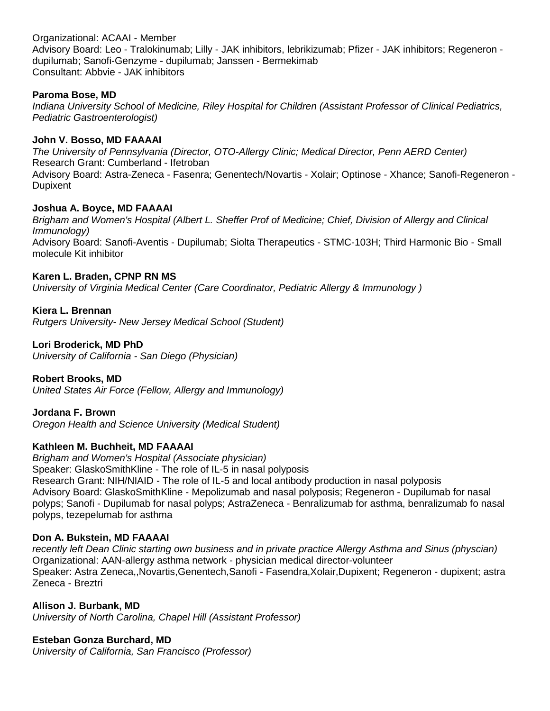Organizational: ACAAI - Member Advisory Board: Leo - Tralokinumab; Lilly - JAK inhibitors, lebrikizumab; Pfizer - JAK inhibitors; Regeneron dupilumab; Sanofi-Genzyme - dupilumab; Janssen - Bermekimab Consultant: Abbvie - JAK inhibitors

### **Paroma Bose, MD**

*Indiana University School of Medicine, Riley Hospital for Children (Assistant Professor of Clinical Pediatrics, Pediatric Gastroenterologist)*

### **John V. Bosso, MD FAAAAI**

*The University of Pennsylvania (Director, OTO-Allergy Clinic; Medical Director, Penn AERD Center)* Research Grant: Cumberland - Ifetroban Advisory Board: Astra-Zeneca - Fasenra; Genentech/Novartis - Xolair; Optinose - Xhance; Sanofi-Regeneron - Dupixent

### **Joshua A. Boyce, MD FAAAAI**

*Brigham and Women's Hospital (Albert L. Sheffer Prof of Medicine; Chief, Division of Allergy and Clinical Immunology)* Advisory Board: Sanofi-Aventis - Dupilumab; Siolta Therapeutics - STMC-103H; Third Harmonic Bio - Small molecule Kit inhibitor

### **Karen L. Braden, CPNP RN MS**

*University of Virginia Medical Center (Care Coordinator, Pediatric Allergy & Immunology )*

# **Kiera L. Brennan**

*Rutgers University- New Jersey Medical School (Student)*

### **Lori Broderick, MD PhD**

*University of California - San Diego (Physician)*

# **Robert Brooks, MD**

*United States Air Force (Fellow, Allergy and Immunology)*

# **Jordana F. Brown**

*Oregon Health and Science University (Medical Student)*

# **Kathleen M. Buchheit, MD FAAAAI**

*Brigham and Women's Hospital (Associate physician)* Speaker: GlaskoSmithKline - The role of IL-5 in nasal polyposis Research Grant: NIH/NIAID - The role of IL-5 and local antibody production in nasal polyposis Advisory Board: GlaskoSmithKline - Mepolizumab and nasal polyposis; Regeneron - Dupilumab for nasal polyps; Sanofi - Dupilumab for nasal polyps; AstraZeneca - Benralizumab for asthma, benralizumab fo nasal polyps, tezepelumab for asthma

#### **Don A. Bukstein, MD FAAAAI**

*recently left Dean Clinic starting own business and in private practice Allergy Asthma and Sinus (physcian)* Organizational: AAN-allergy asthma network - physician medical director-volunteer Speaker: Astra Zeneca,,Novartis,Genentech,Sanofi - Fasendra,Xolair,Dupixent; Regeneron - dupixent; astra Zeneca - Breztri

#### **Allison J. Burbank, MD**

*University of North Carolina, Chapel Hill (Assistant Professor)*

#### **Esteban Gonza Burchard, MD**

*University of California, San Francisco (Professor)*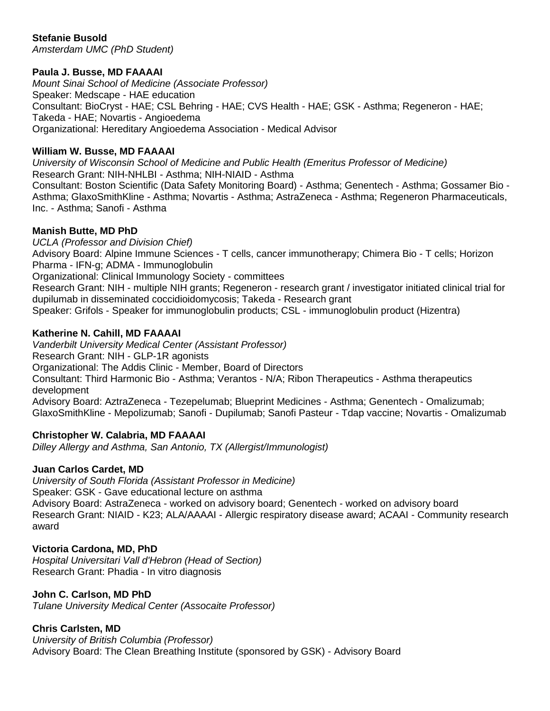# **Stefanie Busold**

*Amsterdam UMC (PhD Student)*

#### **Paula J. Busse, MD FAAAAI**

*Mount Sinai School of Medicine (Associate Professor)* Speaker: Medscape - HAE education Consultant: BioCryst - HAE; CSL Behring - HAE; CVS Health - HAE; GSK - Asthma; Regeneron - HAE; Takeda - HAE; Novartis - Angioedema Organizational: Hereditary Angioedema Association - Medical Advisor

#### **William W. Busse, MD FAAAAI**

*University of Wisconsin School of Medicine and Public Health (Emeritus Professor of Medicine)* Research Grant: NIH-NHLBI - Asthma; NIH-NIAID - Asthma

Consultant: Boston Scientific (Data Safety Monitoring Board) - Asthma; Genentech - Asthma; Gossamer Bio - Asthma; GlaxoSmithKline - Asthma; Novartis - Asthma; AstraZeneca - Asthma; Regeneron Pharmaceuticals, Inc. - Asthma; Sanofi - Asthma

#### **Manish Butte, MD PhD**

*UCLA (Professor and Division Chief)* Advisory Board: Alpine Immune Sciences - T cells, cancer immunotherapy; Chimera Bio - T cells; Horizon Pharma - IFN-g; ADMA - Immunoglobulin Organizational: Clinical Immunology Society - committees Research Grant: NIH - multiple NIH grants; Regeneron - research grant / investigator initiated clinical trial for dupilumab in disseminated coccidioidomycosis; Takeda - Research grant Speaker: Grifols - Speaker for immunoglobulin products; CSL - immunoglobulin product (Hizentra)

#### **Katherine N. Cahill, MD FAAAAI**

*Vanderbilt University Medical Center (Assistant Professor)* Research Grant: NIH - GLP-1R agonists Organizational: The Addis Clinic - Member, Board of Directors Consultant: Third Harmonic Bio - Asthma; Verantos - N/A; Ribon Therapeutics - Asthma therapeutics development Advisory Board: AztraZeneca - Tezepelumab; Blueprint Medicines - Asthma; Genentech - Omalizumab; GlaxoSmithKline - Mepolizumab; Sanofi - Dupilumab; Sanofi Pasteur - Tdap vaccine; Novartis - Omalizumab

#### **Christopher W. Calabria, MD FAAAAI**

*Dilley Allergy and Asthma, San Antonio, TX (Allergist/Immunologist)*

#### **Juan Carlos Cardet, MD**

*University of South Florida (Assistant Professor in Medicine)* Speaker: GSK - Gave educational lecture on asthma Advisory Board: AstraZeneca - worked on advisory board; Genentech - worked on advisory board Research Grant: NIAID - K23; ALA/AAAAI - Allergic respiratory disease award; ACAAI - Community research award

#### **Victoria Cardona, MD, PhD**

*Hospital Universitari Vall d'Hebron (Head of Section)* Research Grant: Phadia - In vitro diagnosis

**John C. Carlson, MD PhD** *Tulane University Medical Center (Assocaite Professor)*

#### **Chris Carlsten, MD**

*University of British Columbia (Professor)* Advisory Board: The Clean Breathing Institute (sponsored by GSK) - Advisory Board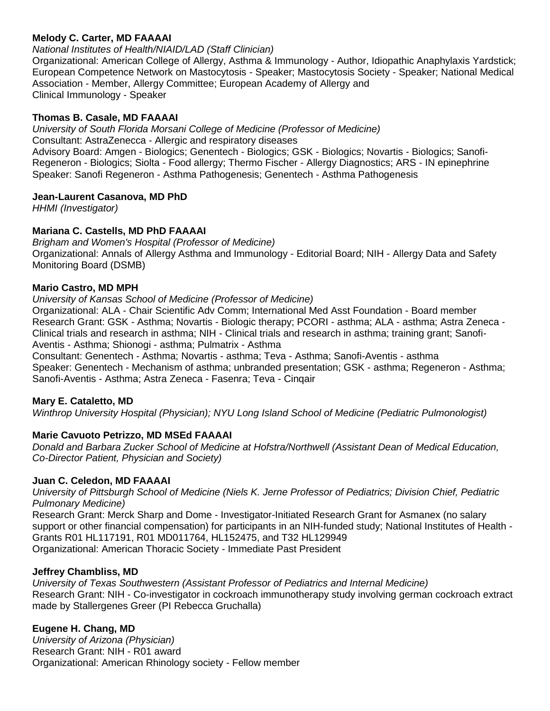#### **Melody C. Carter, MD FAAAAI**

# *National Institutes of Health/NIAID/LAD (Staff Clinician)*

Organizational: American College of Allergy, Asthma & Immunology - Author, Idiopathic Anaphylaxis Yardstick; European Competence Network on Mastocytosis - Speaker; Mastocytosis Society - Speaker; National Medical Association - Member, Allergy Committee; European Academy of Allergy and Clinical Immunology - Speaker

### **Thomas B. Casale, MD FAAAAI**

*University of South Florida Morsani College of Medicine (Professor of Medicine)* Consultant: AstraZenecca - Allergic and respiratory diseases Advisory Board: Amgen - Biologics; Genentech - Biologics; GSK - Biologics; Novartis - Biologics; Sanofi-Regeneron - Biologics; Siolta - Food allergy; Thermo Fischer - Allergy Diagnostics; ARS - IN epinephrine Speaker: Sanofi Regeneron - Asthma Pathogenesis; Genentech - Asthma Pathogenesis

### **Jean-Laurent Casanova, MD PhD**

*HHMI (Investigator)*

# **Mariana C. Castells, MD PhD FAAAAI**

*Brigham and Women's Hospital (Professor of Medicine)* Organizational: Annals of Allergy Asthma and Immunology - Editorial Board; NIH - Allergy Data and Safety Monitoring Board (DSMB)

#### **Mario Castro, MD MPH**

*University of Kansas School of Medicine (Professor of Medicine)*

Organizational: ALA - Chair Scientific Adv Comm; International Med Asst Foundation - Board member Research Grant: GSK - Asthma; Novartis - Biologic therapy; PCORI - asthma; ALA - asthma; Astra Zeneca - Clinical trials and research in asthma; NIH - Clinical trials and research in asthma; training grant; Sanofi-Aventis - Asthma; Shionogi - asthma; Pulmatrix - Asthma

Consultant: Genentech - Asthma; Novartis - asthma; Teva - Asthma; Sanofi-Aventis - asthma Speaker: Genentech - Mechanism of asthma; unbranded presentation; GSK - asthma; Regeneron - Asthma; Sanofi-Aventis - Asthma; Astra Zeneca - Fasenra; Teva - Cinqair

#### **Mary E. Cataletto, MD**

*Winthrop University Hospital (Physician); NYU Long Island School of Medicine (Pediatric Pulmonologist)*

# **Marie Cavuoto Petrizzo, MD MSEd FAAAAI**

*Donald and Barbara Zucker School of Medicine at Hofstra/Northwell (Assistant Dean of Medical Education, Co-Director Patient, Physician and Society)*

#### **Juan C. Celedon, MD FAAAAI**

*University of Pittsburgh School of Medicine (Niels K. Jerne Professor of Pediatrics; Division Chief, Pediatric Pulmonary Medicine)*

Research Grant: Merck Sharp and Dome - Investigator-Initiated Research Grant for Asmanex (no salary support or other financial compensation) for participants in an NIH-funded study; National Institutes of Health - Grants R01 HL117191, R01 MD011764, HL152475, and T32 HL129949 Organizational: American Thoracic Society - Immediate Past President

#### **Jeffrey Chambliss, MD**

*University of Texas Southwestern (Assistant Professor of Pediatrics and Internal Medicine)* Research Grant: NIH - Co-investigator in cockroach immunotherapy study involving german cockroach extract made by Stallergenes Greer (PI Rebecca Gruchalla)

# **Eugene H. Chang, MD**

*University of Arizona (Physician)* Research Grant: NIH - R01 award Organizational: American Rhinology society - Fellow member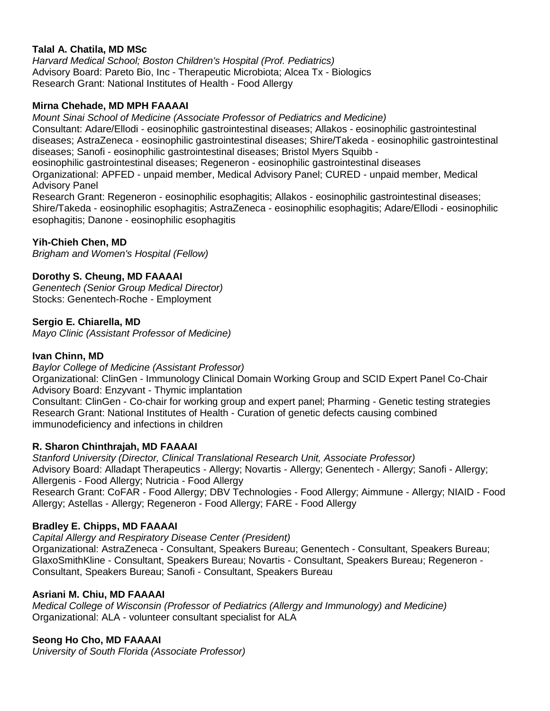### **Talal A. Chatila, MD MSc**

*Harvard Medical School; Boston Children's Hospital (Prof. Pediatrics)* Advisory Board: Pareto Bio, Inc - Therapeutic Microbiota; Alcea Tx - Biologics Research Grant: National Institutes of Health - Food Allergy

#### **Mirna Chehade, MD MPH FAAAAI**

*Mount Sinai School of Medicine (Associate Professor of Pediatrics and Medicine)* Consultant: Adare/Ellodi - eosinophilic gastrointestinal diseases; Allakos - eosinophilic gastrointestinal diseases; AstraZeneca - eosinophilic gastrointestinal diseases; Shire/Takeda - eosinophilic gastrointestinal diseases; Sanofi - eosinophilic gastrointestinal diseases; Bristol Myers Squibb eosinophilic gastrointestinal diseases; Regeneron - eosinophilic gastrointestinal diseases Organizational: APFED - unpaid member, Medical Advisory Panel; CURED - unpaid member, Medical

Advisory Panel

Research Grant: Regeneron - eosinophilic esophagitis; Allakos - eosinophilic gastrointestinal diseases; Shire/Takeda - eosinophilic esophagitis; AstraZeneca - eosinophilic esophagitis; Adare/Ellodi - eosinophilic esophagitis; Danone - eosinophilic esophagitis

#### **Yih-Chieh Chen, MD**

*Brigham and Women's Hospital (Fellow)*

#### **Dorothy S. Cheung, MD FAAAAI**

*Genentech (Senior Group Medical Director)* Stocks: Genentech-Roche - Employment

#### **Sergio E. Chiarella, MD**

*Mayo Clinic (Assistant Professor of Medicine)*

#### **Ivan Chinn, MD**

*Baylor College of Medicine (Assistant Professor)*

Organizational: ClinGen - Immunology Clinical Domain Working Group and SCID Expert Panel Co-Chair Advisory Board: Enzyvant - Thymic implantation

Consultant: ClinGen - Co-chair for working group and expert panel; Pharming - Genetic testing strategies Research Grant: National Institutes of Health - Curation of genetic defects causing combined immunodeficiency and infections in children

#### **R. Sharon Chinthrajah, MD FAAAAI**

*Stanford University (Director, Clinical Translational Research Unit, Associate Professor)* Advisory Board: Alladapt Therapeutics - Allergy; Novartis - Allergy; Genentech - Allergy; Sanofi - Allergy; Allergenis - Food Allergy; Nutricia - Food Allergy Research Grant: CoFAR - Food Allergy; DBV Technologies - Food Allergy; Aimmune - Allergy; NIAID - Food Allergy; Astellas - Allergy; Regeneron - Food Allergy; FARE - Food Allergy

#### **Bradley E. Chipps, MD FAAAAI**

*Capital Allergy and Respiratory Disease Center (President)*

Organizational: AstraZeneca - Consultant, Speakers Bureau; Genentech - Consultant, Speakers Bureau; GlaxoSmithKline - Consultant, Speakers Bureau; Novartis - Consultant, Speakers Bureau; Regeneron - Consultant, Speakers Bureau; Sanofi - Consultant, Speakers Bureau

#### **Asriani M. Chiu, MD FAAAAI**

*Medical College of Wisconsin (Professor of Pediatrics (Allergy and Immunology) and Medicine)* Organizational: ALA - volunteer consultant specialist for ALA

#### **Seong Ho Cho, MD FAAAAI**

*University of South Florida (Associate Professor)*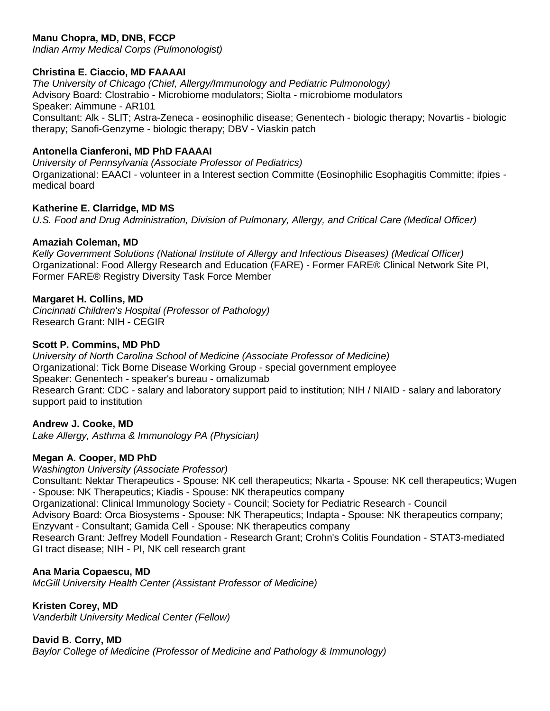# **Manu Chopra, MD, DNB, FCCP**

*Indian Army Medical Corps (Pulmonologist)*

### **Christina E. Ciaccio, MD FAAAAI**

*The University of Chicago (Chief, Allergy/Immunology and Pediatric Pulmonology)* Advisory Board: Clostrabio - Microbiome modulators; Siolta - microbiome modulators Speaker: Aimmune - AR101 Consultant: Alk - SLIT; Astra-Zeneca - eosinophilic disease; Genentech - biologic therapy; Novartis - biologic therapy; Sanofi-Genzyme - biologic therapy; DBV - Viaskin patch

## **Antonella Cianferoni, MD PhD FAAAAI**

*University of Pennsylvania (Associate Professor of Pediatrics)* Organizational: EAACI - volunteer in a Interest section Committe (Eosinophilic Esophagitis Committe; ifpies medical board

#### **Katherine E. Clarridge, MD MS**

*U.S. Food and Drug Administration, Division of Pulmonary, Allergy, and Critical Care (Medical Officer)*

### **Amaziah Coleman, MD**

*Kelly Government Solutions (National Institute of Allergy and Infectious Diseases) (Medical Officer)* Organizational: Food Allergy Research and Education (FARE) - Former FARE® Clinical Network Site PI, Former FARE® Registry Diversity Task Force Member

### **Margaret H. Collins, MD**

*Cincinnati Children's Hospital (Professor of Pathology)* Research Grant: NIH - CEGIR

#### **Scott P. Commins, MD PhD**

*University of North Carolina School of Medicine (Associate Professor of Medicine)* Organizational: Tick Borne Disease Working Group - special government employee Speaker: Genentech - speaker's bureau - omalizumab Research Grant: CDC - salary and laboratory support paid to institution; NIH / NIAID - salary and laboratory support paid to institution

# **Andrew J. Cooke, MD**

*Lake Allergy, Asthma & Immunology PA (Physician)*

# **Megan A. Cooper, MD PhD**

*Washington University (Associate Professor)* Consultant: Nektar Therapeutics - Spouse: NK cell therapeutics; Nkarta - Spouse: NK cell therapeutics; Wugen - Spouse: NK Therapeutics; Kiadis - Spouse: NK therapeutics company Organizational: Clinical Immunology Society - Council; Society for Pediatric Research - Council Advisory Board: Orca Biosystems - Spouse: NK Therapeutics; Indapta - Spouse: NK therapeutics company; Enzyvant - Consultant; Gamida Cell - Spouse: NK therapeutics company Research Grant: Jeffrey Modell Foundation - Research Grant; Crohn's Colitis Foundation - STAT3-mediated GI tract disease; NIH - PI, NK cell research grant

#### **Ana Maria Copaescu, MD**

*McGill University Health Center (Assistant Professor of Medicine)*

# **Kristen Corey, MD**

*Vanderbilt University Medical Center (Fellow)*

#### **David B. Corry, MD**

*Baylor College of Medicine (Professor of Medicine and Pathology & Immunology)*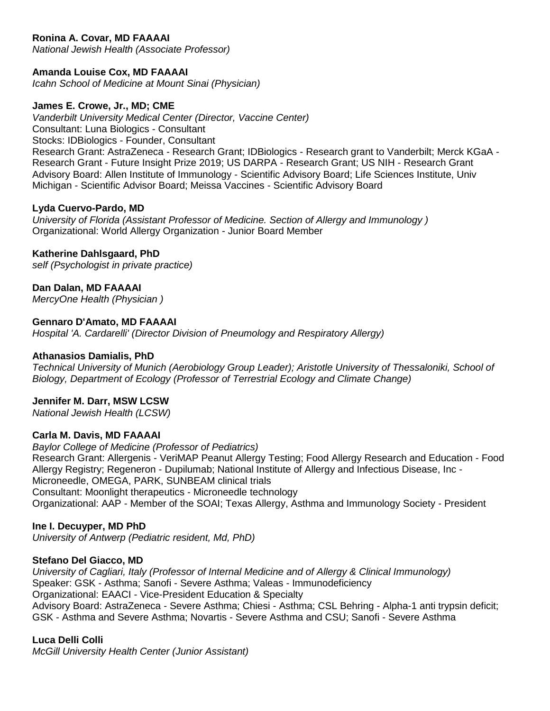# **Ronina A. Covar, MD FAAAAI**

*National Jewish Health (Associate Professor)*

#### **Amanda Louise Cox, MD FAAAAI**

*Icahn School of Medicine at Mount Sinai (Physician)*

#### **James E. Crowe, Jr., MD; CME**

*Vanderbilt University Medical Center (Director, Vaccine Center)* Consultant: Luna Biologics - Consultant Stocks: IDBiologics - Founder, Consultant Research Grant: AstraZeneca - Research Grant; IDBiologics - Research grant to Vanderbilt; Merck KGaA - Research Grant - Future Insight Prize 2019; US DARPA - Research Grant; US NIH - Research Grant Advisory Board: Allen Institute of Immunology - Scientific Advisory Board; Life Sciences Institute, Univ Michigan - Scientific Advisor Board; Meissa Vaccines - Scientific Advisory Board

#### **Lyda Cuervo-Pardo, MD**

*University of Florida (Assistant Professor of Medicine. Section of Allergy and Immunology )* Organizational: World Allergy Organization - Junior Board Member

#### **Katherine Dahlsgaard, PhD**

*self (Psychologist in private practice)*

#### **Dan Dalan, MD FAAAAI**

*MercyOne Health (Physician )*

#### **Gennaro D'Amato, MD FAAAAI**

*Hospital 'A. Cardarelli' (Director Division of Pneumology and Respiratory Allergy)*

#### **Athanasios Damialis, PhD**

*Technical University of Munich (Aerobiology Group Leader); Aristotle University of Thessaloniki, School of Biology, Department of Ecology (Professor of Terrestrial Ecology and Climate Change)*

#### **Jennifer M. Darr, MSW LCSW**

*National Jewish Health (LCSW)*

#### **Carla M. Davis, MD FAAAAI**

*Baylor College of Medicine (Professor of Pediatrics)* Research Grant: Allergenis - VeriMAP Peanut Allergy Testing; Food Allergy Research and Education - Food Allergy Registry; Regeneron - Dupilumab; National Institute of Allergy and Infectious Disease, Inc - Microneedle, OMEGA, PARK, SUNBEAM clinical trials Consultant: Moonlight therapeutics - Microneedle technology Organizational: AAP - Member of the SOAI; Texas Allergy, Asthma and Immunology Society - President

#### **Ine I. Decuyper, MD PhD**

*University of Antwerp (Pediatric resident, Md, PhD)*

#### **Stefano Del Giacco, MD**

*University of Cagliari, Italy (Professor of Internal Medicine and of Allergy & Clinical Immunology)* Speaker: GSK - Asthma; Sanofi - Severe Asthma; Valeas - Immunodeficiency Organizational: EAACI - Vice-President Education & Specialty Advisory Board: AstraZeneca - Severe Asthma; Chiesi - Asthma; CSL Behring - Alpha-1 anti trypsin deficit; GSK - Asthma and Severe Asthma; Novartis - Severe Asthma and CSU; Sanofi - Severe Asthma

#### **Luca Delli Colli**

*McGill University Health Center (Junior Assistant)*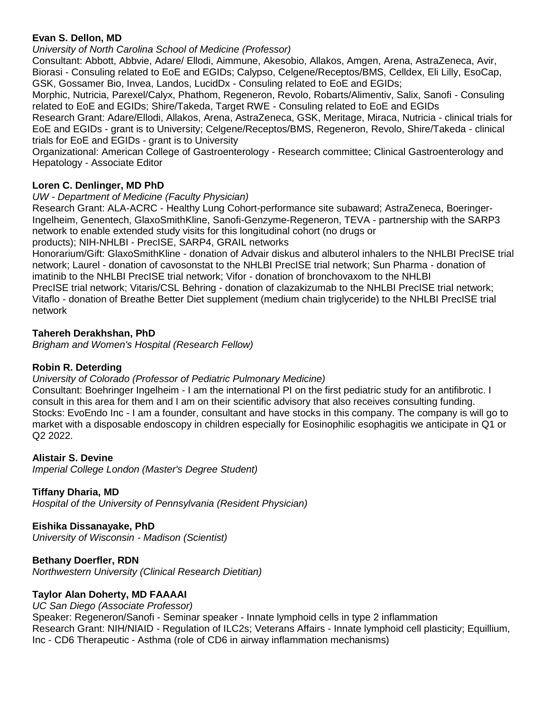### **Evan S. Dellon, MD**

*University of North Carolina School of Medicine (Professor)*

Consultant: Abbott, Abbvie, Adare/ Ellodi, Aimmune, Akesobio, Allakos, Amgen, Arena, AstraZeneca, Avir, Biorasi - Consuling related to EoE and EGIDs; Calypso, Celgene/Receptos/BMS, Celldex, Eli Lilly, EsoCap, GSK, Gossamer Bio, Invea, Landos, LucidDx - Consuling related to EoE and EGIDs;

Morphic, Nutricia, Parexel/Calyx, Phathom, Regeneron, Revolo, Robarts/Alimentiv, Salix, Sanofi - Consuling related to EoE and EGIDs; Shire/Takeda, Target RWE - Consuling related to EoE and EGIDs

Research Grant: Adare/Ellodi, Allakos, Arena, AstraZeneca, GSK, Meritage, Miraca, Nutricia - clinical trials for EoE and EGIDs - grant is to University; Celgene/Receptos/BMS, Regeneron, Revolo, Shire/Takeda - clinical trials for EoE and EGIDs - grant is to University

Organizational: American College of Gastroenterology - Research committee; Clinical Gastroenterology and Hepatology - Associate Editor

# **Loren C. Denlinger, MD PhD**

*UW - Department of Medicine (Faculty Physician)*

Research Grant: ALA-ACRC - Healthy Lung Cohort-performance site subaward; AstraZeneca, Boeringer-Ingelheim, Genentech, GlaxoSmithKline, Sanofi-Genzyme-Regeneron, TEVA - partnership with the SARP3 network to enable extended study visits for this longitudinal cohort (no drugs or

products); NIH-NHLBI - PrecISE, SARP4, GRAIL networks

Honorarium/Gift: GlaxoSmithKline - donation of Advair diskus and albuterol inhalers to the NHLBI PrecISE trial network; Laurel - donation of cavosonstat to the NHLBI PrecISE trial network; Sun Pharma - donation of imatinib to the NHLBI PrecISE trial network; Vifor - donation of bronchovaxom to the NHLBI PrecISE trial network; Vitaris/CSL Behring - donation of clazakizumab to the NHLBI PrecISE trial network; Vitaflo - donation of Breathe Better Diet supplement (medium chain triglyceride) to the NHLBI PrecISE trial network

### **Tahereh Derakhshan, PhD**

*Brigham and Women's Hospital (Research Fellow)*

#### **Robin R. Deterding**

### *University of Colorado (Professor of Pediatric Pulmonary Medicine)*

Consultant: Boehringer Ingelheim - I am the international PI on the first pediatric study for an antifibrotic. I consult in this area for them and I am on their scientific advisory that also receives consulting funding. Stocks: EvoEndo Inc - I am a founder, consultant and have stocks in this company. The company is will go to market with a disposable endoscopy in children especially for Eosinophilic esophagitis we anticipate in Q1 or Q2 2022.

#### **Alistair S. Devine**

*Imperial College London (Master's Degree Student)*

#### **Tiffany Dharia, MD**

*Hospital of the University of Pennsylvania (Resident Physician)*

#### **Eishika Dissanayake, PhD**

*University of Wisconsin - Madison (Scientist)*

# **Bethany Doerfler, RDN**

*Northwestern University (Clinical Research Dietitian)*

#### **Taylor Alan Doherty, MD FAAAAI**

#### *UC San Diego (Associate Professor)*

Speaker: Regeneron/Sanofi - Seminar speaker - Innate lymphoid cells in type 2 inflammation Research Grant: NIH/NIAID - Regulation of ILC2s; Veterans Affairs - Innate lymphoid cell plasticity; Equillium, Inc - CD6 Therapeutic - Asthma (role of CD6 in airway inflammation mechanisms)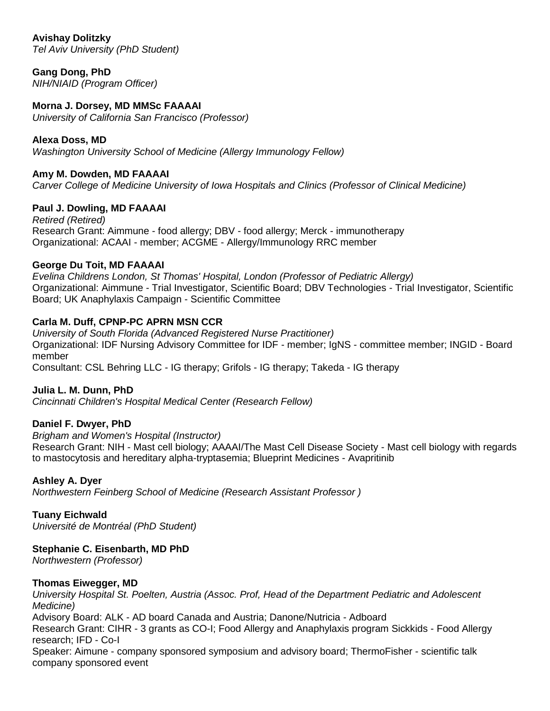**Avishay Dolitzky** *Tel Aviv University (PhD Student)*

**Gang Dong, PhD** *NIH/NIAID (Program Officer)*

### **Morna J. Dorsey, MD MMSc FAAAAI**

*University of California San Francisco (Professor)*

#### **Alexa Doss, MD**

*Washington University School of Medicine (Allergy Immunology Fellow)*

#### **Amy M. Dowden, MD FAAAAI**

*Carver College of Medicine University of Iowa Hospitals and Clinics (Professor of Clinical Medicine)*

#### **Paul J. Dowling, MD FAAAAI**

*Retired (Retired)* Research Grant: Aimmune - food allergy; DBV - food allergy; Merck - immunotherapy Organizational: ACAAI - member; ACGME - Allergy/Immunology RRC member

#### **George Du Toit, MD FAAAAI**

*Evelina Childrens London, St Thomas' Hospital, London (Professor of Pediatric Allergy)* Organizational: Aimmune - Trial Investigator, Scientific Board; DBV Technologies - Trial Investigator, Scientific Board; UK Anaphylaxis Campaign - Scientific Committee

#### **Carla M. Duff, CPNP-PC APRN MSN CCR**

*University of South Florida (Advanced Registered Nurse Practitioner)* Organizational: IDF Nursing Advisory Committee for IDF - member; IgNS - committee member; INGID - Board member

# Consultant: CSL Behring LLC - IG therapy; Grifols - IG therapy; Takeda - IG therapy

#### **Julia L. M. Dunn, PhD**

*Cincinnati Children's Hospital Medical Center (Research Fellow)*

#### **Daniel F. Dwyer, PhD**

*Brigham and Women's Hospital (Instructor)* Research Grant: NIH - Mast cell biology; AAAAI/The Mast Cell Disease Society - Mast cell biology with regards to mastocytosis and hereditary alpha-tryptasemia; Blueprint Medicines - Avapritinib

#### **Ashley A. Dyer**

*Northwestern Feinberg School of Medicine (Research Assistant Professor )*

#### **Tuany Eichwald**

*Université de Montréal (PhD Student)*

#### **Stephanie C. Eisenbarth, MD PhD**

*Northwestern (Professor)*

#### **Thomas Eiwegger, MD**

*University Hospital St. Poelten, Austria (Assoc. Prof, Head of the Department Pediatric and Adolescent Medicine)* Advisory Board: ALK - AD board Canada and Austria; Danone/Nutricia - Adboard Research Grant: CIHR - 3 grants as CO-I; Food Allergy and Anaphylaxis program Sickkids - Food Allergy research; IFD - Co-I

Speaker: Aimune - company sponsored symposium and advisory board; ThermoFisher - scientific talk company sponsored event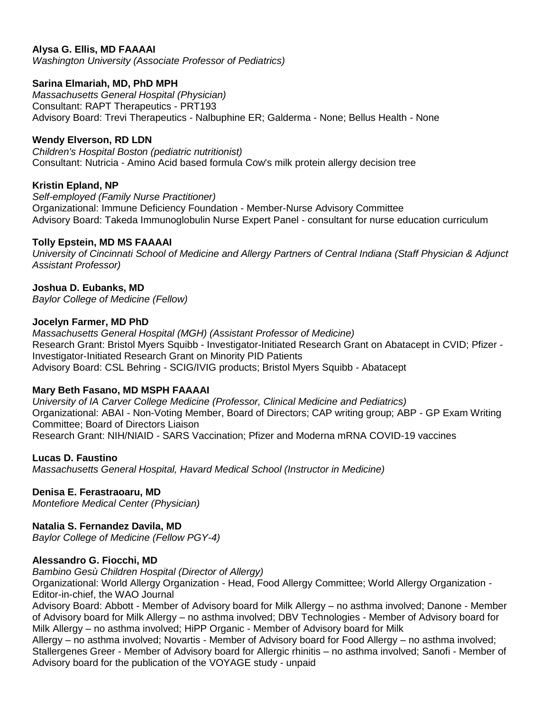### **Alysa G. Ellis, MD FAAAAI**

*Washington University (Associate Professor of Pediatrics)*

#### **Sarina Elmariah, MD, PhD MPH**

*Massachusetts General Hospital (Physician)* Consultant: RAPT Therapeutics - PRT193 Advisory Board: Trevi Therapeutics - Nalbuphine ER; Galderma - None; Bellus Health - None

### **Wendy Elverson, RD LDN**

*Children's Hospital Boston (pediatric nutritionist)* Consultant: Nutricia - Amino Acid based formula Cow's milk protein allergy decision tree

### **Kristin Epland, NP**

*Self-employed (Family Nurse Practitioner)* Organizational: Immune Deficiency Foundation - Member-Nurse Advisory Committee Advisory Board: Takeda Immunoglobulin Nurse Expert Panel - consultant for nurse education curriculum

### **Tolly Epstein, MD MS FAAAAI**

*University of Cincinnati School of Medicine and Allergy Partners of Central Indiana (Staff Physician & Adjunct Assistant Professor)*

### **Joshua D. Eubanks, MD**

*Baylor College of Medicine (Fellow)*

#### **Jocelyn Farmer, MD PhD**

*Massachusetts General Hospital (MGH) (Assistant Professor of Medicine)* Research Grant: Bristol Myers Squibb - Investigator-Initiated Research Grant on Abatacept in CVID; Pfizer - Investigator-Initiated Research Grant on Minority PID Patients Advisory Board: CSL Behring - SCIG/IVIG products; Bristol Myers Squibb - Abatacept

#### **Mary Beth Fasano, MD MSPH FAAAAI**

*University of IA Carver College Medicine (Professor, Clinical Medicine and Pediatrics)* Organizational: ABAI - Non-Voting Member, Board of Directors; CAP writing group; ABP - GP Exam Writing Committee; Board of Directors Liaison Research Grant: NIH/NIAID - SARS Vaccination; Pfizer and Moderna mRNA COVID-19 vaccines

#### **Lucas D. Faustino**

*Massachusetts General Hospital, Havard Medical School (Instructor in Medicine)*

# **Denisa E. Ferastraoaru, MD**

*Montefiore Medical Center (Physician)*

# **Natalia S. Fernandez Davila, MD**

*Baylor College of Medicine (Fellow PGY-4)*

#### **Alessandro G. Fiocchi, MD**

*Bambino Gesù Children Hospital (Director of Allergy)*

Organizational: World Allergy Organization - Head, Food Allergy Committee; World Allergy Organization - Editor-in-chief, the WAO Journal

Advisory Board: Abbott - Member of Advisory board for Milk Allergy – no asthma involved; Danone - Member of Advisory board for Milk Allergy – no asthma involved; DBV Technologies - Member of Advisory board for Milk Allergy – no asthma involved; HiPP Organic - Member of Advisory board for Milk

Allergy – no asthma involved; Novartis - Member of Advisory board for Food Allergy – no asthma involved; Stallergenes Greer - Member of Advisory board for Allergic rhinitis – no asthma involved; Sanofi - Member of Advisory board for the publication of the VOYAGE study - unpaid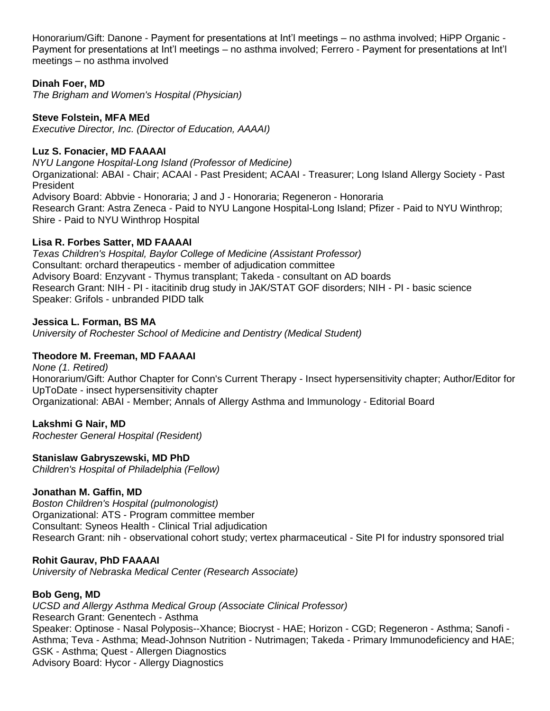Honorarium/Gift: Danone - Payment for presentations at Int'l meetings – no asthma involved; HiPP Organic - Payment for presentations at Int'l meetings – no asthma involved; Ferrero - Payment for presentations at Int'l meetings – no asthma involved

### **Dinah Foer, MD**

*The Brigham and Women's Hospital (Physician)*

### **Steve Folstein, MFA MEd**

*Executive Director, Inc. (Director of Education, AAAAI)*

### **Luz S. Fonacier, MD FAAAAI**

*NYU Langone Hospital-Long Island (Professor of Medicine)* Organizational: ABAI - Chair; ACAAI - Past President; ACAAI - Treasurer; Long Island Allergy Society - Past President Advisory Board: Abbvie - Honoraria; J and J - Honoraria; Regeneron - Honoraria Research Grant: Astra Zeneca - Paid to NYU Langone Hospital-Long Island; Pfizer - Paid to NYU Winthrop; Shire - Paid to NYU Winthrop Hospital

### **Lisa R. Forbes Satter, MD FAAAAI**

*Texas Children's Hospital, Baylor College of Medicine (Assistant Professor)* Consultant: orchard therapeutics - member of adjudication committee Advisory Board: Enzyvant - Thymus transplant; Takeda - consultant on AD boards Research Grant: NIH - PI - itacitinib drug study in JAK/STAT GOF disorders; NIH - PI - basic science Speaker: Grifols - unbranded PIDD talk

#### **Jessica L. Forman, BS MA**

*University of Rochester School of Medicine and Dentistry (Medical Student)*

# **Theodore M. Freeman, MD FAAAAI**

*None (1. Retired)* Honorarium/Gift: Author Chapter for Conn's Current Therapy - Insect hypersensitivity chapter; Author/Editor for UpToDate - insect hypersensitivity chapter Organizational: ABAI - Member; Annals of Allergy Asthma and Immunology - Editorial Board

# **Lakshmi G Nair, MD**

*Rochester General Hospital (Resident)*

#### **Stanislaw Gabryszewski, MD PhD**

*Children's Hospital of Philadelphia (Fellow)*

#### **Jonathan M. Gaffin, MD**

*Boston Children's Hospital (pulmonologist)* Organizational: ATS - Program committee member Consultant: Syneos Health - Clinical Trial adjudication Research Grant: nih - observational cohort study; vertex pharmaceutical - Site PI for industry sponsored trial

#### **Rohit Gaurav, PhD FAAAAI**

*University of Nebraska Medical Center (Research Associate)*

#### **Bob Geng, MD**

*UCSD and Allergy Asthma Medical Group (Associate Clinical Professor)* Research Grant: Genentech - Asthma Speaker: Optinose - Nasal Polyposis--Xhance; Biocryst - HAE; Horizon - CGD; Regeneron - Asthma; Sanofi - Asthma; Teva - Asthma; Mead-Johnson Nutrition - Nutrimagen; Takeda - Primary Immunodeficiency and HAE; GSK - Asthma; Quest - Allergen Diagnostics Advisory Board: Hycor - Allergy Diagnostics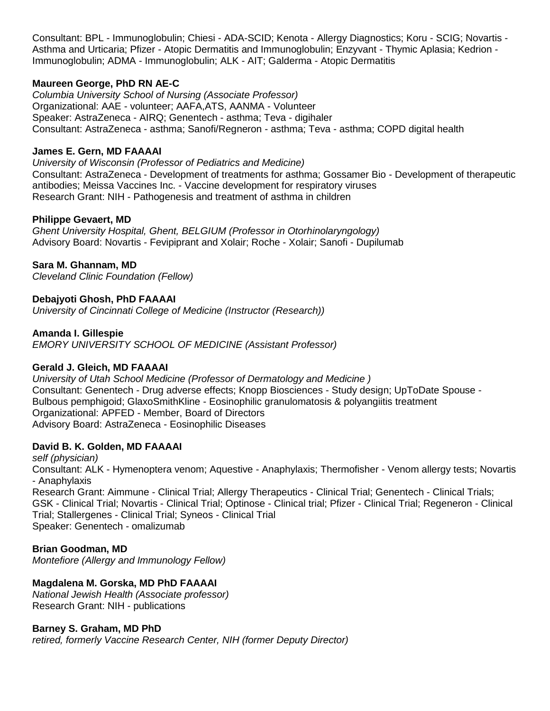Consultant: BPL - Immunoglobulin; Chiesi - ADA-SCID; Kenota - Allergy Diagnostics; Koru - SCIG; Novartis - Asthma and Urticaria; Pfizer - Atopic Dermatitis and Immunoglobulin; Enzyvant - Thymic Aplasia; Kedrion - Immunoglobulin; ADMA - Immunoglobulin; ALK - AIT; Galderma - Atopic Dermatitis

### **Maureen George, PhD RN AE-C**

*Columbia University School of Nursing (Associate Professor)* Organizational: AAE - volunteer; AAFA,ATS, AANMA - Volunteer Speaker: AstraZeneca - AIRQ; Genentech - asthma; Teva - digihaler Consultant: AstraZeneca - asthma; Sanofi/Regneron - asthma; Teva - asthma; COPD digital health

#### **James E. Gern, MD FAAAAI**

*University of Wisconsin (Professor of Pediatrics and Medicine)* Consultant: AstraZeneca - Development of treatments for asthma; Gossamer Bio - Development of therapeutic antibodies; Meissa Vaccines Inc. - Vaccine development for respiratory viruses Research Grant: NIH - Pathogenesis and treatment of asthma in children

#### **Philippe Gevaert, MD**

*Ghent University Hospital, Ghent, BELGIUM (Professor in Otorhinolaryngology)* Advisory Board: Novartis - Fevipiprant and Xolair; Roche - Xolair; Sanofi - Dupilumab

**Sara M. Ghannam, MD**

*Cleveland Clinic Foundation (Fellow)*

#### **Debajyoti Ghosh, PhD FAAAAI**

*University of Cincinnati College of Medicine (Instructor (Research))*

#### **Amanda I. Gillespie**

*EMORY UNIVERSITY SCHOOL OF MEDICINE (Assistant Professor)*

#### **Gerald J. Gleich, MD FAAAAI**

*University of Utah School Medicine (Professor of Dermatology and Medicine )* Consultant: Genentech - Drug adverse effects; Knopp Biosciences - Study design; UpToDate Spouse - Bulbous pemphigoid; GlaxoSmithKline - Eosinophilic granulomatosis & polyangiitis treatment Organizational: APFED - Member, Board of Directors Advisory Board: AstraZeneca - Eosinophilic Diseases

#### **David B. K. Golden, MD FAAAAI**

*self (physician)* Consultant: ALK - Hymenoptera venom; Aquestive - Anaphylaxis; Thermofisher - Venom allergy tests; Novartis - Anaphylaxis Research Grant: Aimmune - Clinical Trial; Allergy Therapeutics - Clinical Trial; Genentech - Clinical Trials; GSK - Clinical Trial; Novartis - Clinical Trial; Optinose - Clinical trial; Pfizer - Clinical Trial; Regeneron - Clinical Trial; Stallergenes - Clinical Trial; Syneos - Clinical Trial Speaker: Genentech - omalizumab

#### **Brian Goodman, MD**

*Montefiore (Allergy and Immunology Fellow)*

#### **Magdalena M. Gorska, MD PhD FAAAAI**

*National Jewish Health (Associate professor)* Research Grant: NIH - publications

#### **Barney S. Graham, MD PhD**

*retired, formerly Vaccine Research Center, NIH (former Deputy Director)*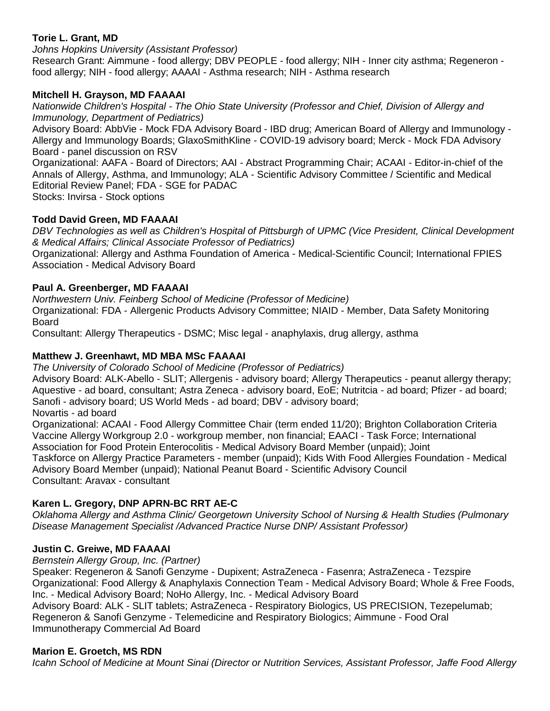# **Torie L. Grant, MD**

*Johns Hopkins University (Assistant Professor)*

Research Grant: Aimmune - food allergy; DBV PEOPLE - food allergy; NIH - Inner city asthma; Regeneron food allergy; NIH - food allergy; AAAAI - Asthma research; NIH - Asthma research

### **Mitchell H. Grayson, MD FAAAAI**

*Nationwide Children's Hospital - The Ohio State University (Professor and Chief, Division of Allergy and Immunology, Department of Pediatrics)*

Advisory Board: AbbVie - Mock FDA Advisory Board - IBD drug; American Board of Allergy and Immunology - Allergy and Immunology Boards; GlaxoSmithKline - COVID-19 advisory board; Merck - Mock FDA Advisory Board - panel discussion on RSV

Organizational: AAFA - Board of Directors; AAI - Abstract Programming Chair; ACAAI - Editor-in-chief of the Annals of Allergy, Asthma, and Immunology; ALA - Scientific Advisory Committee / Scientific and Medical Editorial Review Panel; FDA - SGE for PADAC

Stocks: Invirsa - Stock options

### **Todd David Green, MD FAAAAI**

*DBV Technologies as well as Children's Hospital of Pittsburgh of UPMC (Vice President, Clinical Development & Medical Affairs; Clinical Associate Professor of Pediatrics)*

Organizational: Allergy and Asthma Foundation of America - Medical-Scientific Council; International FPIES Association - Medical Advisory Board

#### **Paul A. Greenberger, MD FAAAAI**

*Northwestern Univ. Feinberg School of Medicine (Professor of Medicine)* Organizational: FDA - Allergenic Products Advisory Committee; NIAID - Member, Data Safety Monitoring Board

Consultant: Allergy Therapeutics - DSMC; Misc legal - anaphylaxis, drug allergy, asthma

### **Matthew J. Greenhawt, MD MBA MSc FAAAAI**

*The University of Colorado School of Medicine (Professor of Pediatrics)* Advisory Board: ALK-Abello - SLIT; Allergenis - advisory board; Allergy Therapeutics - peanut allergy therapy; Aquestive - ad board, consultant; Astra Zeneca - advisory board, EoE; Nutritcia - ad board; Pfizer - ad board; Sanofi - advisory board; US World Meds - ad board; DBV - advisory board; Novartis - ad board

Organizational: ACAAI - Food Allergy Committee Chair (term ended 11/20); Brighton Collaboration Criteria Vaccine Allergy Workgroup 2.0 - workgroup member, non financial; EAACI - Task Force; International Association for Food Protein Enterocolitis - Medical Advisory Board Member (unpaid); Joint Taskforce on Allergy Practice Parameters - member (unpaid); Kids With Food Allergies Foundation - Medical Advisory Board Member (unpaid); National Peanut Board - Scientific Advisory Council Consultant: Aravax - consultant

# **Karen L. Gregory, DNP APRN-BC RRT AE-C**

*Oklahoma Allergy and Asthma Clinic/ Georgetown University School of Nursing & Health Studies (Pulmonary Disease Management Specialist /Advanced Practice Nurse DNP/ Assistant Professor)*

#### **Justin C. Greiwe, MD FAAAAI**

*Bernstein Allergy Group, Inc. (Partner)*

Speaker: Regeneron & Sanofi Genzyme - Dupixent; AstraZeneca - Fasenra; AstraZeneca - Tezspire Organizational: Food Allergy & Anaphylaxis Connection Team - Medical Advisory Board; Whole & Free Foods, Inc. - Medical Advisory Board; NoHo Allergy, Inc. - Medical Advisory Board Advisory Board: ALK - SLIT tablets; AstraZeneca - Respiratory Biologics, US PRECISION, Tezepelumab; Regeneron & Sanofi Genzyme - Telemedicine and Respiratory Biologics; Aimmune - Food Oral

Immunotherapy Commercial Ad Board

#### **Marion E. Groetch, MS RDN**

*Icahn School of Medicine at Mount Sinai (Director or Nutrition Services, Assistant Professor, Jaffe Food Allergy*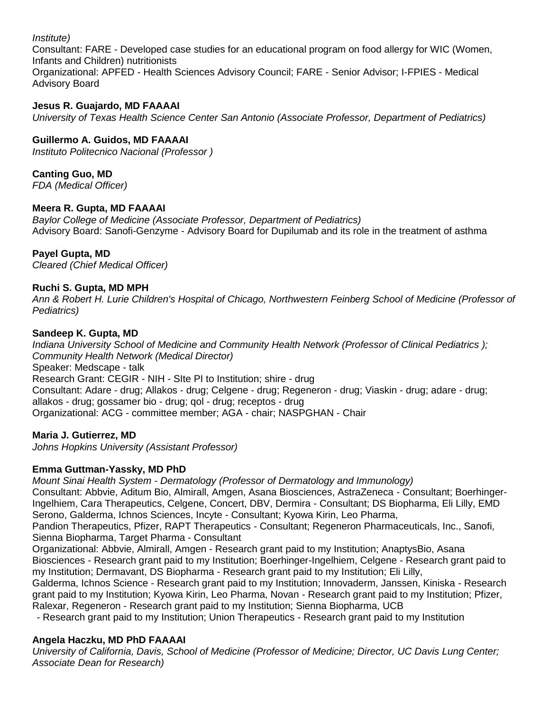#### *Institute)*

Consultant: FARE - Developed case studies for an educational program on food allergy for WIC (Women, Infants and Children) nutritionists

Organizational: APFED - Health Sciences Advisory Council; FARE - Senior Advisor; I-FPIES - Medical Advisory Board

### **Jesus R. Guajardo, MD FAAAAI**

*University of Texas Health Science Center San Antonio (Associate Professor, Department of Pediatrics)*

## **Guillermo A. Guidos, MD FAAAAI**

*Instituto Politecnico Nacional (Professor )*

### **Canting Guo, MD**

*FDA (Medical Officer)*

#### **Meera R. Gupta, MD FAAAAI**

*Baylor College of Medicine (Associate Professor, Department of Pediatrics)* Advisory Board: Sanofi-Genzyme - Advisory Board for Dupilumab and its role in the treatment of asthma

### **Payel Gupta, MD**

*Cleared (Chief Medical Officer)*

### **Ruchi S. Gupta, MD MPH**

*Ann & Robert H. Lurie Children's Hospital of Chicago, Northwestern Feinberg School of Medicine (Professor of Pediatrics)*

#### **Sandeep K. Gupta, MD**

*Indiana University School of Medicine and Community Health Network (Professor of Clinical Pediatrics ); Community Health Network (Medical Director)* Speaker: Medscape - talk Research Grant: CEGIR - NIH - SIte PI to Institution; shire - drug Consultant: Adare - drug; Allakos - drug; Celgene - drug; Regeneron - drug; Viaskin - drug; adare - drug; allakos - drug; gossamer bio - drug; qol - drug; receptos - drug Organizational: ACG - committee member; AGA - chair; NASPGHAN - Chair

# **Maria J. Gutierrez, MD**

*Johns Hopkins University (Assistant Professor)*

#### **Emma Guttman-Yassky, MD PhD**

*Mount Sinai Health System - Dermatology (Professor of Dermatology and Immunology)* Consultant: Abbvie, Aditum Bio, Almirall, Amgen, Asana Biosciences, AstraZeneca - Consultant; Boerhinger-Ingelhiem, Cara Therapeutics, Celgene, Concert, DBV, Dermira - Consultant; DS Biopharma, Eli Lilly, EMD Serono, Galderma, Ichnos Sciences, Incyte - Consultant; Kyowa Kirin, Leo Pharma,

Pandion Therapeutics, Pfizer, RAPT Therapeutics - Consultant; Regeneron Pharmaceuticals, Inc., Sanofi, Sienna Biopharma, Target Pharma - Consultant

Organizational: Abbvie, Almirall, Amgen - Research grant paid to my Institution; AnaptysBio, Asana Biosciences - Research grant paid to my Institution; Boerhinger-Ingelhiem, Celgene - Research grant paid to my Institution; Dermavant, DS Biopharma - Research grant paid to my Institution; Eli Lilly,

Galderma, Ichnos Science - Research grant paid to my Institution; Innovaderm, Janssen, Kiniska - Research grant paid to my Institution; Kyowa Kirin, Leo Pharma, Novan - Research grant paid to my Institution; Pfizer, Ralexar, Regeneron - Research grant paid to my Institution; Sienna Biopharma, UCB

- Research grant paid to my Institution; Union Therapeutics - Research grant paid to my Institution

#### **Angela Haczku, MD PhD FAAAAI**

*University of California, Davis, School of Medicine (Professor of Medicine; Director, UC Davis Lung Center; Associate Dean for Research)*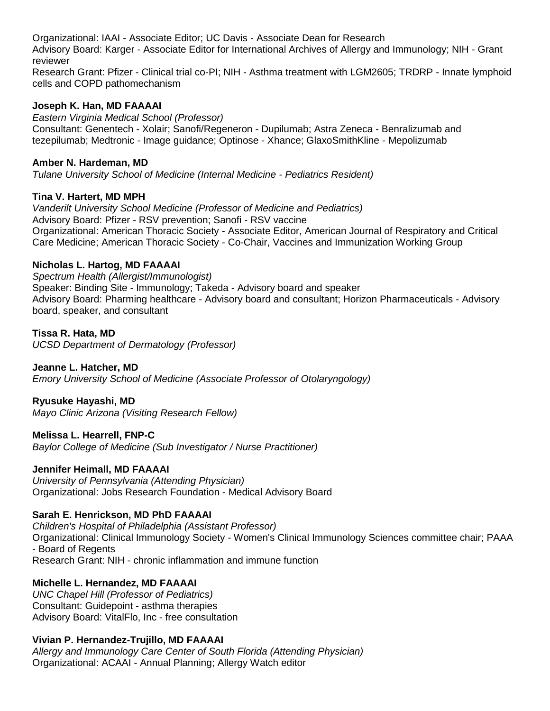Organizational: IAAI - Associate Editor; UC Davis - Associate Dean for Research Advisory Board: Karger - Associate Editor for International Archives of Allergy and Immunology; NIH - Grant reviewer

Research Grant: Pfizer - Clinical trial co-PI; NIH - Asthma treatment with LGM2605; TRDRP - Innate lymphoid cells and COPD pathomechanism

#### **Joseph K. Han, MD FAAAAI**

*Eastern Virginia Medical School (Professor)* Consultant: Genentech - Xolair; Sanofi/Regeneron - Dupilumab; Astra Zeneca - Benralizumab and tezepilumab; Medtronic - Image guidance; Optinose - Xhance; GlaxoSmithKline - Mepolizumab

#### **Amber N. Hardeman, MD**

*Tulane University School of Medicine (Internal Medicine - Pediatrics Resident)*

### **Tina V. Hartert, MD MPH**

*Vanderilt University School Medicine (Professor of Medicine and Pediatrics)* Advisory Board: Pfizer - RSV prevention; Sanofi - RSV vaccine Organizational: American Thoracic Society - Associate Editor, American Journal of Respiratory and Critical Care Medicine; American Thoracic Society - Co-Chair, Vaccines and Immunization Working Group

#### **Nicholas L. Hartog, MD FAAAAI**

*Spectrum Health (Allergist/Immunologist)* Speaker: Binding Site - Immunology; Takeda - Advisory board and speaker Advisory Board: Pharming healthcare - Advisory board and consultant; Horizon Pharmaceuticals - Advisory board, speaker, and consultant

# **Tissa R. Hata, MD**

*UCSD Department of Dermatology (Professor)*

# **Jeanne L. Hatcher, MD**

*Emory University School of Medicine (Associate Professor of Otolaryngology)*

#### **Ryusuke Hayashi, MD**

*Mayo Clinic Arizona (Visiting Research Fellow)*

#### **Melissa L. Hearrell, FNP-C**

*Baylor College of Medicine (Sub Investigator / Nurse Practitioner)*

#### **Jennifer Heimall, MD FAAAAI**

*University of Pennsylvania (Attending Physician)* Organizational: Jobs Research Foundation - Medical Advisory Board

#### **Sarah E. Henrickson, MD PhD FAAAAI**

*Children's Hospital of Philadelphia (Assistant Professor)* Organizational: Clinical Immunology Society - Women's Clinical Immunology Sciences committee chair; PAAA - Board of Regents Research Grant: NIH - chronic inflammation and immune function

# **Michelle L. Hernandez, MD FAAAAI**

*UNC Chapel Hill (Professor of Pediatrics)* Consultant: Guidepoint - asthma therapies Advisory Board: VitalFlo, Inc - free consultation

# **Vivian P. Hernandez-Trujillo, MD FAAAAI**

*Allergy and Immunology Care Center of South Florida (Attending Physician)* Organizational: ACAAI - Annual Planning; Allergy Watch editor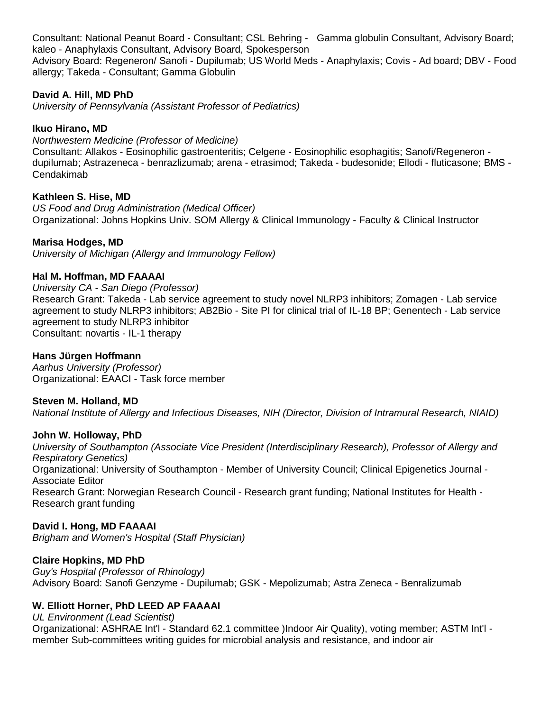Consultant: National Peanut Board - Consultant; CSL Behring - Gamma globulin Consultant, Advisory Board; kaleo - Anaphylaxis Consultant, Advisory Board, Spokesperson

Advisory Board: Regeneron/ Sanofi - Dupilumab; US World Meds - Anaphylaxis; Covis - Ad board; DBV - Food allergy; Takeda - Consultant; Gamma Globulin

### **David A. Hill, MD PhD**

*University of Pennsylvania (Assistant Professor of Pediatrics)*

### **Ikuo Hirano, MD**

*Northwestern Medicine (Professor of Medicine)* Consultant: Allakos - Eosinophilic gastroenteritis; Celgene - Eosinophilic esophagitis; Sanofi/Regeneron dupilumab; Astrazeneca - benrazlizumab; arena - etrasimod; Takeda - budesonide; Ellodi - fluticasone; BMS - Cendakimab

### **Kathleen S. Hise, MD**

*US Food and Drug Administration (Medical Officer)* Organizational: Johns Hopkins Univ. SOM Allergy & Clinical Immunology - Faculty & Clinical Instructor

### **Marisa Hodges, MD**

*University of Michigan (Allergy and Immunology Fellow)*

#### **Hal M. Hoffman, MD FAAAAI**

*University CA - San Diego (Professor)* Research Grant: Takeda - Lab service agreement to study novel NLRP3 inhibitors; Zomagen - Lab service agreement to study NLRP3 inhibitors; AB2Bio - Site PI for clinical trial of IL-18 BP; Genentech - Lab service agreement to study NLRP3 inhibitor Consultant: novartis - IL-1 therapy

#### **Hans Jürgen Hoffmann**

*Aarhus University (Professor)* Organizational: EAACI - Task force member

#### **Steven M. Holland, MD**

*National Institute of Allergy and Infectious Diseases, NIH (Director, Division of Intramural Research, NIAID)*

#### **John W. Holloway, PhD**

*University of Southampton (Associate Vice President (Interdisciplinary Research), Professor of Allergy and Respiratory Genetics)* Organizational: University of Southampton - Member of University Council; Clinical Epigenetics Journal - Associate Editor Research Grant: Norwegian Research Council - Research grant funding; National Institutes for Health - Research grant funding

#### **David I. Hong, MD FAAAAI**

*Brigham and Women's Hospital (Staff Physician)*

#### **Claire Hopkins, MD PhD**

*Guy's Hospital (Professor of Rhinology)* Advisory Board: Sanofi Genzyme - Dupilumab; GSK - Mepolizumab; Astra Zeneca - Benralizumab

#### **W. Elliott Horner, PhD LEED AP FAAAAI**

#### *UL Environment (Lead Scientist)*

Organizational: ASHRAE Int'l - Standard 62.1 committee )Indoor Air Quality), voting member; ASTM Int'l member Sub-committees writing guides for microbial analysis and resistance, and indoor air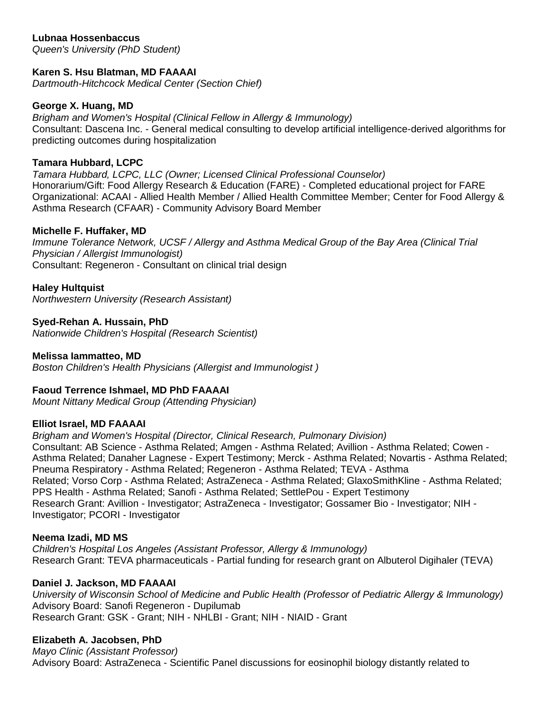## **Lubnaa Hossenbaccus**

*Queen's University (PhD Student)*

### **Karen S. Hsu Blatman, MD FAAAAI**

*Dartmouth-Hitchcock Medical Center (Section Chief)*

#### **George X. Huang, MD**

*Brigham and Women's Hospital (Clinical Fellow in Allergy & Immunology)* Consultant: Dascena Inc. - General medical consulting to develop artificial intelligence-derived algorithms for predicting outcomes during hospitalization

#### **Tamara Hubbard, LCPC**

*Tamara Hubbard, LCPC, LLC (Owner; Licensed Clinical Professional Counselor)* Honorarium/Gift: Food Allergy Research & Education (FARE) - Completed educational project for FARE Organizational: ACAAI - Allied Health Member / Allied Health Committee Member; Center for Food Allergy & Asthma Research (CFAAR) - Community Advisory Board Member

#### **Michelle F. Huffaker, MD**

*Immune Tolerance Network, UCSF / Allergy and Asthma Medical Group of the Bay Area (Clinical Trial Physician / Allergist Immunologist)* Consultant: Regeneron - Consultant on clinical trial design

#### **Haley Hultquist**

*Northwestern University (Research Assistant)*

**Syed-Rehan A. Hussain, PhD** *Nationwide Children's Hospital (Research Scientist)*

#### **Melissa Iammatteo, MD**

*Boston Children's Health Physicians (Allergist and Immunologist )*

#### **Faoud Terrence Ishmael, MD PhD FAAAAI**

*Mount Nittany Medical Group (Attending Physician)*

#### **Elliot Israel, MD FAAAAI**

*Brigham and Women's Hospital (Director, Clinical Research, Pulmonary Division)* Consultant: AB Science - Asthma Related; Amgen - Asthma Related; Avillion - Asthma Related; Cowen - Asthma Related; Danaher Lagnese - Expert Testimony; Merck - Asthma Related; Novartis - Asthma Related; Pneuma Respiratory - Asthma Related; Regeneron - Asthma Related; TEVA - Asthma Related; Vorso Corp - Asthma Related; AstraZeneca - Asthma Related; GlaxoSmithKline - Asthma Related; PPS Health - Asthma Related; Sanofi - Asthma Related; SettlePou - Expert Testimony Research Grant: Avillion - Investigator; AstraZeneca - Investigator; Gossamer Bio - Investigator; NIH - Investigator; PCORI - Investigator

#### **Neema Izadi, MD MS**

*Children's Hospital Los Angeles (Assistant Professor, Allergy & Immunology)* Research Grant: TEVA pharmaceuticals - Partial funding for research grant on Albuterol Digihaler (TEVA)

#### **Daniel J. Jackson, MD FAAAAI**

*University of Wisconsin School of Medicine and Public Health (Professor of Pediatric Allergy & Immunology)* Advisory Board: Sanofi Regeneron - Dupilumab Research Grant: GSK - Grant; NIH - NHLBI - Grant; NIH - NIAID - Grant

#### **Elizabeth A. Jacobsen, PhD**

*Mayo Clinic (Assistant Professor)* Advisory Board: AstraZeneca - Scientific Panel discussions for eosinophil biology distantly related to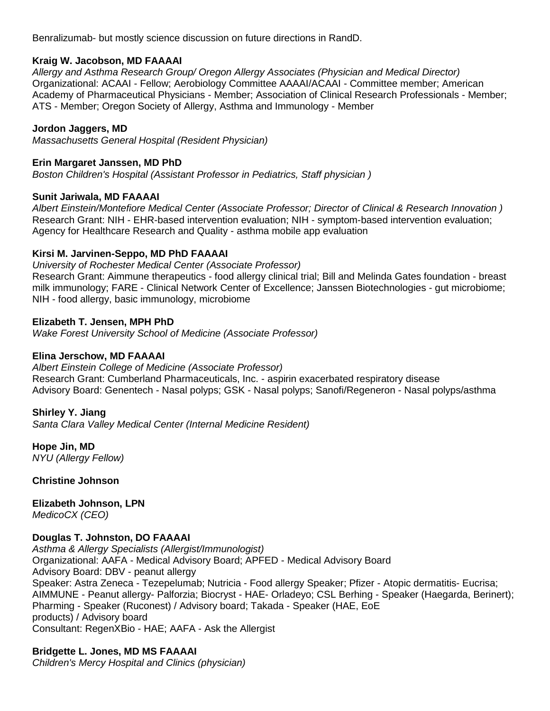Benralizumab- but mostly science discussion on future directions in RandD.

#### **Kraig W. Jacobson, MD FAAAAI**

*Allergy and Asthma Research Group/ Oregon Allergy Associates (Physician and Medical Director)* Organizational: ACAAI - Fellow; Aerobiology Committee AAAAI/ACAAI - Committee member; American Academy of Pharmaceutical Physicians - Member; Association of Clinical Research Professionals - Member; ATS - Member; Oregon Society of Allergy, Asthma and Immunology - Member

#### **Jordon Jaggers, MD**

*Massachusetts General Hospital (Resident Physician)*

#### **Erin Margaret Janssen, MD PhD**

*Boston Children's Hospital (Assistant Professor in Pediatrics, Staff physician )*

#### **Sunit Jariwala, MD FAAAAI**

*Albert Einstein/Montefiore Medical Center (Associate Professor; Director of Clinical & Research Innovation )* Research Grant: NIH - EHR-based intervention evaluation; NIH - symptom-based intervention evaluation; Agency for Healthcare Research and Quality - asthma mobile app evaluation

#### **Kirsi M. Jarvinen-Seppo, MD PhD FAAAAI**

*University of Rochester Medical Center (Associate Professor)* Research Grant: Aimmune therapeutics - food allergy clinical trial; Bill and Melinda Gates foundation - breast milk immunology; FARE - Clinical Network Center of Excellence; Janssen Biotechnologies - gut microbiome; NIH - food allergy, basic immunology, microbiome

#### **Elizabeth T. Jensen, MPH PhD**

*Wake Forest University School of Medicine (Associate Professor)*

#### **Elina Jerschow, MD FAAAAI**

*Albert Einstein College of Medicine (Associate Professor)* Research Grant: Cumberland Pharmaceuticals, Inc. - aspirin exacerbated respiratory disease Advisory Board: Genentech - Nasal polyps; GSK - Nasal polyps; Sanofi/Regeneron - Nasal polyps/asthma

#### **Shirley Y. Jiang**

*Santa Clara Valley Medical Center (Internal Medicine Resident)*

**Hope Jin, MD** *NYU (Allergy Fellow)*

**Christine Johnson**

**Elizabeth Johnson, LPN** *MedicoCX (CEO)*

#### **Douglas T. Johnston, DO FAAAAI**

*Asthma & Allergy Specialists (Allergist/Immunologist)* Organizational: AAFA - Medical Advisory Board; APFED - Medical Advisory Board Advisory Board: DBV - peanut allergy Speaker: Astra Zeneca - Tezepelumab; Nutricia - Food allergy Speaker; Pfizer - Atopic dermatitis- Eucrisa; AIMMUNE - Peanut allergy- Palforzia; Biocryst - HAE- Orladeyo; CSL Berhing - Speaker (Haegarda, Berinert); Pharming - Speaker (Ruconest) / Advisory board; Takada - Speaker (HAE, EoE products) / Advisory board Consultant: RegenXBio - HAE; AAFA - Ask the Allergist

# **Bridgette L. Jones, MD MS FAAAAI**

*Children's Mercy Hospital and Clinics (physician)*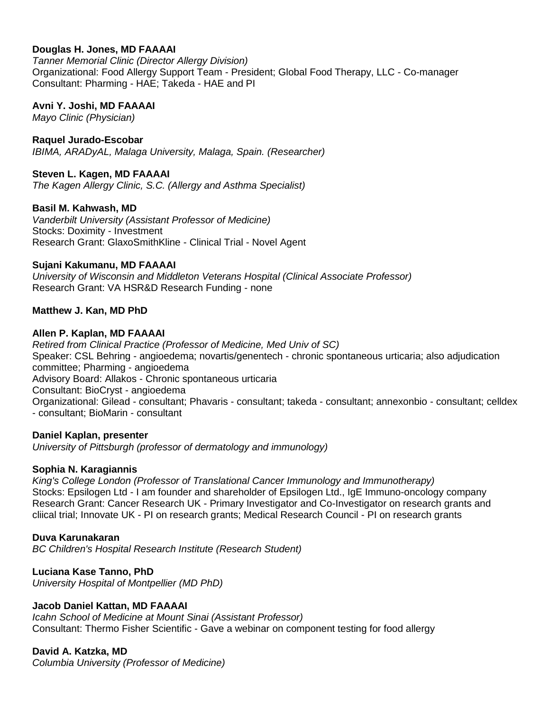## **Douglas H. Jones, MD FAAAAI**

*Tanner Memorial Clinic (Director Allergy Division)* Organizational: Food Allergy Support Team - President; Global Food Therapy, LLC - Co-manager Consultant: Pharming - HAE; Takeda - HAE and PI

#### **Avni Y. Joshi, MD FAAAAI**

*Mayo Clinic (Physician)*

#### **Raquel Jurado-Escobar**

*IBIMA, ARADyAL, Malaga University, Malaga, Spain. (Researcher)*

### **Steven L. Kagen, MD FAAAAI**

*The Kagen Allergy Clinic, S.C. (Allergy and Asthma Specialist)*

#### **Basil M. Kahwash, MD**

*Vanderbilt University (Assistant Professor of Medicine)* Stocks: Doximity - Investment Research Grant: GlaxoSmithKline - Clinical Trial - Novel Agent

#### **Sujani Kakumanu, MD FAAAAI**

*University of Wisconsin and Middleton Veterans Hospital (Clinical Associate Professor)* Research Grant: VA HSR&D Research Funding - none

#### **Matthew J. Kan, MD PhD**

#### **Allen P. Kaplan, MD FAAAAI**

*Retired from Clinical Practice (Professor of Medicine, Med Univ of SC)* Speaker: CSL Behring - angioedema; novartis/genentech - chronic spontaneous urticaria; also adjudication committee; Pharming - angioedema Advisory Board: Allakos - Chronic spontaneous urticaria Consultant: BioCryst - angioedema Organizational: Gilead - consultant; Phavaris - consultant; takeda - consultant; annexonbio - consultant; celldex - consultant; BioMarin - consultant

#### **Daniel Kaplan, presenter**

*University of Pittsburgh (professor of dermatology and immunology)*

#### **Sophia N. Karagiannis**

*King's College London (Professor of Translational Cancer Immunology and Immunotherapy)* Stocks: Epsilogen Ltd - I am founder and shareholder of Epsilogen Ltd., IgE Immuno-oncology company Research Grant: Cancer Research UK - Primary Investigator and Co-Investigator on research grants and cliical trial; Innovate UK - PI on research grants; Medical Research Council - PI on research grants

#### **Duva Karunakaran**

*BC Children's Hospital Research Institute (Research Student)*

#### **Luciana Kase Tanno, PhD**

*University Hospital of Montpellier (MD PhD)*

#### **Jacob Daniel Kattan, MD FAAAAI**

*Icahn School of Medicine at Mount Sinai (Assistant Professor)* Consultant: Thermo Fisher Scientific - Gave a webinar on component testing for food allergy

#### **David A. Katzka, MD**

*Columbia University (Professor of Medicine)*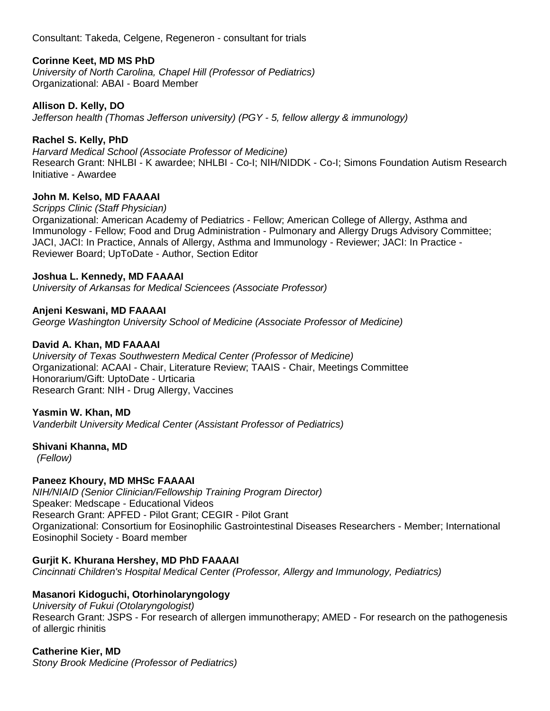Consultant: Takeda, Celgene, Regeneron - consultant for trials

### **Corinne Keet, MD MS PhD**

*University of North Carolina, Chapel Hill (Professor of Pediatrics)* Organizational: ABAI - Board Member

#### **Allison D. Kelly, DO**

*Jefferson health (Thomas Jefferson university) (PGY - 5, fellow allergy & immunology)*

### **Rachel S. Kelly, PhD**

*Harvard Medical School (Associate Professor of Medicine)* Research Grant: NHLBI - K awardee; NHLBI - Co-I; NIH/NIDDK - Co-I; Simons Foundation Autism Research Initiative - Awardee

#### **John M. Kelso, MD FAAAAI**

*Scripps Clinic (Staff Physician)*

Organizational: American Academy of Pediatrics - Fellow; American College of Allergy, Asthma and Immunology - Fellow; Food and Drug Administration - Pulmonary and Allergy Drugs Advisory Committee; JACI, JACI: In Practice, Annals of Allergy, Asthma and Immunology - Reviewer; JACI: In Practice - Reviewer Board; UpToDate - Author, Section Editor

#### **Joshua L. Kennedy, MD FAAAAI**

*University of Arkansas for Medical Sciencees (Associate Professor)*

#### **Anjeni Keswani, MD FAAAAI**

*George Washington University School of Medicine (Associate Professor of Medicine)*

#### **David A. Khan, MD FAAAAI**

*University of Texas Southwestern Medical Center (Professor of Medicine)* Organizational: ACAAI - Chair, Literature Review; TAAIS - Chair, Meetings Committee Honorarium/Gift: UptoDate - Urticaria Research Grant: NIH - Drug Allergy, Vaccines

#### **Yasmin W. Khan, MD**

*Vanderbilt University Medical Center (Assistant Professor of Pediatrics)*

#### **Shivani Khanna, MD**

*(Fellow)*

#### **Paneez Khoury, MD MHSc FAAAAI**

*NIH/NIAID (Senior Clinician/Fellowship Training Program Director)* Speaker: Medscape - Educational Videos Research Grant: APFED - Pilot Grant; CEGIR - Pilot Grant Organizational: Consortium for Eosinophilic Gastrointestinal Diseases Researchers - Member; International Eosinophil Society - Board member

#### **Gurjit K. Khurana Hershey, MD PhD FAAAAI**

*Cincinnati Children's Hospital Medical Center (Professor, Allergy and Immunology, Pediatrics)*

# **Masanori Kidoguchi, Otorhinolaryngology**

*University of Fukui (Otolaryngologist)* Research Grant: JSPS - For research of allergen immunotherapy; AMED - For research on the pathogenesis of allergic rhinitis

# **Catherine Kier, MD**

*Stony Brook Medicine (Professor of Pediatrics)*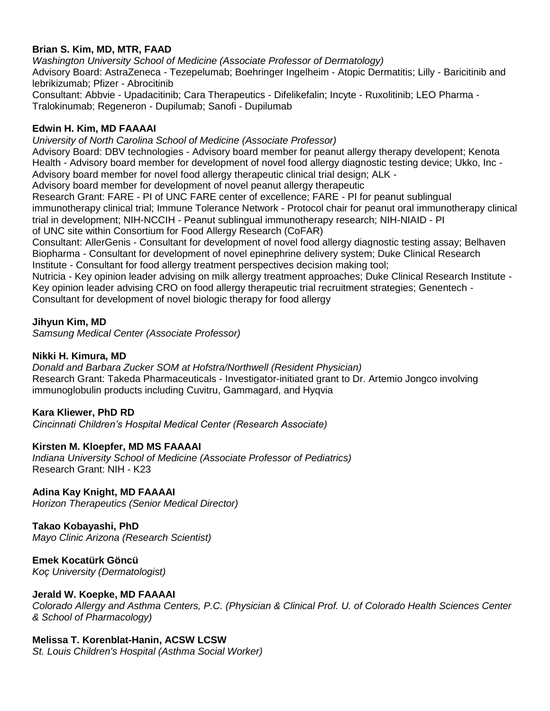### **Brian S. Kim, MD, MTR, FAAD**

*Washington University School of Medicine (Associate Professor of Dermatology)* Advisory Board: AstraZeneca - Tezepelumab; Boehringer Ingelheim - Atopic Dermatitis; Lilly - Baricitinib and lebrikizumab; Pfizer - Abrocitinib Consultant: Abbvie - Upadacitinib; Cara Therapeutics - Difelikefalin; Incyte - Ruxolitinib; LEO Pharma - Tralokinumab; Regeneron - Dupilumab; Sanofi - Dupilumab

#### **Edwin H. Kim, MD FAAAAI**

*University of North Carolina School of Medicine (Associate Professor)*

Advisory Board: DBV technologies - Advisory board member for peanut allergy therapy developent; Kenota Health - Advisory board member for development of novel food allergy diagnostic testing device; Ukko, Inc - Advisory board member for novel food allergy therapeutic clinical trial design; ALK -

Advisory board member for development of novel peanut allergy therapeutic

Research Grant: FARE - PI of UNC FARE center of excellence; FARE - PI for peanut sublingual immunotherapy clinical trial; Immune Tolerance Network - Protocol chair for peanut oral immunotherapy clinical trial in development; NIH-NCCIH - Peanut sublingual immunotherapy research; NIH-NIAID - PI of UNC site within Consortium for Food Allergy Research (CoFAR)

Consultant: AllerGenis - Consultant for development of novel food allergy diagnostic testing assay; Belhaven Biopharma - Consultant for development of novel epinephrine delivery system; Duke Clinical Research Institute - Consultant for food allergy treatment perspectives decision making tool;

Nutricia - Key opinion leader advising on milk allergy treatment approaches; Duke Clinical Research Institute - Key opinion leader advising CRO on food allergy therapeutic trial recruitment strategies; Genentech - Consultant for development of novel biologic therapy for food allergy

### **Jihyun Kim, MD**

*Samsung Medical Center (Associate Professor)*

### **Nikki H. Kimura, MD**

*Donald and Barbara Zucker SOM at Hofstra/Northwell (Resident Physician)* Research Grant: Takeda Pharmaceuticals - Investigator-initiated grant to Dr. Artemio Jongco involving immunoglobulin products including Cuvitru, Gammagard, and Hyqvia

#### **Kara Kliewer, PhD RD**

*Cincinnati Children's Hospital Medical Center (Research Associate)*

#### **Kirsten M. Kloepfer, MD MS FAAAAI**

*Indiana University School of Medicine (Associate Professor of Pediatrics)* Research Grant: NIH - K23

# **Adina Kay Knight, MD FAAAAI**

*Horizon Therapeutics (Senior Medical Director)*

#### **Takao Kobayashi, PhD**

*Mayo Clinic Arizona (Research Scientist)*

**Emek Kocatürk Göncü** *Koç University (Dermatologist)*

# **Jerald W. Koepke, MD FAAAAI**

*Colorado Allergy and Asthma Centers, P.C. (Physician & Clinical Prof. U. of Colorado Health Sciences Center & School of Pharmacology)*

# **Melissa T. Korenblat-Hanin, ACSW LCSW**

*St. Louis Children's Hospital (Asthma Social Worker)*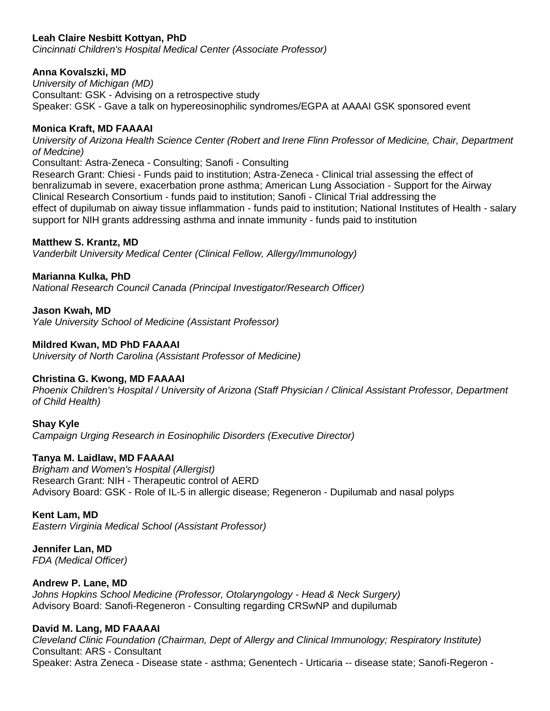## **Leah Claire Nesbitt Kottyan, PhD**

*Cincinnati Children's Hospital Medical Center (Associate Professor)*

### **Anna Kovalszki, MD**

*University of Michigan (MD)* Consultant: GSK - Advising on a retrospective study Speaker: GSK - Gave a talk on hypereosinophilic syndromes/EGPA at AAAAI GSK sponsored event

### **Monica Kraft, MD FAAAAI**

*University of Arizona Health Science Center (Robert and Irene Flinn Professor of Medicine, Chair, Department of Medcine)*

Consultant: Astra-Zeneca - Consulting; Sanofi - Consulting

Research Grant: Chiesi - Funds paid to institution; Astra-Zeneca - Clinical trial assessing the effect of benralizumab in severe, exacerbation prone asthma; American Lung Association - Support for the Airway Clinical Research Consortium - funds paid to institution; Sanofi - Clinical Trial addressing the effect of dupilumab on aiway tissue inflammation - funds paid to institution; National Institutes of Health - salary support for NIH grants addressing asthma and innate immunity - funds paid to institution

#### **Matthew S. Krantz, MD**

*Vanderbilt University Medical Center (Clinical Fellow, Allergy/Immunology)*

### **Marianna Kulka, PhD**

*National Research Council Canada (Principal Investigator/Research Officer)*

#### **Jason Kwah, MD**

*Yale University School of Medicine (Assistant Professor)*

#### **Mildred Kwan, MD PhD FAAAAI**

*University of North Carolina (Assistant Professor of Medicine)*

#### **Christina G. Kwong, MD FAAAAI**

*Phoenix Children's Hospital / University of Arizona (Staff Physician / Clinical Assistant Professor, Department of Child Health)*

**Shay Kyle** *Campaign Urging Research in Eosinophilic Disorders (Executive Director)*

#### **Tanya M. Laidlaw, MD FAAAAI**

*Brigham and Women's Hospital (Allergist)* Research Grant: NIH - Therapeutic control of AERD Advisory Board: GSK - Role of IL-5 in allergic disease; Regeneron - Dupilumab and nasal polyps

#### **Kent Lam, MD**

*Eastern Virginia Medical School (Assistant Professor)*

#### **Jennifer Lan, MD** *FDA (Medical Officer)*

#### **Andrew P. Lane, MD**

*Johns Hopkins School Medicine (Professor, Otolaryngology - Head & Neck Surgery)* Advisory Board: Sanofi-Regeneron - Consulting regarding CRSwNP and dupilumab

#### **David M. Lang, MD FAAAAI**

*Cleveland Clinic Foundation (Chairman, Dept of Allergy and Clinical Immunology; Respiratory Institute)* Consultant: ARS - Consultant Speaker: Astra Zeneca - Disease state - asthma; Genentech - Urticaria -- disease state; Sanofi-Regeron -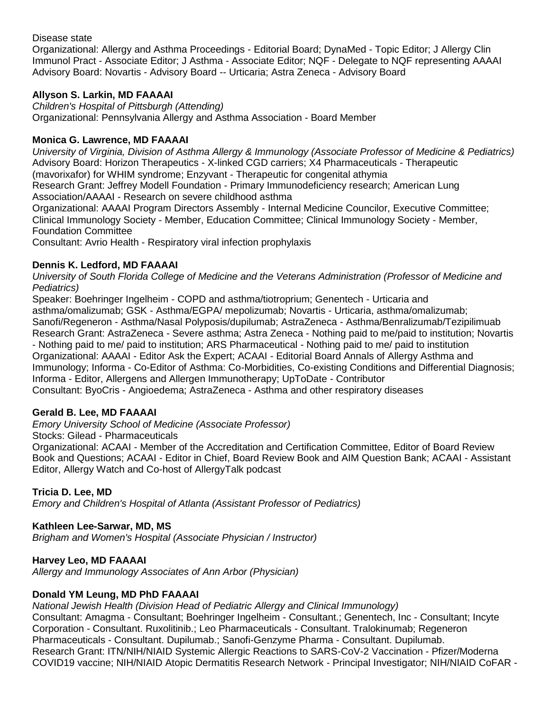Disease state

Organizational: Allergy and Asthma Proceedings - Editorial Board; DynaMed - Topic Editor; J Allergy Clin Immunol Pract - Associate Editor; J Asthma - Associate Editor; NQF - Delegate to NQF representing AAAAI Advisory Board: Novartis - Advisory Board -- Urticaria; Astra Zeneca - Advisory Board

## **Allyson S. Larkin, MD FAAAAI**

*Children's Hospital of Pittsburgh (Attending)* Organizational: Pennsylvania Allergy and Asthma Association - Board Member

### **Monica G. Lawrence, MD FAAAAI**

*University of Virginia, Division of Asthma Allergy & Immunology (Associate Professor of Medicine & Pediatrics)* Advisory Board: Horizon Therapeutics - X-linked CGD carriers; X4 Pharmaceuticals - Therapeutic (mavorixafor) for WHIM syndrome; Enzyvant - Therapeutic for congenital athymia

Research Grant: Jeffrey Modell Foundation - Primary Immunodeficiency research; American Lung Association/AAAAI - Research on severe childhood asthma

Organizational: AAAAI Program Directors Assembly - Internal Medicine Councilor, Executive Committee; Clinical Immunology Society - Member, Education Committee; Clinical Immunology Society - Member, Foundation Committee

Consultant: Avrio Health - Respiratory viral infection prophylaxis

### **Dennis K. Ledford, MD FAAAAI**

*University of South Florida College of Medicine and the Veterans Administration (Professor of Medicine and Pediatrics)*

Speaker: Boehringer Ingelheim - COPD and asthma/tiotroprium; Genentech - Urticaria and asthma/omalizumab; GSK - Asthma/EGPA/ mepolizumab; Novartis - Urticaria, asthma/omalizumab; Sanofi/Regeneron - Asthma/Nasal Polyposis/dupilumab; AstraZeneca - Asthma/Benralizumab/Tezipilimuab Research Grant: AstraZeneca - Severe asthma; Astra Zeneca - Nothing paid to me/paid to institution; Novartis - Nothing paid to me/ paid to institution; ARS Pharmaceutical - Nothing paid to me/ paid to institution Organizational: AAAAI - Editor Ask the Expert; ACAAI - Editorial Board Annals of Allergy Asthma and Immunology; Informa - Co-Editor of Asthma: Co-Morbidities, Co-existing Conditions and Differential Diagnosis; Informa - Editor, Allergens and Allergen Immunotherapy; UpToDate - Contributor Consultant: ByoCris - Angioedema; AstraZeneca - Asthma and other respiratory diseases

#### **Gerald B. Lee, MD FAAAAI**

*Emory University School of Medicine (Associate Professor)*

Stocks: Gilead - Pharmaceuticals

Organizational: ACAAI - Member of the Accreditation and Certification Committee, Editor of Board Review Book and Questions; ACAAI - Editor in Chief, Board Review Book and AIM Question Bank; ACAAI - Assistant Editor, Allergy Watch and Co-host of AllergyTalk podcast

#### **Tricia D. Lee, MD**

*Emory and Children's Hospital of Atlanta (Assistant Professor of Pediatrics)*

#### **Kathleen Lee-Sarwar, MD, MS**

*Brigham and Women's Hospital (Associate Physician / Instructor)*

### **Harvey Leo, MD FAAAAI**

*Allergy and Immunology Associates of Ann Arbor (Physician)*

#### **Donald YM Leung, MD PhD FAAAAI**

*National Jewish Health (Division Head of Pediatric Allergy and Clinical Immunology)*

Consultant: Amagma - Consultant; Boehringer Ingelheim - Consultant.; Genentech, Inc - Consultant; Incyte Corporation - Consultant. Ruxolitinib.; Leo Pharmaceuticals - Consultant. Tralokinumab; Regeneron Pharmaceuticals - Consultant. Dupilumab.; Sanofi-Genzyme Pharma - Consultant. Dupilumab. Research Grant: ITN/NIH/NIAID Systemic Allergic Reactions to SARS-CoV-2 Vaccination - Pfizer/Moderna COVID19 vaccine; NIH/NIAID Atopic Dermatitis Research Network - Principal Investigator; NIH/NIAID CoFAR -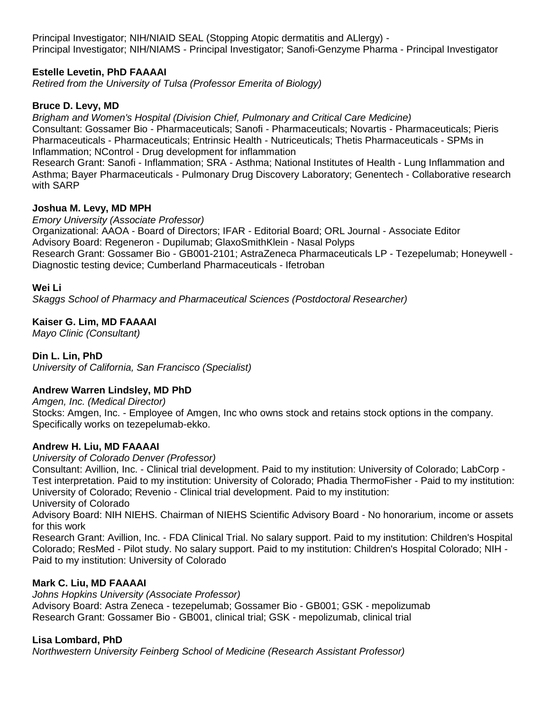Principal Investigator; NIH/NIAID SEAL (Stopping Atopic dermatitis and ALlergy) - Principal Investigator; NIH/NIAMS - Principal Investigator; Sanofi-Genzyme Pharma - Principal Investigator

# **Estelle Levetin, PhD FAAAAI**

*Retired from the University of Tulsa (Professor Emerita of Biology)*

#### **Bruce D. Levy, MD**

*Brigham and Women's Hospital (Division Chief, Pulmonary and Critical Care Medicine)* Consultant: Gossamer Bio - Pharmaceuticals; Sanofi - Pharmaceuticals; Novartis - Pharmaceuticals; Pieris Pharmaceuticals - Pharmaceuticals; Entrinsic Health - Nutriceuticals; Thetis Pharmaceuticals - SPMs in Inflammation; NControl - Drug development for inflammation

Research Grant: Sanofi - Inflammation; SRA - Asthma; National Institutes of Health - Lung Inflammation and Asthma; Bayer Pharmaceuticals - Pulmonary Drug Discovery Laboratory; Genentech - Collaborative research with SARP

#### **Joshua M. Levy, MD MPH**

*Emory University (Associate Professor)*

Organizational: AAOA - Board of Directors; IFAR - Editorial Board; ORL Journal - Associate Editor Advisory Board: Regeneron - Dupilumab; GlaxoSmithKlein - Nasal Polyps Research Grant: Gossamer Bio - GB001-2101; AstraZeneca Pharmaceuticals LP - Tezepelumab; Honeywell -

Diagnostic testing device; Cumberland Pharmaceuticals - Ifetroban

#### **Wei Li**

*Skaggs School of Pharmacy and Pharmaceutical Sciences (Postdoctoral Researcher)*

#### **Kaiser G. Lim, MD FAAAAI**

*Mayo Clinic (Consultant)*

#### **Din L. Lin, PhD**

*University of California, San Francisco (Specialist)*

#### **Andrew Warren Lindsley, MD PhD**

*Amgen, Inc. (Medical Director)*

Stocks: Amgen, Inc. - Employee of Amgen, Inc who owns stock and retains stock options in the company. Specifically works on tezepelumab-ekko.

#### **Andrew H. Liu, MD FAAAAI**

*University of Colorado Denver (Professor)*

Consultant: Avillion, Inc. - Clinical trial development. Paid to my institution: University of Colorado; LabCorp - Test interpretation. Paid to my institution: University of Colorado; Phadia ThermoFisher - Paid to my institution: University of Colorado; Revenio - Clinical trial development. Paid to my institution:

University of Colorado

Advisory Board: NIH NIEHS. Chairman of NIEHS Scientific Advisory Board - No honorarium, income or assets for this work

Research Grant: Avillion, Inc. - FDA Clinical Trial. No salary support. Paid to my institution: Children's Hospital Colorado; ResMed - Pilot study. No salary support. Paid to my institution: Children's Hospital Colorado; NIH - Paid to my institution: University of Colorado

#### **Mark C. Liu, MD FAAAAI**

*Johns Hopkins University (Associate Professor)*

Advisory Board: Astra Zeneca - tezepelumab; Gossamer Bio - GB001; GSK - mepolizumab Research Grant: Gossamer Bio - GB001, clinical trial; GSK - mepolizumab, clinical trial

#### **Lisa Lombard, PhD**

*Northwestern University Feinberg School of Medicine (Research Assistant Professor)*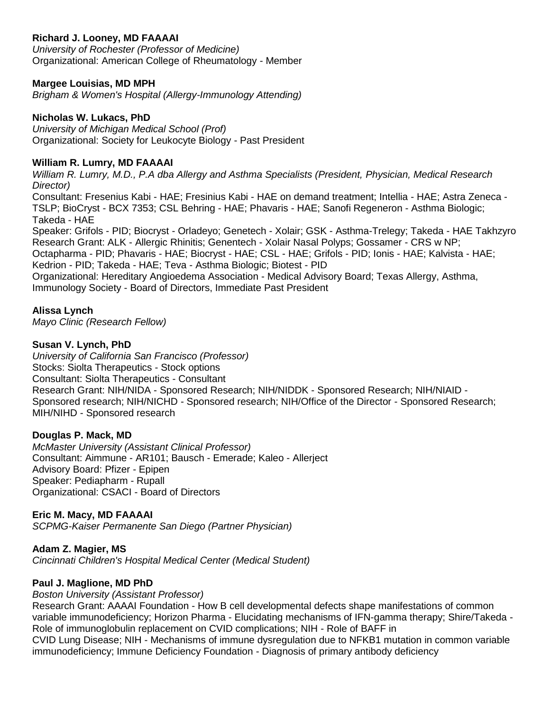## **Richard J. Looney, MD FAAAAI**

*University of Rochester (Professor of Medicine)* Organizational: American College of Rheumatology - Member

#### **Margee Louisias, MD MPH**

*Brigham & Women's Hospital (Allergy-Immunology Attending)*

#### **Nicholas W. Lukacs, PhD**

*University of Michigan Medical School (Prof)* Organizational: Society for Leukocyte Biology - Past President

#### **William R. Lumry, MD FAAAAI**

*William R. Lumry, M.D., P.A dba Allergy and Asthma Specialists (President, Physician, Medical Research Director)*

Consultant: Fresenius Kabi - HAE; Fresinius Kabi - HAE on demand treatment; Intellia - HAE; Astra Zeneca - TSLP; BioCryst - BCX 7353; CSL Behring - HAE; Phavaris - HAE; Sanofi Regeneron - Asthma Biologic; Takeda - HAE

Speaker: Grifols - PID; Biocryst - Orladeyo; Genetech - Xolair; GSK - Asthma-Trelegy; Takeda - HAE Takhzyro Research Grant: ALK - Allergic Rhinitis; Genentech - Xolair Nasal Polyps; Gossamer - CRS w NP;

Octapharma - PID; Phavaris - HAE; Biocryst - HAE; CSL - HAE; Grifols - PID; Ionis - HAE; Kalvista - HAE; Kedrion - PID; Takeda - HAE; Teva - Asthma Biologic; Biotest - PID

Organizational: Hereditary Angioedema Association - Medical Advisory Board; Texas Allergy, Asthma, Immunology Society - Board of Directors, Immediate Past President

#### **Alissa Lynch**

*Mayo Clinic (Research Fellow)*

#### **Susan V. Lynch, PhD**

*University of California San Francisco (Professor)* Stocks: Siolta Therapeutics - Stock options Consultant: Siolta Therapeutics - Consultant Research Grant: NIH/NIDA - Sponsored Research; NIH/NIDDK - Sponsored Research; NIH/NIAID - Sponsored research; NIH/NICHD - Sponsored research; NIH/Office of the Director - Sponsored Research; MIH/NIHD - Sponsored research

#### **Douglas P. Mack, MD**

*McMaster University (Assistant Clinical Professor)* Consultant: Aimmune - AR101; Bausch - Emerade; Kaleo - Allerject Advisory Board: Pfizer - Epipen Speaker: Pediapharm - Rupall Organizational: CSACI - Board of Directors

### **Eric M. Macy, MD FAAAAI**

*SCPMG-Kaiser Permanente San Diego (Partner Physician)*

#### **Adam Z. Magier, MS**

*Cincinnati Children's Hospital Medical Center (Medical Student)*

#### **Paul J. Maglione, MD PhD**

#### *Boston University (Assistant Professor)*

Research Grant: AAAAI Foundation - How B cell developmental defects shape manifestations of common variable immunodeficiency; Horizon Pharma - Elucidating mechanisms of IFN-gamma therapy; Shire/Takeda - Role of immunoglobulin replacement on CVID complications; NIH - Role of BAFF in CVID Lung Disease; NIH - Mechanisms of immune dysregulation due to NFKB1 mutation in common variable immunodeficiency; Immune Deficiency Foundation - Diagnosis of primary antibody deficiency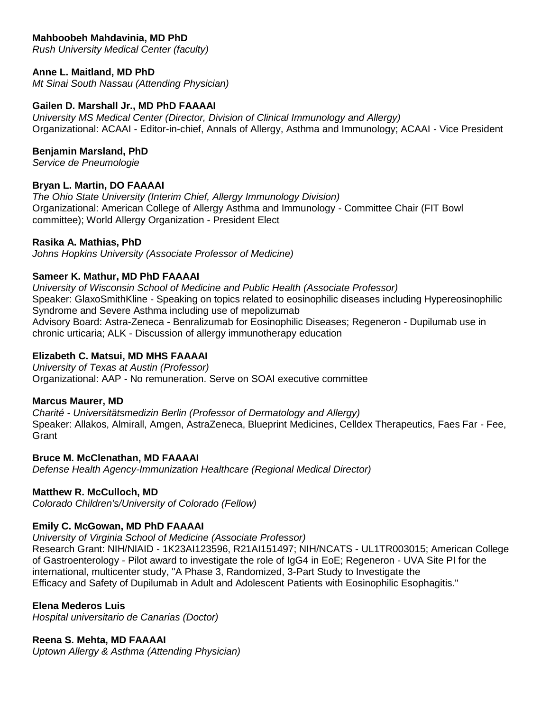# **Mahboobeh Mahdavinia, MD PhD**

*Rush University Medical Center (faculty)*

### **Anne L. Maitland, MD PhD**

*Mt Sinai South Nassau (Attending Physician)*

#### **Gailen D. Marshall Jr., MD PhD FAAAAI**

*University MS Medical Center (Director, Division of Clinical Immunology and Allergy)* Organizational: ACAAI - Editor-in-chief, Annals of Allergy, Asthma and Immunology; ACAAI - Vice President

#### **Benjamin Marsland, PhD**

*Service de Pneumologie*

#### **Bryan L. Martin, DO FAAAAI**

*The Ohio State University (Interim Chief, Allergy Immunology Division)* Organizational: American College of Allergy Asthma and Immunology - Committee Chair (FIT Bowl committee); World Allergy Organization - President Elect

#### **Rasika A. Mathias, PhD**

*Johns Hopkins University (Associate Professor of Medicine)*

#### **Sameer K. Mathur, MD PhD FAAAAI**

*University of Wisconsin School of Medicine and Public Health (Associate Professor)* Speaker: GlaxoSmithKline - Speaking on topics related to eosinophilic diseases including Hypereosinophilic Syndrome and Severe Asthma including use of mepolizumab Advisory Board: Astra-Zeneca - Benralizumab for Eosinophilic Diseases; Regeneron - Dupilumab use in chronic urticaria; ALK - Discussion of allergy immunotherapy education

#### **Elizabeth C. Matsui, MD MHS FAAAAI**

*University of Texas at Austin (Professor)* Organizational: AAP - No remuneration. Serve on SOAI executive committee

#### **Marcus Maurer, MD**

*Charité - Universitätsmedizin Berlin (Professor of Dermatology and Allergy)* Speaker: Allakos, Almirall, Amgen, AstraZeneca, Blueprint Medicines, Celldex Therapeutics, Faes Far - Fee, **Grant** 

#### **Bruce M. McClenathan, MD FAAAAI**

*Defense Health Agency-Immunization Healthcare (Regional Medical Director)*

#### **Matthew R. McCulloch, MD**

*Colorado Children's/University of Colorado (Fellow)*

#### **Emily C. McGowan, MD PhD FAAAAI**

*University of Virginia School of Medicine (Associate Professor)*

Research Grant: NIH/NIAID - 1K23AI123596, R21AI151497; NIH/NCATS - UL1TR003015; American College of Gastroenterology - Pilot award to investigate the role of IgG4 in EoE; Regeneron - UVA Site PI for the international, multicenter study, "A Phase 3, Randomized, 3-Part Study to Investigate the Efficacy and Safety of Dupilumab in Adult and Adolescent Patients with Eosinophilic Esophagitis."

#### **Elena Mederos Luis**

*Hospital universitario de Canarias (Doctor)*

#### **Reena S. Mehta, MD FAAAAI**

*Uptown Allergy & Asthma (Attending Physician)*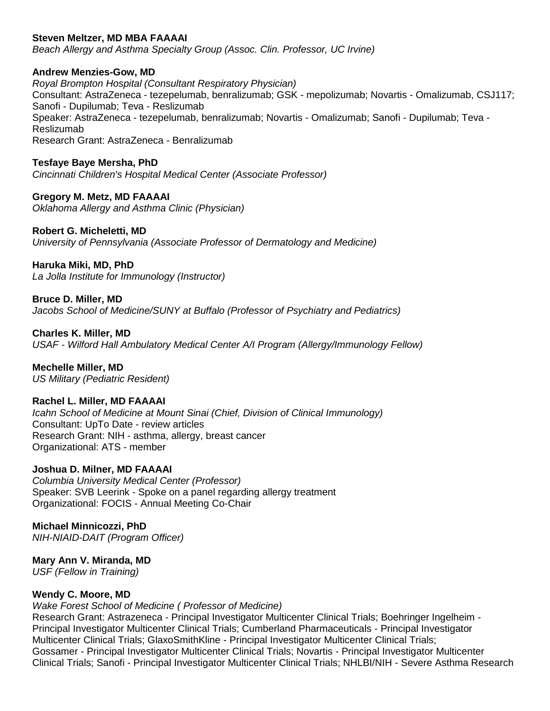### **Steven Meltzer, MD MBA FAAAAI**

*Beach Allergy and Asthma Specialty Group (Assoc. Clin. Professor, UC Irvine)*

**Andrew Menzies-Gow, MD**

*Royal Brompton Hospital (Consultant Respiratory Physician)* Consultant: AstraZeneca - tezepelumab, benralizumab; GSK - mepolizumab; Novartis - Omalizumab, CSJ117; Sanofi - Dupilumab; Teva - Reslizumab Speaker: AstraZeneca - tezepelumab, benralizumab; Novartis - Omalizumab; Sanofi - Dupilumab; Teva - Reslizumab Research Grant: AstraZeneca - Benralizumab

**Tesfaye Baye Mersha, PhD** *Cincinnati Children's Hospital Medical Center (Associate Professor)*

**Gregory M. Metz, MD FAAAAI** *Oklahoma Allergy and Asthma Clinic (Physician)*

**Robert G. Micheletti, MD** *University of Pennsylvania (Associate Professor of Dermatology and Medicine)*

**Haruka Miki, MD, PhD** *La Jolla Institute for Immunology (Instructor)*

**Bruce D. Miller, MD** *Jacobs School of Medicine/SUNY at Buffalo (Professor of Psychiatry and Pediatrics)*

**Charles K. Miller, MD** *USAF - Wilford Hall Ambulatory Medical Center A/I Program (Allergy/Immunology Fellow)*

**Mechelle Miller, MD** *US Military (Pediatric Resident)*

### **Rachel L. Miller, MD FAAAAI**

*Icahn School of Medicine at Mount Sinai (Chief, Division of Clinical Immunology)* Consultant: UpTo Date - review articles Research Grant: NIH - asthma, allergy, breast cancer Organizational: ATS - member

#### **Joshua D. Milner, MD FAAAAI**

*Columbia University Medical Center (Professor)* Speaker: SVB Leerink - Spoke on a panel regarding allergy treatment Organizational: FOCIS - Annual Meeting Co-Chair

#### **Michael Minnicozzi, PhD**

*NIH-NIAID-DAIT (Program Officer)*

# **Mary Ann V. Miranda, MD**

*USF (Fellow in Training)*

#### **Wendy C. Moore, MD**

*Wake Forest School of Medicine ( Professor of Medicine)*

Research Grant: Astrazeneca - Principal Investigator Multicenter Clinical Trials; Boehringer Ingelheim - Principal Investigator Multicenter Clinical Trials; Cumberland Pharmaceuticals - Principal Investigator Multicenter Clinical Trials; GlaxoSmithKline - Principal Investigator Multicenter Clinical Trials; Gossamer - Principal Investigator Multicenter Clinical Trials; Novartis - Principal Investigator Multicenter Clinical Trials; Sanofi - Principal Investigator Multicenter Clinical Trials; NHLBI/NIH - Severe Asthma Research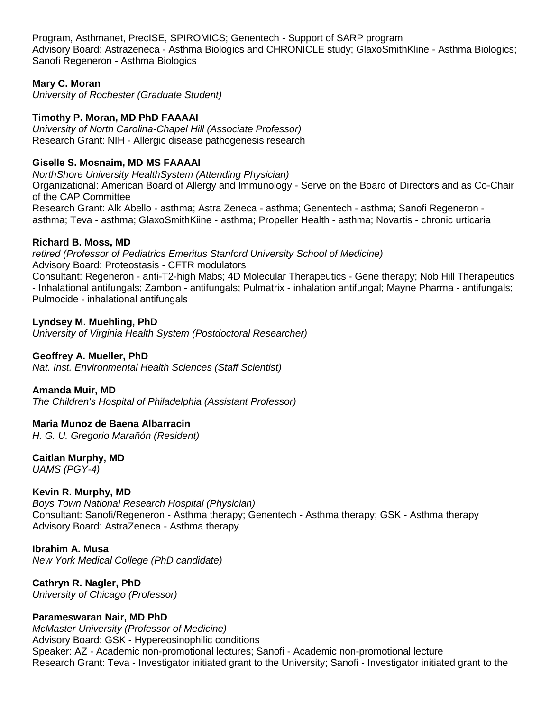Program, Asthmanet, PrecISE, SPIROMICS; Genentech - Support of SARP program Advisory Board: Astrazeneca - Asthma Biologics and CHRONICLE study; GlaxoSmithKline - Asthma Biologics; Sanofi Regeneron - Asthma Biologics

## **Mary C. Moran**

*University of Rochester (Graduate Student)*

# **Timothy P. Moran, MD PhD FAAAAI**

*University of North Carolina-Chapel Hill (Associate Professor)* Research Grant: NIH - Allergic disease pathogenesis research

# **Giselle S. Mosnaim, MD MS FAAAAI**

*NorthShore University HealthSystem (Attending Physician)*

Organizational: American Board of Allergy and Immunology - Serve on the Board of Directors and as Co-Chair of the CAP Committee

Research Grant: Alk Abello - asthma; Astra Zeneca - asthma; Genentech - asthma; Sanofi Regeneron asthma; Teva - asthma; GlaxoSmithKiine - asthma; Propeller Health - asthma; Novartis - chronic urticaria

#### **Richard B. Moss, MD**

*retired (Professor of Pediatrics Emeritus Stanford University School of Medicine)* Advisory Board: Proteostasis - CFTR modulators

Consultant: Regeneron - anti-T2-high Mabs; 4D Molecular Therapeutics - Gene therapy; Nob Hill Therapeutics - Inhalational antifungals; Zambon - antifungals; Pulmatrix - inhalation antifungal; Mayne Pharma - antifungals; Pulmocide - inhalational antifungals

**Lyndsey M. Muehling, PhD** *University of Virginia Health System (Postdoctoral Researcher)*

#### **Geoffrey A. Mueller, PhD**

*Nat. Inst. Environmental Health Sciences (Staff Scientist)*

#### **Amanda Muir, MD**

*The Children's Hospital of Philadelphia (Assistant Professor)*

# **Maria Munoz de Baena Albarracin**

*H. G. U. Gregorio Marañón (Resident)*

# **Caitlan Murphy, MD**

*UAMS (PGY-4)*

# **Kevin R. Murphy, MD**

*Boys Town National Research Hospital (Physician)* Consultant: Sanofi/Regeneron - Asthma therapy; Genentech - Asthma therapy; GSK - Asthma therapy Advisory Board: AstraZeneca - Asthma therapy

### **Ibrahim A. Musa** *New York Medical College (PhD candidate)*

**Cathryn R. Nagler, PhD** *University of Chicago (Professor)*

# **Parameswaran Nair, MD PhD**

*McMaster University (Professor of Medicine)* Advisory Board: GSK - Hypereosinophilic conditions Speaker: AZ - Academic non-promotional lectures; Sanofi - Academic non-promotional lecture Research Grant: Teva - Investigator initiated grant to the University; Sanofi - Investigator initiated grant to the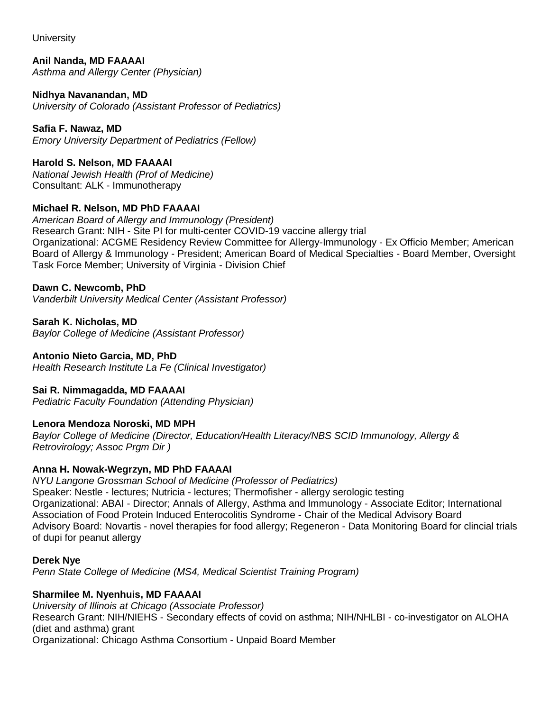**University** 

**Anil Nanda, MD FAAAAI** *Asthma and Allergy Center (Physician)*

**Nidhya Navanandan, MD** *University of Colorado (Assistant Professor of Pediatrics)*

**Safia F. Nawaz, MD** *Emory University Department of Pediatrics (Fellow)*

**Harold S. Nelson, MD FAAAAI** *National Jewish Health (Prof of Medicine)* Consultant: ALK - Immunotherapy

# **Michael R. Nelson, MD PhD FAAAAI**

*American Board of Allergy and Immunology (President)* Research Grant: NIH - Site PI for multi-center COVID-19 vaccine allergy trial Organizational: ACGME Residency Review Committee for Allergy-Immunology - Ex Officio Member; American Board of Allergy & Immunology - President; American Board of Medical Specialties - Board Member, Oversight Task Force Member; University of Virginia - Division Chief

# **Dawn C. Newcomb, PhD**

*Vanderbilt University Medical Center (Assistant Professor)*

**Sarah K. Nicholas, MD**

*Baylor College of Medicine (Assistant Professor)*

# **Antonio Nieto Garcia, MD, PhD**

*Health Research Institute La Fe (Clinical Investigator)*

# **Sai R. Nimmagadda, MD FAAAAI**

*Pediatric Faculty Foundation (Attending Physician)*

# **Lenora Mendoza Noroski, MD MPH**

*Baylor College of Medicine (Director, Education/Health Literacy/NBS SCID Immunology, Allergy & Retrovirology; Assoc Prgm Dir )*

# **Anna H. Nowak-Wegrzyn, MD PhD FAAAAI**

*NYU Langone Grossman School of Medicine (Professor of Pediatrics)* Speaker: Nestle - lectures; Nutricia - lectures; Thermofisher - allergy serologic testing Organizational: ABAI - Director; Annals of Allergy, Asthma and Immunology - Associate Editor; International Association of Food Protein Induced Enterocolitis Syndrome - Chair of the Medical Advisory Board Advisory Board: Novartis - novel therapies for food allergy; Regeneron - Data Monitoring Board for clincial trials of dupi for peanut allergy

**Derek Nye**

*Penn State College of Medicine (MS4, Medical Scientist Training Program)*

# **Sharmilee M. Nyenhuis, MD FAAAAI**

*University of Illinois at Chicago (Associate Professor)* Research Grant: NIH/NIEHS - Secondary effects of covid on asthma; NIH/NHLBI - co-investigator on ALOHA (diet and asthma) grant Organizational: Chicago Asthma Consortium - Unpaid Board Member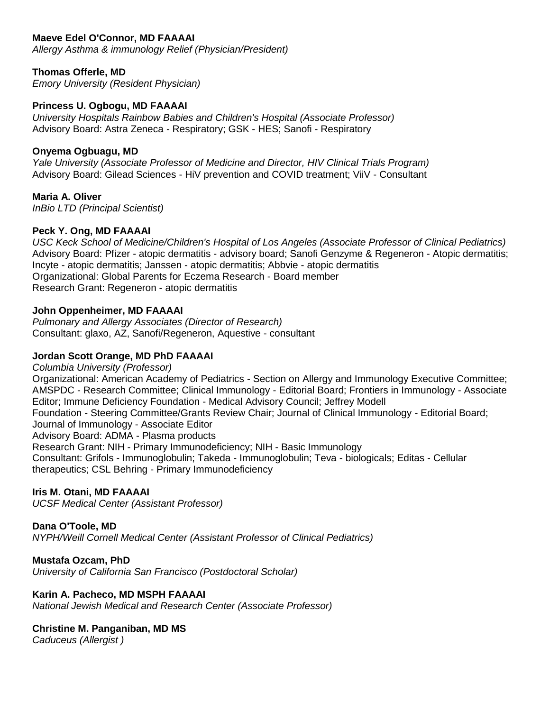### **Maeve Edel O'Connor, MD FAAAAI**

*Allergy Asthma & immunology Relief (Physician/President)*

# **Thomas Offerle, MD**

*Emory University (Resident Physician)*

# **Princess U. Ogbogu, MD FAAAAI**

*University Hospitals Rainbow Babies and Children's Hospital (Associate Professor)* Advisory Board: Astra Zeneca - Respiratory; GSK - HES; Sanofi - Respiratory

# **Onyema Ogbuagu, MD**

*Yale University (Associate Professor of Medicine and Director, HIV Clinical Trials Program)* Advisory Board: Gilead Sciences - HiV prevention and COVID treatment; ViiV - Consultant

# **Maria A. Oliver**

*InBio LTD (Principal Scientist)*

# **Peck Y. Ong, MD FAAAAI**

*USC Keck School of Medicine/Children's Hospital of Los Angeles (Associate Professor of Clinical Pediatrics)* Advisory Board: Pfizer - atopic dermatitis - advisory board; Sanofi Genzyme & Regeneron - Atopic dermatitis; Incyte - atopic dermatitis; Janssen - atopic dermatitis; Abbvie - atopic dermatitis Organizational: Global Parents for Eczema Research - Board member Research Grant: Regeneron - atopic dermatitis

### **John Oppenheimer, MD FAAAAI**

*Pulmonary and Allergy Associates (Director of Research)* Consultant: glaxo, AZ, Sanofi/Regeneron, Aquestive - consultant

# **Jordan Scott Orange, MD PhD FAAAAI**

*Columbia University (Professor)* Organizational: American Academy of Pediatrics - Section on Allergy and Immunology Executive Committee; AMSPDC - Research Committee; Clinical Immunology - Editorial Board; Frontiers in Immunology - Associate Editor; Immune Deficiency Foundation - Medical Advisory Council; Jeffrey Modell Foundation - Steering Committee/Grants Review Chair; Journal of Clinical Immunology - Editorial Board; Journal of Immunology - Associate Editor Advisory Board: ADMA - Plasma products Research Grant: NIH - Primary Immunodeficiency; NIH - Basic Immunology Consultant: Grifols - Immunoglobulin; Takeda - Immunoglobulin; Teva - biologicals; Editas - Cellular therapeutics; CSL Behring - Primary Immunodeficiency

# **Iris M. Otani, MD FAAAAI**

*UCSF Medical Center (Assistant Professor)*

#### **Dana O'Toole, MD**

*NYPH/Weill Cornell Medical Center (Assistant Professor of Clinical Pediatrics)*

#### **Mustafa Ozcam, PhD**

*University of California San Francisco (Postdoctoral Scholar)*

#### **Karin A. Pacheco, MD MSPH FAAAAI**

*National Jewish Medical and Research Center (Associate Professor)*

#### **Christine M. Panganiban, MD MS**

*Caduceus (Allergist )*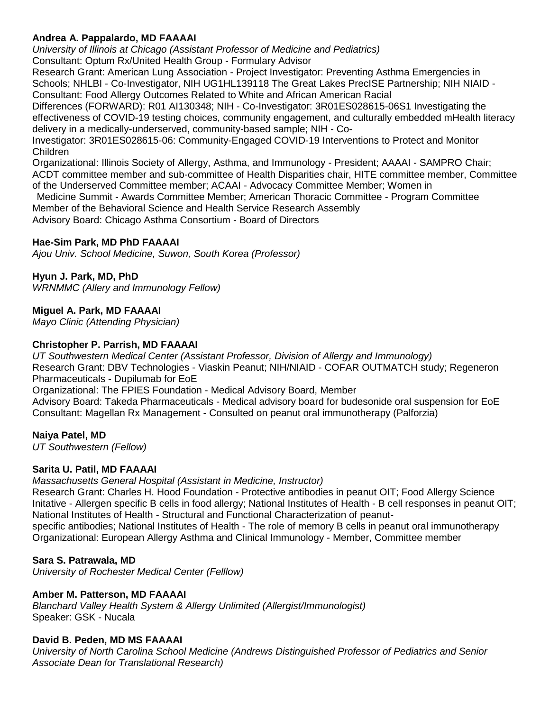## **Andrea A. Pappalardo, MD FAAAAI**

*University of Illinois at Chicago (Assistant Professor of Medicine and Pediatrics)* Consultant: Optum Rx/United Health Group - Formulary Advisor

Research Grant: American Lung Association - Project Investigator: Preventing Asthma Emergencies in Schools; NHLBI - Co-Investigator, NIH UG1HL139118 The Great Lakes PrecISE Partnership; NIH NIAID - Consultant: Food Allergy Outcomes Related to White and African American Racial

Differences (FORWARD): R01 AI130348; NIH - Co-Investigator: 3R01ES028615-06S1 Investigating the effectiveness of COVID-19 testing choices, community engagement, and culturally embedded mHealth literacy delivery in a medically-underserved, community-based sample; NIH - Co-

Investigator: 3R01ES028615-06: Community-Engaged COVID-19 Interventions to Protect and Monitor Children

Organizational: Illinois Society of Allergy, Asthma, and Immunology - President; AAAAI - SAMPRO Chair; ACDT committee member and sub-committee of Health Disparities chair, HITE committee member, Committee of the Underserved Committee member; ACAAI - Advocacy Committee Member; Women in

Medicine Summit - Awards Committee Member; American Thoracic Committee - Program Committee Member of the Behavioral Science and Health Service Research Assembly

Advisory Board: Chicago Asthma Consortium - Board of Directors

### **Hae-Sim Park, MD PhD FAAAAI**

*Ajou Univ. School Medicine, Suwon, South Korea (Professor)*

### **Hyun J. Park, MD, PhD**

*WRNMMC (Allery and Immunology Fellow)*

#### **Miguel A. Park, MD FAAAAI**

*Mayo Clinic (Attending Physician)*

#### **Christopher P. Parrish, MD FAAAAI**

*UT Southwestern Medical Center (Assistant Professor, Division of Allergy and Immunology)* Research Grant: DBV Technologies - Viaskin Peanut; NIH/NIAID - COFAR OUTMATCH study; Regeneron Pharmaceuticals - Dupilumab for EoE Organizational: The FPIES Foundation - Medical Advisory Board, Member Advisory Board: Takeda Pharmaceuticals - Medical advisory board for budesonide oral suspension for EoE Consultant: Magellan Rx Management - Consulted on peanut oral immunotherapy (Palforzia)

#### **Naiya Patel, MD**

*UT Southwestern (Fellow)*

#### **Sarita U. Patil, MD FAAAAI**

*Massachusetts General Hospital (Assistant in Medicine, Instructor)*

Research Grant: Charles H. Hood Foundation - Protective antibodies in peanut OIT; Food Allergy Science Initative - Allergen specific B cells in food allergy; National Institutes of Health - B cell responses in peanut OIT; National Institutes of Health - Structural and Functional Characterization of peanutspecific antibodies; National Institutes of Health - The role of memory B cells in peanut oral immunotherapy Organizational: European Allergy Asthma and Clinical Immunology - Member, Committee member

#### **Sara S. Patrawala, MD**

*University of Rochester Medical Center (Felllow)*

#### **Amber M. Patterson, MD FAAAAI**

*Blanchard Valley Health System & Allergy Unlimited (Allergist/Immunologist)* Speaker: GSK - Nucala

#### **David B. Peden, MD MS FAAAAI**

*University of North Carolina School Medicine (Andrews Distinguished Professor of Pediatrics and Senior Associate Dean for Translational Research)*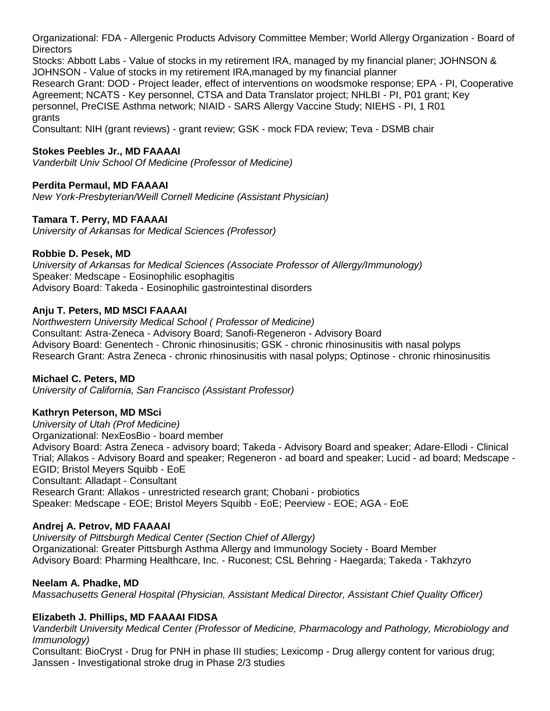Organizational: FDA - Allergenic Products Advisory Committee Member; World Allergy Organization - Board of **Directors** 

Stocks: Abbott Labs - Value of stocks in my retirement IRA, managed by my financial planer; JOHNSON & JOHNSON - Value of stocks in my retirement IRA,managed by my financial planner Research Grant: DOD - Project leader, effect of interventions on woodsmoke response; EPA - PI, Cooperative Agreement; NCATS - Key personnel, CTSA and Data Translator project; NHLBI - PI, P01 grant; Key personnel, PreCISE Asthma network; NIAID - SARS Allergy Vaccine Study; NIEHS - PI, 1 R01 grants

Consultant: NIH (grant reviews) - grant review; GSK - mock FDA review; Teva - DSMB chair

### **Stokes Peebles Jr., MD FAAAAI**

*Vanderbilt Univ School Of Medicine (Professor of Medicine)*

### **Perdita Permaul, MD FAAAAI**

*New York-Presbyterian/Weill Cornell Medicine (Assistant Physician)*

### **Tamara T. Perry, MD FAAAAI**

*University of Arkansas for Medical Sciences (Professor)*

#### **Robbie D. Pesek, MD**

*University of Arkansas for Medical Sciences (Associate Professor of Allergy/Immunology)* Speaker: Medscape - Eosinophilic esophagitis Advisory Board: Takeda - Eosinophilic gastrointestinal disorders

### **Anju T. Peters, MD MSCI FAAAAI**

*Northwestern University Medical School ( Professor of Medicine)* Consultant: Astra-Zeneca - Advisory Board; Sanofi-Regeneron - Advisory Board Advisory Board: Genentech - Chronic rhinosinusitis; GSK - chronic rhinosinusitis with nasal polyps Research Grant: Astra Zeneca - chronic rhinosinusitis with nasal polyps; Optinose - chronic rhinosinusitis

#### **Michael C. Peters, MD**

*University of California, San Francisco (Assistant Professor)*

#### **Kathryn Peterson, MD MSci**

*University of Utah (Prof Medicine)* Organizational: NexEosBio - board member Advisory Board: Astra Zeneca - advisory board; Takeda - Advisory Board and speaker; Adare-Ellodi - Clinical Trial; Allakos - Advisory Board and speaker; Regeneron - ad board and speaker; Lucid - ad board; Medscape - EGID; Bristol Meyers Squibb - EoE Consultant: Alladapt - Consultant Research Grant: Allakos - unrestricted research grant; Chobani - probiotics Speaker: Medscape - EOE; Bristol Meyers Squibb - EoE; Peerview - EOE; AGA - EoE

#### **Andrej A. Petrov, MD FAAAAI**

*University of Pittsburgh Medical Center (Section Chief of Allergy)* Organizational: Greater Pittsburgh Asthma Allergy and Immunology Society - Board Member Advisory Board: Pharming Healthcare, Inc. - Ruconest; CSL Behring - Haegarda; Takeda - Takhzyro

#### **Neelam A. Phadke, MD**

*Massachusetts General Hospital (Physician, Assistant Medical Director, Assistant Chief Quality Officer)*

# **Elizabeth J. Phillips, MD FAAAAI FIDSA**

*Vanderbilt University Medical Center (Professor of Medicine, Pharmacology and Pathology, Microbiology and Immunology)*

Consultant: BioCryst - Drug for PNH in phase III studies; Lexicomp - Drug allergy content for various drug; Janssen - Investigational stroke drug in Phase 2/3 studies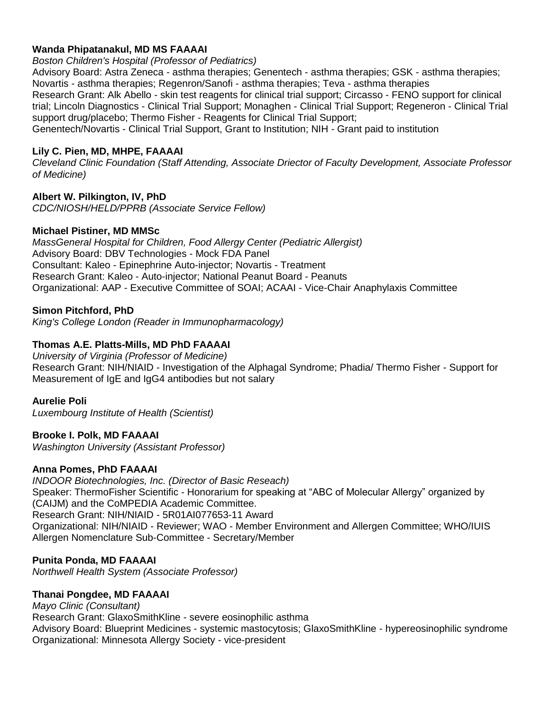### **Wanda Phipatanakul, MD MS FAAAAI**

*Boston Children's Hospital (Professor of Pediatrics)*

Advisory Board: Astra Zeneca - asthma therapies; Genentech - asthma therapies; GSK - asthma therapies; Novartis - asthma therapies; Regenron/Sanofi - asthma therapies; Teva - asthma therapies Research Grant: Alk Abello - skin test reagents for clinical trial support; Circasso - FENO support for clinical trial; Lincoln Diagnostics - Clinical Trial Support; Monaghen - Clinical Trial Support; Regeneron - Clinical Trial support drug/placebo; Thermo Fisher - Reagents for Clinical Trial Support; Genentech/Novartis - Clinical Trial Support, Grant to Institution; NIH - Grant paid to institution

### **Lily C. Pien, MD, MHPE, FAAAAI**

*Cleveland Clinic Foundation (Staff Attending, Associate Driector of Faculty Development, Associate Professor of Medicine)*

# **Albert W. Pilkington, IV, PhD**

*CDC/NIOSH/HELD/PPRB (Associate Service Fellow)*

#### **Michael Pistiner, MD MMSc**

*MassGeneral Hospital for Children, Food Allergy Center (Pediatric Allergist)* Advisory Board: DBV Technologies - Mock FDA Panel Consultant: Kaleo - Epinephrine Auto-injector; Novartis - Treatment Research Grant: Kaleo - Auto-injector; National Peanut Board - Peanuts Organizational: AAP - Executive Committee of SOAI; ACAAI - Vice-Chair Anaphylaxis Committee

### **Simon Pitchford, PhD**

*King's College London (Reader in Immunopharmacology)*

### **Thomas A.E. Platts-Mills, MD PhD FAAAAI**

*University of Virginia (Professor of Medicine)* Research Grant: NIH/NIAID - Investigation of the Alphagal Syndrome; Phadia/ Thermo Fisher - Support for Measurement of IgE and IgG4 antibodies but not salary

#### **Aurelie Poli**

*Luxembourg Institute of Health (Scientist)*

# **Brooke I. Polk, MD FAAAAI**

*Washington University (Assistant Professor)*

#### **Anna Pomes, PhD FAAAAI**

*INDOOR Biotechnologies, Inc. (Director of Basic Reseach)* Speaker: ThermoFisher Scientific - Honorarium for speaking at "ABC of Molecular Allergy" organized by (CAIJM) and the CoMPEDIA Academic Committee. Research Grant: NIH/NIAID - 5R01AI077653-11 Award Organizational: NIH/NIAID - Reviewer; WAO - Member Environment and Allergen Committee; WHO/IUIS Allergen Nomenclature Sub-Committee - Secretary/Member

#### **Punita Ponda, MD FAAAAI**

*Northwell Health System (Associate Professor)*

#### **Thanai Pongdee, MD FAAAAI**

*Mayo Clinic (Consultant)* Research Grant: GlaxoSmithKline - severe eosinophilic asthma Advisory Board: Blueprint Medicines - systemic mastocytosis; GlaxoSmithKline - hypereosinophilic syndrome Organizational: Minnesota Allergy Society - vice-president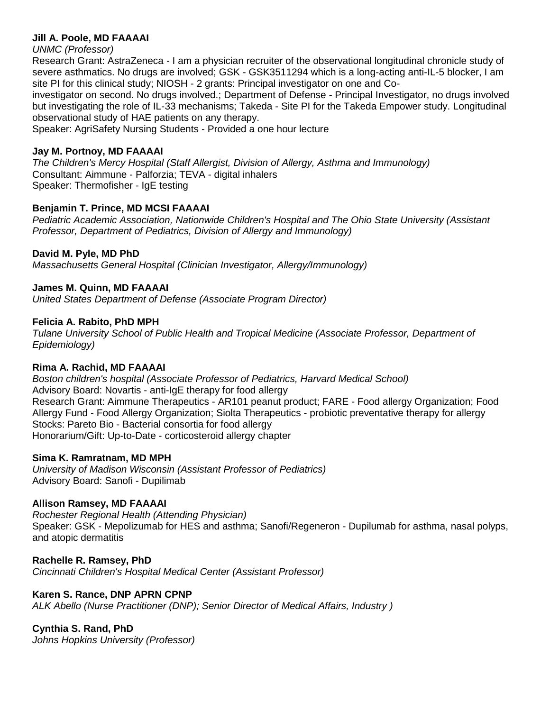### **Jill A. Poole, MD FAAAAI**

#### *UNMC (Professor)*

Research Grant: AstraZeneca - I am a physician recruiter of the observational longitudinal chronicle study of severe asthmatics. No drugs are involved; GSK - GSK3511294 which is a long-acting anti-IL-5 blocker, I am site PI for this clinical study; NIOSH - 2 grants: Principal investigator on one and Co-

investigator on second. No drugs involved.; Department of Defense - Principal Investigator, no drugs involved but investigating the role of IL-33 mechanisms; Takeda - Site PI for the Takeda Empower study. Longitudinal observational study of HAE patients on any therapy.

Speaker: AgriSafety Nursing Students - Provided a one hour lecture

### **Jay M. Portnoy, MD FAAAAI**

*The Children's Mercy Hospital (Staff Allergist, Division of Allergy, Asthma and Immunology)* Consultant: Aimmune - Palforzia; TEVA - digital inhalers Speaker: Thermofisher - IgE testing

# **Benjamin T. Prince, MD MCSI FAAAAI**

*Pediatric Academic Association, Nationwide Children's Hospital and The Ohio State University (Assistant Professor, Department of Pediatrics, Division of Allergy and Immunology)*

### **David M. Pyle, MD PhD**

*Massachusetts General Hospital (Clinician Investigator, Allergy/Immunology)*

#### **James M. Quinn, MD FAAAAI**

*United States Department of Defense (Associate Program Director)*

#### **Felicia A. Rabito, PhD MPH**

*Tulane University School of Public Health and Tropical Medicine (Associate Professor, Department of Epidemiology)*

#### **Rima A. Rachid, MD FAAAAI**

*Boston children's hospital (Associate Professor of Pediatrics, Harvard Medical School)* Advisory Board: Novartis - anti-IgE therapy for food allergy Research Grant: Aimmune Therapeutics - AR101 peanut product; FARE - Food allergy Organization; Food Allergy Fund - Food Allergy Organization; Siolta Therapeutics - probiotic preventative therapy for allergy Stocks: Pareto Bio - Bacterial consortia for food allergy Honorarium/Gift: Up-to-Date - corticosteroid allergy chapter

#### **Sima K. Ramratnam, MD MPH**

*University of Madison Wisconsin (Assistant Professor of Pediatrics)* Advisory Board: Sanofi - Dupilimab

#### **Allison Ramsey, MD FAAAAI**

*Rochester Regional Health (Attending Physician)* Speaker: GSK - Mepolizumab for HES and asthma; Sanofi/Regeneron - Dupilumab for asthma, nasal polyps, and atopic dermatitis

**Rachelle R. Ramsey, PhD** *Cincinnati Children's Hospital Medical Center (Assistant Professor)*

#### **Karen S. Rance, DNP APRN CPNP**

*ALK Abello (Nurse Practitioner (DNP); Senior Director of Medical Affairs, Industry )*

# **Cynthia S. Rand, PhD**

*Johns Hopkins University (Professor)*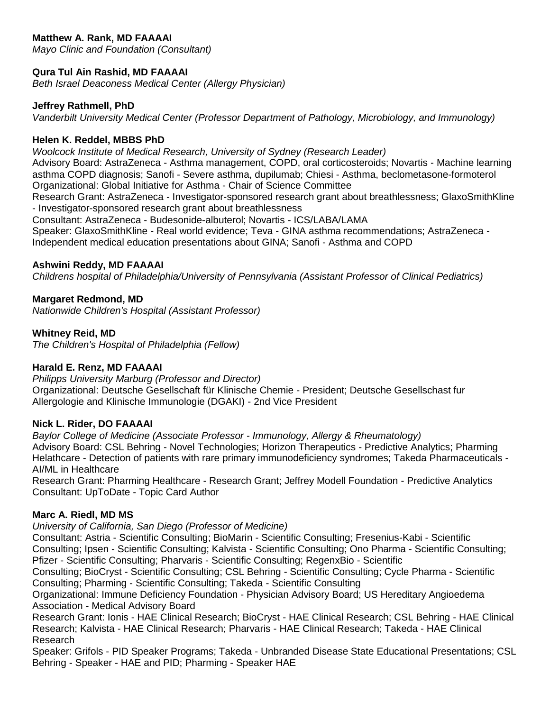# **Matthew A. Rank, MD FAAAAI**

*Mayo Clinic and Foundation (Consultant)*

# **Qura Tul Ain Rashid, MD FAAAAI**

*Beth Israel Deaconess Medical Center (Allergy Physician)*

#### **Jeffrey Rathmell, PhD**

*Vanderbilt University Medical Center (Professor Department of Pathology, Microbiology, and Immunology)*

### **Helen K. Reddel, MBBS PhD**

*Woolcock Institute of Medical Research, University of Sydney (Research Leader)*

Advisory Board: AstraZeneca - Asthma management, COPD, oral corticosteroids; Novartis - Machine learning asthma COPD diagnosis; Sanofi - Severe asthma, dupilumab; Chiesi - Asthma, beclometasone-formoterol Organizational: Global Initiative for Asthma - Chair of Science Committee

Research Grant: AstraZeneca - Investigator-sponsored research grant about breathlessness; GlaxoSmithKline - Investigator-sponsored research grant about breathlessness

Consultant: AstraZeneca - Budesonide-albuterol; Novartis - ICS/LABA/LAMA Speaker: GlaxoSmithKline - Real world evidence; Teva - GINA asthma recommendations; AstraZeneca - Independent medical education presentations about GINA; Sanofi - Asthma and COPD

#### **Ashwini Reddy, MD FAAAAI**

*Childrens hospital of Philadelphia/University of Pennsylvania (Assistant Professor of Clinical Pediatrics)*

### **Margaret Redmond, MD**

*Nationwide Children's Hospital (Assistant Professor)*

### **Whitney Reid, MD**

*The Children's Hospital of Philadelphia (Fellow)*

#### **Harald E. Renz, MD FAAAAI**

*Philipps University Marburg (Professor and Director)* Organizational: Deutsche Gesellschaft für Klinische Chemie - President; Deutsche Gesellschast fur Allergologie and Klinische Immunologie (DGAKI) - 2nd Vice President

#### **Nick L. Rider, DO FAAAAI**

*Baylor College of Medicine (Associate Professor - Immunology, Allergy & Rheumatology)* Advisory Board: CSL Behring - Novel Technologies; Horizon Therapeutics - Predictive Analytics; Pharming Helathcare - Detection of patients with rare primary immunodeficiency syndromes; Takeda Pharmaceuticals - AI/ML in Healthcare

Research Grant: Pharming Healthcare - Research Grant; Jeffrey Modell Foundation - Predictive Analytics Consultant: UpToDate - Topic Card Author

#### **Marc A. Riedl, MD MS**

*University of California, San Diego (Professor of Medicine)*

Consultant: Astria - Scientific Consulting; BioMarin - Scientific Consulting; Fresenius-Kabi - Scientific Consulting; Ipsen - Scientific Consulting; Kalvista - Scientific Consulting; Ono Pharma - Scientific Consulting; Pfizer - Scientific Consulting; Pharvaris - Scientific Consulting; RegenxBio - Scientific

Consulting; BioCryst - Scientific Consulting; CSL Behring - Scientific Consulting; Cycle Pharma - Scientific Consulting; Pharming - Scientific Consulting; Takeda - Scientific Consulting

Organizational: Immune Deficiency Foundation - Physician Advisory Board; US Hereditary Angioedema Association - Medical Advisory Board

Research Grant: Ionis - HAE Clinical Research; BioCryst - HAE Clinical Research; CSL Behring - HAE Clinical Research; Kalvista - HAE Clinical Research; Pharvaris - HAE Clinical Research; Takeda - HAE Clinical Research

Speaker: Grifols - PID Speaker Programs; Takeda - Unbranded Disease State Educational Presentations; CSL Behring - Speaker - HAE and PID; Pharming - Speaker HAE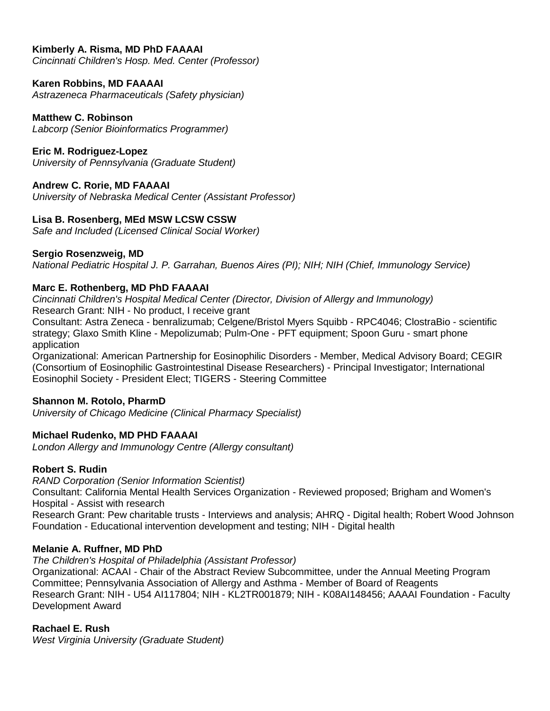### **Kimberly A. Risma, MD PhD FAAAAI**

*Cincinnati Children's Hosp. Med. Center (Professor)*

#### **Karen Robbins, MD FAAAAI**

*Astrazeneca Pharmaceuticals (Safety physician)*

#### **Matthew C. Robinson**

*Labcorp (Senior Bioinformatics Programmer)*

#### **Eric M. Rodriguez-Lopez**

*University of Pennsylvania (Graduate Student)*

#### **Andrew C. Rorie, MD FAAAAI**

*University of Nebraska Medical Center (Assistant Professor)*

#### **Lisa B. Rosenberg, MEd MSW LCSW CSSW**

*Safe and Included (Licensed Clinical Social Worker)*

#### **Sergio Rosenzweig, MD**

*National Pediatric Hospital J. P. Garrahan, Buenos Aires (PI); NIH; NIH (Chief, Immunology Service)*

#### **Marc E. Rothenberg, MD PhD FAAAAI**

*Cincinnati Children's Hospital Medical Center (Director, Division of Allergy and Immunology)* Research Grant: NIH - No product, I receive grant

Consultant: Astra Zeneca - benralizumab; Celgene/Bristol Myers Squibb - RPC4046; ClostraBio - scientific strategy; Glaxo Smith Kline - Mepolizumab; Pulm-One - PFT equipment; Spoon Guru - smart phone application

Organizational: American Partnership for Eosinophilic Disorders - Member, Medical Advisory Board; CEGIR (Consortium of Eosinophilic Gastrointestinal Disease Researchers) - Principal Investigator; International Eosinophil Society - President Elect; TIGERS - Steering Committee

#### **Shannon M. Rotolo, PharmD**

*University of Chicago Medicine (Clinical Pharmacy Specialist)*

#### **Michael Rudenko, MD PHD FAAAAI**

*London Allergy and Immunology Centre (Allergy consultant)*

#### **Robert S. Rudin**

*RAND Corporation (Senior Information Scientist)*

Consultant: California Mental Health Services Organization - Reviewed proposed; Brigham and Women's Hospital - Assist with research

Research Grant: Pew charitable trusts - Interviews and analysis; AHRQ - Digital health; Robert Wood Johnson Foundation - Educational intervention development and testing; NIH - Digital health

#### **Melanie A. Ruffner, MD PhD**

*The Children's Hospital of Philadelphia (Assistant Professor)*

Organizational: ACAAI - Chair of the Abstract Review Subcommittee, under the Annual Meeting Program Committee; Pennsylvania Association of Allergy and Asthma - Member of Board of Reagents Research Grant: NIH - U54 AI117804; NIH - KL2TR001879; NIH - K08AI148456; AAAAI Foundation - Faculty Development Award

#### **Rachael E. Rush**

*West Virginia University (Graduate Student)*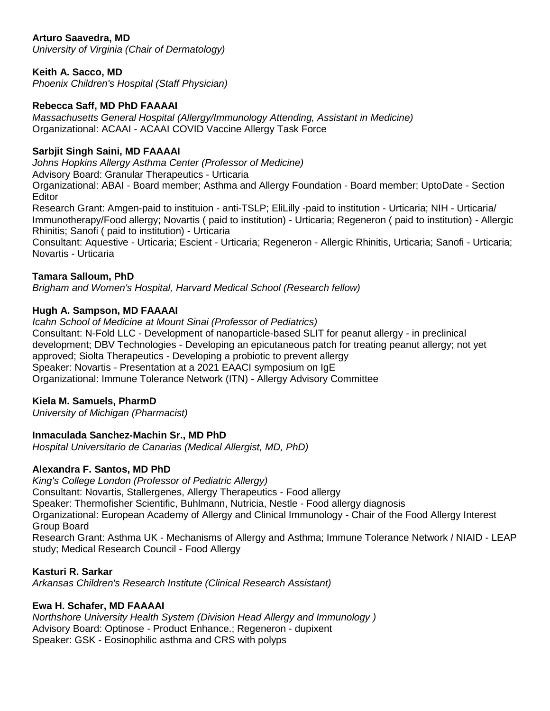# **Arturo Saavedra, MD**

*University of Virginia (Chair of Dermatology)*

## **Keith A. Sacco, MD**

*Phoenix Children's Hospital (Staff Physician)*

#### **Rebecca Saff, MD PhD FAAAAI**

*Massachusetts General Hospital (Allergy/Immunology Attending, Assistant in Medicine)* Organizational: ACAAI - ACAAI COVID Vaccine Allergy Task Force

### **Sarbjit Singh Saini, MD FAAAAI**

*Johns Hopkins Allergy Asthma Center (Professor of Medicine)* Advisory Board: Granular Therapeutics - Urticaria Organizational: ABAI - Board member; Asthma and Allergy Foundation - Board member; UptoDate - Section **Editor** 

Research Grant: Amgen-paid to instituion - anti-TSLP; EliLilly -paid to institution - Urticaria; NIH - Urticaria/ Immunotherapy/Food allergy; Novartis ( paid to institution) - Urticaria; Regeneron ( paid to institution) - Allergic Rhinitis; Sanofi ( paid to institution) - Urticaria

Consultant: Aquestive - Urticaria; Escient - Urticaria; Regeneron - Allergic Rhinitis, Urticaria; Sanofi - Urticaria; Novartis - Urticaria

#### **Tamara Salloum, PhD**

*Brigham and Women's Hospital, Harvard Medical School (Research fellow)*

#### **Hugh A. Sampson, MD FAAAAI**

*Icahn School of Medicine at Mount Sinai (Professor of Pediatrics)* Consultant: N-Fold LLC - Development of nanoparticle-based SLIT for peanut allergy - in preclinical development; DBV Technologies - Developing an epicutaneous patch for treating peanut allergy; not yet approved; Siolta Therapeutics - Developing a probiotic to prevent allergy Speaker: Novartis - Presentation at a 2021 EAACI symposium on IgE Organizational: Immune Tolerance Network (ITN) - Allergy Advisory Committee

#### **Kiela M. Samuels, PharmD**

*University of Michigan (Pharmacist)*

#### **Inmaculada Sanchez-Machin Sr., MD PhD**

*Hospital Universitario de Canarias (Medical Allergist, MD, PhD)*

#### **Alexandra F. Santos, MD PhD**

*King's College London (Professor of Pediatric Allergy)* Consultant: Novartis, Stallergenes, Allergy Therapeutics - Food allergy Speaker: Thermofisher Scientific, Buhlmann, Nutricia, Nestle - Food allergy diagnosis Organizational: European Academy of Allergy and Clinical Immunology - Chair of the Food Allergy Interest Group Board Research Grant: Asthma UK - Mechanisms of Allergy and Asthma; Immune Tolerance Network / NIAID - LEAP study; Medical Research Council - Food Allergy

#### **Kasturi R. Sarkar**

*Arkansas Children's Research Institute (Clinical Research Assistant)*

#### **Ewa H. Schafer, MD FAAAAI**

*Northshore University Health System (Division Head Allergy and Immunology )* Advisory Board: Optinose - Product Enhance.; Regeneron - dupixent Speaker: GSK - Eosinophilic asthma and CRS with polyps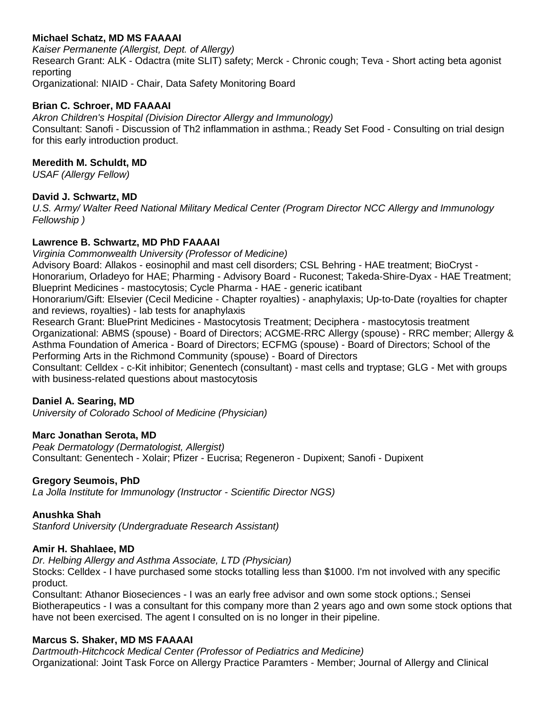# **Michael Schatz, MD MS FAAAAI**

*Kaiser Permanente (Allergist, Dept. of Allergy)* Research Grant: ALK - Odactra (mite SLIT) safety; Merck - Chronic cough; Teva - Short acting beta agonist reporting Organizational: NIAID - Chair, Data Safety Monitoring Board

#### **Brian C. Schroer, MD FAAAAI**

*Akron Children's Hospital (Division Director Allergy and Immunology)* Consultant: Sanofi - Discussion of Th2 inflammation in asthma.; Ready Set Food - Consulting on trial design for this early introduction product.

#### **Meredith M. Schuldt, MD**

*USAF (Allergy Fellow)*

#### **David J. Schwartz, MD**

*U.S. Army/ Walter Reed National Military Medical Center (Program Director NCC Allergy and Immunology Fellowship )*

### **Lawrence B. Schwartz, MD PhD FAAAAI**

*Virginia Commonwealth University (Professor of Medicine)* Advisory Board: Allakos - eosinophil and mast cell disorders; CSL Behring - HAE treatment; BioCryst - Honorarium, Orladeyo for HAE; Pharming - Advisory Board - Ruconest; Takeda-Shire-Dyax - HAE Treatment; Blueprint Medicines - mastocytosis; Cycle Pharma - HAE - generic icatibant Honorarium/Gift: Elsevier (Cecil Medicine - Chapter royalties) - anaphylaxis; Up-to-Date (royalties for chapter and reviews, royalties) - lab tests for anaphylaxis

Research Grant: BluePrint Medicines - Mastocytosis Treatment; Deciphera - mastocytosis treatment Organizational: ABMS (spouse) - Board of Directors; ACGME-RRC Allergy (spouse) - RRC member; Allergy & Asthma Foundation of America - Board of Directors; ECFMG (spouse) - Board of Directors; School of the Performing Arts in the Richmond Community (spouse) - Board of Directors

Consultant: Celldex - c-Kit inhibitor; Genentech (consultant) - mast cells and tryptase; GLG - Met with groups with business-related questions about mastocytosis

#### **Daniel A. Searing, MD**

*University of Colorado School of Medicine (Physician)*

#### **Marc Jonathan Serota, MD**

*Peak Dermatology (Dermatologist, Allergist)* Consultant: Genentech - Xolair; Pfizer - Eucrisa; Regeneron - Dupixent; Sanofi - Dupixent

# **Gregory Seumois, PhD**

*La Jolla Institute for Immunology (Instructor - Scientific Director NGS)*

#### **Anushka Shah**

*Stanford University (Undergraduate Research Assistant)*

#### **Amir H. Shahlaee, MD**

*Dr. Helbing Allergy and Asthma Associate, LTD (Physician)*

Stocks: Celldex - I have purchased some stocks totalling less than \$1000. I'm not involved with any specific product.

Consultant: Athanor Bioseciences - I was an early free advisor and own some stock options.; Sensei Biotherapeutics - I was a consultant for this company more than 2 years ago and own some stock options that have not been exercised. The agent I consulted on is no longer in their pipeline.

#### **Marcus S. Shaker, MD MS FAAAAI**

*Dartmouth-Hitchcock Medical Center (Professor of Pediatrics and Medicine)* Organizational: Joint Task Force on Allergy Practice Paramters - Member; Journal of Allergy and Clinical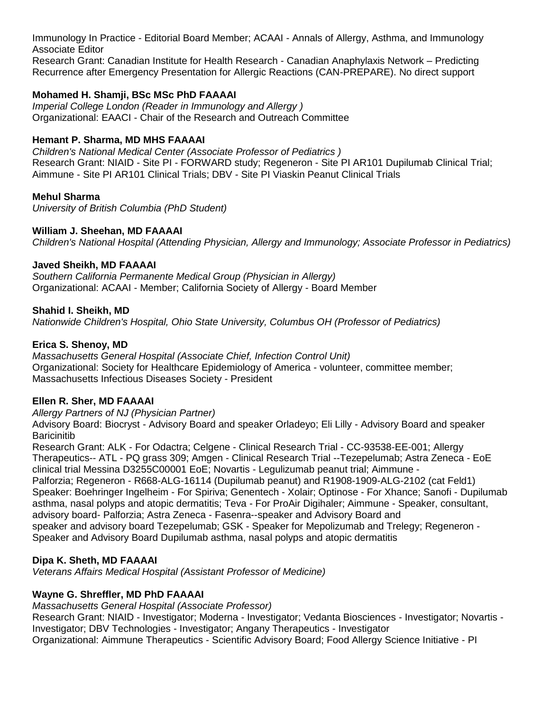Immunology In Practice - Editorial Board Member; ACAAI - Annals of Allergy, Asthma, and Immunology Associate Editor

Research Grant: Canadian Institute for Health Research - Canadian Anaphylaxis Network – Predicting Recurrence after Emergency Presentation for Allergic Reactions (CAN-PREPARE). No direct support

# **Mohamed H. Shamji, BSc MSc PhD FAAAAI**

*Imperial College London (Reader in Immunology and Allergy )* Organizational: EAACI - Chair of the Research and Outreach Committee

## **Hemant P. Sharma, MD MHS FAAAAI**

*Children's National Medical Center (Associate Professor of Pediatrics )* Research Grant: NIAID - Site PI - FORWARD study; Regeneron - Site PI AR101 Dupilumab Clinical Trial; Aimmune - Site PI AR101 Clinical Trials; DBV - Site PI Viaskin Peanut Clinical Trials

### **Mehul Sharma**

*University of British Columbia (PhD Student)*

### **William J. Sheehan, MD FAAAAI**

*Children's National Hospital (Attending Physician, Allergy and Immunology; Associate Professor in Pediatrics)*

#### **Javed Sheikh, MD FAAAAI**

*Southern California Permanente Medical Group (Physician in Allergy)* Organizational: ACAAI - Member; California Society of Allergy - Board Member

### **Shahid I. Sheikh, MD**

*Nationwide Children's Hospital, Ohio State University, Columbus OH (Professor of Pediatrics)*

### **Erica S. Shenoy, MD**

*Massachusetts General Hospital (Associate Chief, Infection Control Unit)* Organizational: Society for Healthcare Epidemiology of America - volunteer, committee member; Massachusetts Infectious Diseases Society - President

#### **Ellen R. Sher, MD FAAAAI**

*Allergy Partners of NJ (Physician Partner)*

Advisory Board: Biocryst - Advisory Board and speaker Orladeyo; Eli Lilly - Advisory Board and speaker **Baricinitib** 

Research Grant: ALK - For Odactra; Celgene - Clinical Research Trial - CC-93538-EE-001; Allergy Therapeutics-- ATL - PQ grass 309; Amgen - Clinical Research Trial --Tezepelumab; Astra Zeneca - EoE clinical trial Messina D3255C00001 EoE; Novartis - Legulizumab peanut trial; Aimmune -

Palforzia; Regeneron - R668-ALG-16114 (Dupilumab peanut) and R1908-1909-ALG-2102 (cat Feld1) Speaker: Boehringer Ingelheim - For Spiriva; Genentech - Xolair; Optinose - For Xhance; Sanofi - Dupilumab asthma, nasal polyps and atopic dermatitis; Teva - For ProAir Digihaler; Aimmune - Speaker, consultant, advisory board- Palforzia; Astra Zeneca - Fasenra--speaker and Advisory Board and speaker and advisory board Tezepelumab; GSK - Speaker for Mepolizumab and Trelegy; Regeneron - Speaker and Advisory Board Dupilumab asthma, nasal polyps and atopic dermatitis

# **Dipa K. Sheth, MD FAAAAI**

*Veterans Affairs Medical Hospital (Assistant Professor of Medicine)*

# **Wayne G. Shreffler, MD PhD FAAAAI**

*Massachusetts General Hospital (Associate Professor)* Research Grant: NIAID - Investigator; Moderna - Investigator; Vedanta Biosciences - Investigator; Novartis - Investigator; DBV Technologies - Investigator; Angany Therapeutics - Investigator Organizational: Aimmune Therapeutics - Scientific Advisory Board; Food Allergy Science Initiative - PI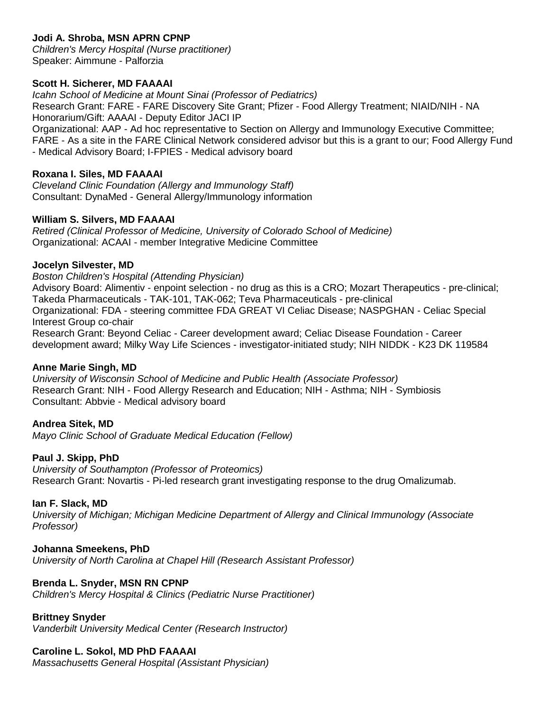# **Jodi A. Shroba, MSN APRN CPNP**

*Children's Mercy Hospital (Nurse practitioner)* Speaker: Aimmune - Palforzia

#### **Scott H. Sicherer, MD FAAAAI**

*Icahn School of Medicine at Mount Sinai (Professor of Pediatrics)* Research Grant: FARE - FARE Discovery Site Grant; Pfizer - Food Allergy Treatment; NIAID/NIH - NA Honorarium/Gift: AAAAI - Deputy Editor JACI IP Organizational: AAP - Ad hoc representative to Section on Allergy and Immunology Executive Committee; FARE - As a site in the FARE Clinical Network considered advisor but this is a grant to our; Food Allergy Fund - Medical Advisory Board; I-FPIES - Medical advisory board

#### **Roxana I. Siles, MD FAAAAI**

*Cleveland Clinic Foundation (Allergy and Immunology Staff)* Consultant: DynaMed - General Allergy/Immunology information

#### **William S. Silvers, MD FAAAAI**

*Retired (Clinical Professor of Medicine, University of Colorado School of Medicine)* Organizational: ACAAI - member Integrative Medicine Committee

#### **Jocelyn Silvester, MD**

*Boston Children's Hospital (Attending Physician)*

Advisory Board: Alimentiv - enpoint selection - no drug as this is a CRO; Mozart Therapeutics - pre-clinical; Takeda Pharmaceuticals - TAK-101, TAK-062; Teva Pharmaceuticals - pre-clinical Organizational: FDA - steering committee FDA GREAT VI Celiac Disease; NASPGHAN - Celiac Special Interest Group co-chair

Research Grant: Beyond Celiac - Career development award; Celiac Disease Foundation - Career development award; Milky Way Life Sciences - investigator-initiated study; NIH NIDDK - K23 DK 119584

#### **Anne Marie Singh, MD**

*University of Wisconsin School of Medicine and Public Health (Associate Professor)* Research Grant: NIH - Food Allergy Research and Education; NIH - Asthma; NIH - Symbiosis Consultant: Abbvie - Medical advisory board

#### **Andrea Sitek, MD**

*Mayo Clinic School of Graduate Medical Education (Fellow)*

#### **Paul J. Skipp, PhD**

*University of Southampton (Professor of Proteomics)* Research Grant: Novartis - Pi-led research grant investigating response to the drug Omalizumab.

#### **Ian F. Slack, MD**

*University of Michigan; Michigan Medicine Department of Allergy and Clinical Immunology (Associate Professor)*

#### **Johanna Smeekens, PhD**

*University of North Carolina at Chapel Hill (Research Assistant Professor)*

#### **Brenda L. Snyder, MSN RN CPNP**

*Children's Mercy Hospital & Clinics (Pediatric Nurse Practitioner)*

#### **Brittney Snyder**

*Vanderbilt University Medical Center (Research Instructor)*

#### **Caroline L. Sokol, MD PhD FAAAAI**

*Massachusetts General Hospital (Assistant Physician)*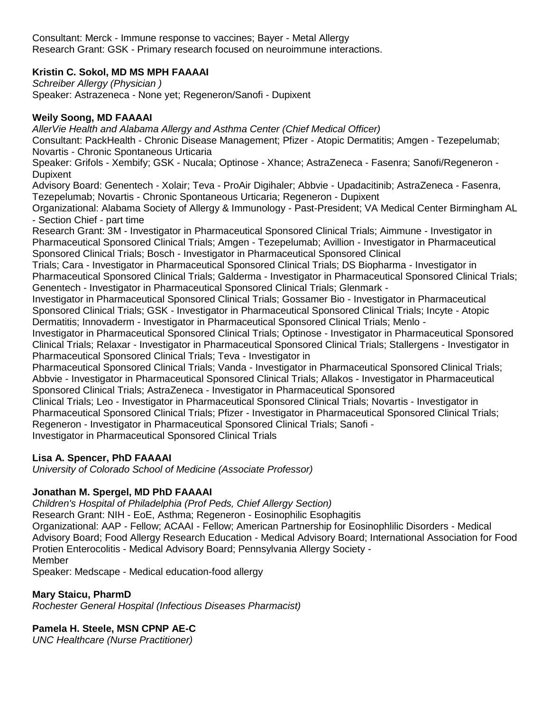Consultant: Merck - Immune response to vaccines; Bayer - Metal Allergy Research Grant: GSK - Primary research focused on neuroimmune interactions.

# **Kristin C. Sokol, MD MS MPH FAAAAI**

*Schreiber Allergy (Physician )* Speaker: Astrazeneca - None yet; Regeneron/Sanofi - Dupixent

### **Weily Soong, MD FAAAAI**

*AllerVie Health and Alabama Allergy and Asthma Center (Chief Medical Officer)* Consultant: PackHealth - Chronic Disease Management; Pfizer - Atopic Dermatitis; Amgen - Tezepelumab; Novartis - Chronic Spontaneous Urticaria

Speaker: Grifols - Xembify; GSK - Nucala; Optinose - Xhance; AstraZeneca - Fasenra; Sanofi/Regeneron - Dupixent

Advisory Board: Genentech - Xolair; Teva - ProAir Digihaler; Abbvie - Upadacitinib; AstraZeneca - Fasenra, Tezepelumab; Novartis - Chronic Spontaneous Urticaria; Regeneron - Dupixent

Organizational: Alabama Society of Allergy & Immunology - Past-President; VA Medical Center Birmingham AL - Section Chief - part time

Research Grant: 3M - Investigator in Pharmaceutical Sponsored Clinical Trials; Aimmune - Investigator in Pharmaceutical Sponsored Clinical Trials; Amgen - Tezepelumab; Avillion - Investigator in Pharmaceutical Sponsored Clinical Trials; Bosch - Investigator in Pharmaceutical Sponsored Clinical

Trials; Cara - Investigator in Pharmaceutical Sponsored Clinical Trials; DS Biopharma - Investigator in Pharmaceutical Sponsored Clinical Trials; Galderma - Investigator in Pharmaceutical Sponsored Clinical Trials; Genentech - Investigator in Pharmaceutical Sponsored Clinical Trials; Glenmark -

Investigator in Pharmaceutical Sponsored Clinical Trials; Gossamer Bio - Investigator in Pharmaceutical Sponsored Clinical Trials; GSK - Investigator in Pharmaceutical Sponsored Clinical Trials; Incyte - Atopic Dermatitis; Innovaderm - Investigator in Pharmaceutical Sponsored Clinical Trials; Menlo -

Investigator in Pharmaceutical Sponsored Clinical Trials; Optinose - Investigator in Pharmaceutical Sponsored Clinical Trials; Relaxar - Investigator in Pharmaceutical Sponsored Clinical Trials; Stallergens - Investigator in Pharmaceutical Sponsored Clinical Trials; Teva - Investigator in

Pharmaceutical Sponsored Clinical Trials; Vanda - Investigator in Pharmaceutical Sponsored Clinical Trials; Abbvie - Investigator in Pharmaceutical Sponsored Clinical Trials; Allakos - Investigator in Pharmaceutical Sponsored Clinical Trials; AstraZeneca - Investigator in Pharmaceutical Sponsored

Clinical Trials; Leo - Investigator in Pharmaceutical Sponsored Clinical Trials; Novartis - Investigator in Pharmaceutical Sponsored Clinical Trials; Pfizer - Investigator in Pharmaceutical Sponsored Clinical Trials; Regeneron - Investigator in Pharmaceutical Sponsored Clinical Trials; Sanofi - Investigator in Pharmaceutical Sponsored Clinical Trials

# **Lisa A. Spencer, PhD FAAAAI**

*University of Colorado School of Medicine (Associate Professor)*

# **Jonathan M. Spergel, MD PhD FAAAAI**

*Children's Hospital of Philadelphia (Prof Peds, Chief Allergy Section)*

Research Grant: NIH - EoE, Asthma; Regeneron - Eosinophilic Esophagitis

Organizational: AAP - Fellow; ACAAI - Fellow; American Partnership for Eosinophlilic Disorders - Medical Advisory Board; Food Allergy Research Education - Medical Advisory Board; International Association for Food Protien Enterocolitis - Medical Advisory Board; Pennsylvania Allergy Society - Member

Speaker: Medscape - Medical education-food allergy

# **Mary Staicu, PharmD**

*Rochester General Hospital (Infectious Diseases Pharmacist)*

# **Pamela H. Steele, MSN CPNP AE-C**

*UNC Healthcare (Nurse Practitioner)*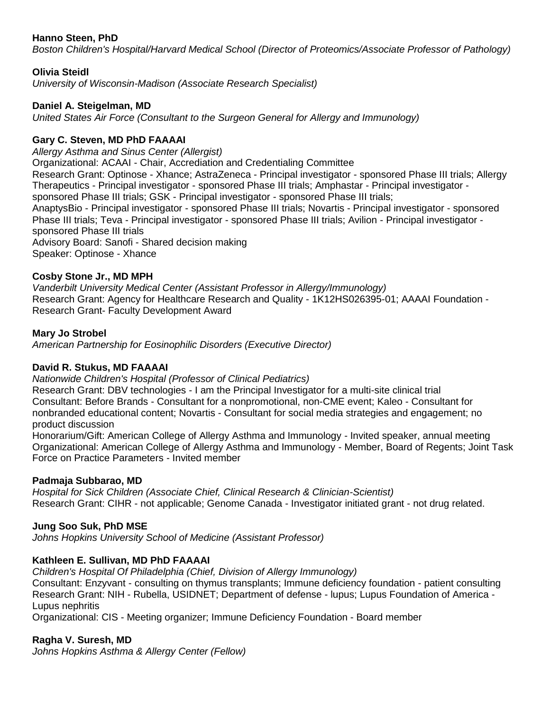### **Hanno Steen, PhD**

*Boston Children's Hospital/Harvard Medical School (Director of Proteomics/Associate Professor of Pathology)*

### **Olivia Steidl**

*University of Wisconsin-Madison (Associate Research Specialist)*

### **Daniel A. Steigelman, MD**

*United States Air Force (Consultant to the Surgeon General for Allergy and Immunology)*

### **Gary C. Steven, MD PhD FAAAAI**

*Allergy Asthma and Sinus Center (Allergist)*

Organizational: ACAAI - Chair, Accrediation and Credentialing Committee

Research Grant: Optinose - Xhance; AstraZeneca - Principal investigator - sponsored Phase III trials; Allergy Therapeutics - Principal investigator - sponsored Phase III trials; Amphastar - Principal investigator sponsored Phase III trials; GSK - Principal investigator - sponsored Phase III trials;

AnaptysBio - Principal investigator - sponsored Phase III trials; Novartis - Principal investigator - sponsored Phase III trials; Teva - Principal investigator - sponsored Phase III trials; Avilion - Principal investigator sponsored Phase III trials

Advisory Board: Sanofi - Shared decision making Speaker: Optinose - Xhance

#### **Cosby Stone Jr., MD MPH**

*Vanderbilt University Medical Center (Assistant Professor in Allergy/Immunology)* Research Grant: Agency for Healthcare Research and Quality - 1K12HS026395-01; AAAAI Foundation - Research Grant- Faculty Development Award

#### **Mary Jo Strobel**

*American Partnership for Eosinophilic Disorders (Executive Director)*

#### **David R. Stukus, MD FAAAAI**

*Nationwide Children's Hospital (Professor of Clinical Pediatrics)*

Research Grant: DBV technologies - I am the Principal Investigator for a multi-site clinical trial Consultant: Before Brands - Consultant for a nonpromotional, non-CME event; Kaleo - Consultant for nonbranded educational content; Novartis - Consultant for social media strategies and engagement; no product discussion

Honorarium/Gift: American College of Allergy Asthma and Immunology - Invited speaker, annual meeting Organizational: American College of Allergy Asthma and Immunology - Member, Board of Regents; Joint Task Force on Practice Parameters - Invited member

#### **Padmaja Subbarao, MD**

*Hospital for Sick Children (Associate Chief, Clinical Research & Clinician-Scientist)* Research Grant: CIHR - not applicable; Genome Canada - Investigator initiated grant - not drug related.

#### **Jung Soo Suk, PhD MSE**

*Johns Hopkins University School of Medicine (Assistant Professor)*

#### **Kathleen E. Sullivan, MD PhD FAAAAI**

*Children's Hospital Of Philadelphia (Chief, Division of Allergy Immunology)* Consultant: Enzyvant - consulting on thymus transplants; Immune deficiency foundation - patient consulting Research Grant: NIH - Rubella, USIDNET; Department of defense - lupus; Lupus Foundation of America - Lupus nephritis

Organizational: CIS - Meeting organizer; Immune Deficiency Foundation - Board member

#### **Ragha V. Suresh, MD**

*Johns Hopkins Asthma & Allergy Center (Fellow)*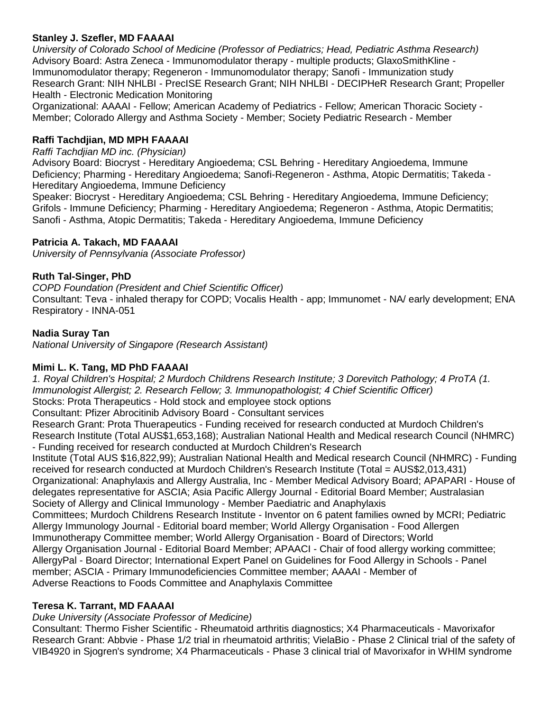## **Stanley J. Szefler, MD FAAAAI**

*University of Colorado School of Medicine (Professor of Pediatrics; Head, Pediatric Asthma Research)* Advisory Board: Astra Zeneca - Immunomodulator therapy - multiple products; GlaxoSmithKline - Immunomodulator therapy; Regeneron - Immunomodulator therapy; Sanofi - Immunization study Research Grant: NIH NHLBI - PrecISE Research Grant; NIH NHLBI - DECIPHeR Research Grant; Propeller Health - Electronic Medication Monitoring

Organizational: AAAAI - Fellow; American Academy of Pediatrics - Fellow; American Thoracic Society - Member; Colorado Allergy and Asthma Society - Member; Society Pediatric Research - Member

### **Raffi Tachdjian, MD MPH FAAAAI**

#### *Raffi Tachdjian MD inc. (Physician)*

Advisory Board: Biocryst - Hereditary Angioedema; CSL Behring - Hereditary Angioedema, Immune Deficiency; Pharming - Hereditary Angioedema; Sanofi-Regeneron - Asthma, Atopic Dermatitis; Takeda - Hereditary Angioedema, Immune Deficiency

Speaker: Biocryst - Hereditary Angioedema; CSL Behring - Hereditary Angioedema, Immune Deficiency; Grifols - Immune Deficiency; Pharming - Hereditary Angioedema; Regeneron - Asthma, Atopic Dermatitis; Sanofi - Asthma, Atopic Dermatitis; Takeda - Hereditary Angioedema, Immune Deficiency

#### **Patricia A. Takach, MD FAAAAI**

*University of Pennsylvania (Associate Professor)*

#### **Ruth Tal-Singer, PhD**

*COPD Foundation (President and Chief Scientific Officer)* Consultant: Teva - inhaled therapy for COPD; Vocalis Health - app; Immunomet - NA/ early development; ENA Respiratory - INNA-051

### **Nadia Suray Tan**

*National University of Singapore (Research Assistant)*

#### **Mimi L. K. Tang, MD PhD FAAAAI**

*1. Royal Children's Hospital; 2 Murdoch Childrens Research Institute; 3 Dorevitch Pathology; 4 ProTA (1. Immunologist Allergist; 2. Research Fellow; 3. Immunopathologist; 4 Chief Scientific Officer)* Stocks: Prota Therapeutics - Hold stock and employee stock options Consultant: Pfizer Abrocitinib Advisory Board - Consultant services Research Grant: Prota Thuerapeutics - Funding received for research conducted at Murdoch Children's Research Institute (Total AUS\$1,653,168); Australian National Health and Medical research Council (NHMRC) - Funding received for research conducted at Murdoch Children's Research Institute (Total AUS \$16,822,99); Australian National Health and Medical research Council (NHMRC) - Funding received for research conducted at Murdoch Children's Research Institute (Total = AUS\$2,013,431) Organizational: Anaphylaxis and Allergy Australia, Inc - Member Medical Advisory Board; APAPARI - House of delegates representative for ASCIA; Asia Pacific Allergy Journal - Editorial Board Member; Australasian Society of Allergy and Clinical Immunology - Member Paediatric and Anaphylaxis Committees; Murdoch Childrens Research Institute - Inventor on 6 patent families owned by MCRI; Pediatric Allergy Immunology Journal - Editorial board member; World Allergy Organisation - Food Allergen Immunotherapy Committee member; World Allergy Organisation - Board of Directors; World Allergy Organisation Journal - Editorial Board Member; APAACI - Chair of food allergy working committee;

AllergyPal - Board Director; International Expert Panel on Guidelines for Food Allergy in Schools - Panel member; ASCIA - Primary Immunodeficiencies Committee member; AAAAI - Member of Adverse Reactions to Foods Committee and Anaphylaxis Committee

#### **Teresa K. Tarrant, MD FAAAAI**

#### *Duke University (Associate Professor of Medicine)*

Consultant: Thermo Fisher Scientific - Rheumatoid arthritis diagnostics; X4 Pharmaceuticals - Mavorixafor Research Grant: Abbvie - Phase 1/2 trial in rheumatoid arthritis; VielaBio - Phase 2 Clinical trial of the safety of VIB4920 in Sjogren's syndrome; X4 Pharmaceuticals - Phase 3 clinical trial of Mavorixafor in WHIM syndrome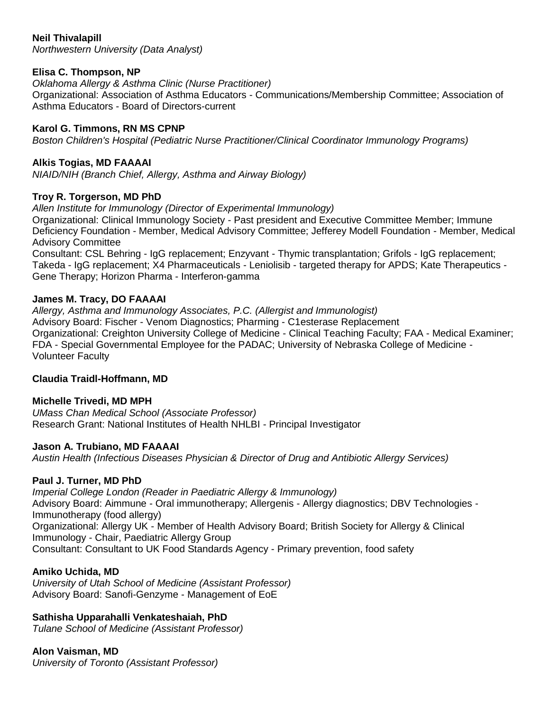### **Neil Thivalapill**

*Northwestern University (Data Analyst)*

# **Elisa C. Thompson, NP**

*Oklahoma Allergy & Asthma Clinic (Nurse Practitioner)*

Organizational: Association of Asthma Educators - Communications/Membership Committee; Association of Asthma Educators - Board of Directors-current

# **Karol G. Timmons, RN MS CPNP**

*Boston Children's Hospital (Pediatric Nurse Practitioner/Clinical Coordinator Immunology Programs)*

# **Alkis Togias, MD FAAAAI**

*NIAID/NIH (Branch Chief, Allergy, Asthma and Airway Biology)*

# **Troy R. Torgerson, MD PhD**

*Allen Institute for Immunology (Director of Experimental Immunology)*

Organizational: Clinical Immunology Society - Past president and Executive Committee Member; Immune Deficiency Foundation - Member, Medical Advisory Committee; Jefferey Modell Foundation - Member, Medical Advisory Committee

Consultant: CSL Behring - IgG replacement; Enzyvant - Thymic transplantation; Grifols - IgG replacement; Takeda - IgG replacement; X4 Pharmaceuticals - Leniolisib - targeted therapy for APDS; Kate Therapeutics - Gene Therapy; Horizon Pharma - Interferon-gamma

# **James M. Tracy, DO FAAAAI**

*Allergy, Asthma and Immunology Associates, P.C. (Allergist and Immunologist)* Advisory Board: Fischer - Venom Diagnostics; Pharming - C1esterase Replacement Organizational: Creighton University College of Medicine - Clinical Teaching Faculty; FAA - Medical Examiner; FDA - Special Governmental Employee for the PADAC; University of Nebraska College of Medicine - Volunteer Faculty

# **Claudia Traidl-Hoffmann, MD**

# **Michelle Trivedi, MD MPH**

*UMass Chan Medical School (Associate Professor)* Research Grant: National Institutes of Health NHLBI - Principal Investigator

# **Jason A. Trubiano, MD FAAAAI**

*Austin Health (Infectious Diseases Physician & Director of Drug and Antibiotic Allergy Services)*

# **Paul J. Turner, MD PhD**

*Imperial College London (Reader in Paediatric Allergy & Immunology)* Advisory Board: Aimmune - Oral immunotherapy; Allergenis - Allergy diagnostics; DBV Technologies - Immunotherapy (food allergy) Organizational: Allergy UK - Member of Health Advisory Board; British Society for Allergy & Clinical Immunology - Chair, Paediatric Allergy Group Consultant: Consultant to UK Food Standards Agency - Primary prevention, food safety

# **Amiko Uchida, MD**

*University of Utah School of Medicine (Assistant Professor)* Advisory Board: Sanofi-Genzyme - Management of EoE

# **Sathisha Upparahalli Venkateshaiah, PhD**

*Tulane School of Medicine (Assistant Professor)*

# **Alon Vaisman, MD**

*University of Toronto (Assistant Professor)*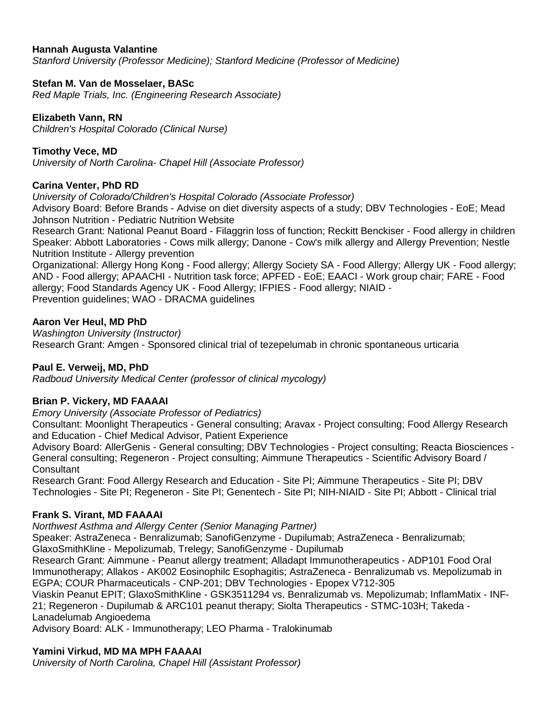### **Hannah Augusta Valantine**

*Stanford University (Professor Medicine); Stanford Medicine (Professor of Medicine)*

### **Stefan M. Van de Mosselaer, BASc**

*Red Maple Trials, Inc. (Engineering Research Associate)*

### **Elizabeth Vann, RN**

*Children's Hospital Colorado (Clinical Nurse)*

### **Timothy Vece, MD**

*University of North Carolina- Chapel Hill (Associate Professor)*

### **Carina Venter, PhD RD**

*University of Colorado/Children's Hospital Colorado (Associate Professor)*

Advisory Board: Before Brands - Advise on diet diversity aspects of a study; DBV Technologies - EoE; Mead Johnson Nutrition - Pediatric Nutrition Website

Research Grant: National Peanut Board - Filaggrin loss of function; Reckitt Benckiser - Food allergy in children Speaker: Abbott Laboratories - Cows milk allergy; Danone - Cow's milk allergy and Allergy Prevention; Nestle Nutrition Institute - Allergy prevention

Organizational: Allergy Hong Kong - Food allergy; Allergy Society SA - Food Allergy; Allergy UK - Food allergy; AND - Food allergy; APAACHI - Nutrition task force; APFED - EoE; EAACI - Work group chair; FARE - Food allergy; Food Standards Agency UK - Food Allergy; IFPIES - Food allergy; NIAID - Prevention guidelines; WAO - DRACMA guidelines

**Aaron Ver Heul, MD PhD**

*Washington University (Instructor)* Research Grant: Amgen - Sponsored clinical trial of tezepelumab in chronic spontaneous urticaria

#### **Paul E. Verweij, MD, PhD**

*Radboud University Medical Center (professor of clinical mycology)*

#### **Brian P. Vickery, MD FAAAAI**

*Emory University (Associate Professor of Pediatrics)*

Consultant: Moonlight Therapeutics - General consulting; Aravax - Project consulting; Food Allergy Research and Education - Chief Medical Advisor, Patient Experience

Advisory Board: AllerGenis - General consulting; DBV Technologies - Project consulting; Reacta Biosciences - General consulting; Regeneron - Project consulting; Aimmune Therapeutics - Scientific Advisory Board / **Consultant** 

Research Grant: Food Allergy Research and Education - Site PI; Aimmune Therapeutics - Site PI; DBV Technologies - Site PI; Regeneron - Site PI; Genentech - Site PI; NIH-NIAID - Site PI; Abbott - Clinical trial

# **Frank S. Virant, MD FAAAAI**

*Northwest Asthma and Allergy Center (Senior Managing Partner)*

Speaker: AstraZeneca - Benralizumab; SanofiGenzyme - Dupilumab; AstraZeneca - Benralizumab; GlaxoSmithKline - Mepolizumab, Trelegy; SanofiGenzyme - Dupilumab

Research Grant: Aimmune - Peanut allergy treatment; Alladapt Immunotherapeutics - ADP101 Food Oral Immunotherapy; Allakos - AK002 Eosinophilc Esophagitis; AstraZeneca - Benralizumab vs. Mepolizumab in EGPA; COUR Pharmaceuticals - CNP-201; DBV Technologies - Epopex V712-305

Viaskin Peanut EPIT; GlaxoSmithKline - GSK3511294 vs. Benralizumab vs. Mepolizumab; InflamMatix - INF-21; Regeneron - Dupilumab & ARC101 peanut therapy; Siolta Therapeutics - STMC-103H; Takeda - Lanadelumab Angioedema

Advisory Board: ALK - Immunotherapy; LEO Pharma - Tralokinumab

#### **Yamini Virkud, MD MA MPH FAAAAI**

*University of North Carolina, Chapel Hill (Assistant Professor)*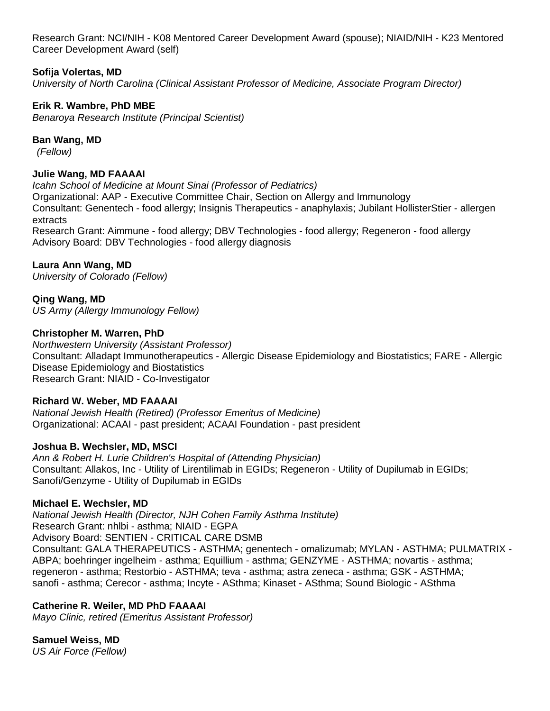Research Grant: NCI/NIH - K08 Mentored Career Development Award (spouse); NIAID/NIH - K23 Mentored Career Development Award (self)

### **Sofija Volertas, MD**

*University of North Carolina (Clinical Assistant Professor of Medicine, Associate Program Director)*

### **Erik R. Wambre, PhD MBE**

*Benaroya Research Institute (Principal Scientist)*

### **Ban Wang, MD**

*(Fellow)*

### **Julie Wang, MD FAAAAI**

*Icahn School of Medicine at Mount Sinai (Professor of Pediatrics)* Organizational: AAP - Executive Committee Chair, Section on Allergy and Immunology Consultant: Genentech - food allergy; Insignis Therapeutics - anaphylaxis; Jubilant HollisterStier - allergen extracts Research Grant: Aimmune - food allergy; DBV Technologies - food allergy; Regeneron - food allergy Advisory Board: DBV Technologies - food allergy diagnosis

### **Laura Ann Wang, MD**

*University of Colorado (Fellow)*

**Qing Wang, MD** *US Army (Allergy Immunology Fellow)*

#### **Christopher M. Warren, PhD**

*Northwestern University (Assistant Professor)* Consultant: Alladapt Immunotherapeutics - Allergic Disease Epidemiology and Biostatistics; FARE - Allergic Disease Epidemiology and Biostatistics Research Grant: NIAID - Co-Investigator

#### **Richard W. Weber, MD FAAAAI**

*National Jewish Health (Retired) (Professor Emeritus of Medicine)* Organizational: ACAAI - past president; ACAAI Foundation - past president

#### **Joshua B. Wechsler, MD, MSCI**

*Ann & Robert H. Lurie Children's Hospital of (Attending Physician)* Consultant: Allakos, Inc - Utility of Lirentilimab in EGIDs; Regeneron - Utility of Dupilumab in EGIDs; Sanofi/Genzyme - Utility of Dupilumab in EGIDs

#### **Michael E. Wechsler, MD**

*National Jewish Health (Director, NJH Cohen Family Asthma Institute)* Research Grant: nhlbi - asthma; NIAID - EGPA Advisory Board: SENTIEN - CRITICAL CARE DSMB Consultant: GALA THERAPEUTICS - ASTHMA; genentech - omalizumab; MYLAN - ASTHMA; PULMATRIX - ABPA; boehringer ingelheim - asthma; Equillium - asthma; GENZYME - ASTHMA; novartis - asthma; regeneron - asthma; Restorbio - ASTHMA; teva - asthma; astra zeneca - asthma; GSK - ASTHMA; sanofi - asthma; Cerecor - asthma; Incyte - ASthma; Kinaset - ASthma; Sound Biologic - ASthma

#### **Catherine R. Weiler, MD PhD FAAAAI**

*Mayo Clinic, retired (Emeritus Assistant Professor)*

# **Samuel Weiss, MD**

*US Air Force (Fellow)*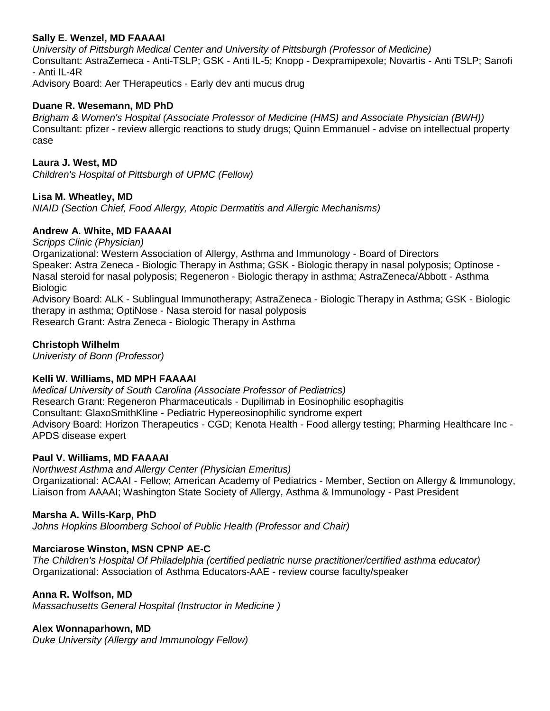#### **Sally E. Wenzel, MD FAAAAI**

*University of Pittsburgh Medical Center and University of Pittsburgh (Professor of Medicine)* Consultant: AstraZemeca - Anti-TSLP; GSK - Anti IL-5; Knopp - Dexpramipexole; Novartis - Anti TSLP; Sanofi - Anti IL-4R

Advisory Board: Aer THerapeutics - Early dev anti mucus drug

#### **Duane R. Wesemann, MD PhD**

*Brigham & Women's Hospital (Associate Professor of Medicine (HMS) and Associate Physician (BWH))* Consultant: pfizer - review allergic reactions to study drugs; Quinn Emmanuel - advise on intellectual property case

#### **Laura J. West, MD**

*Children's Hospital of Pittsburgh of UPMC (Fellow)*

#### **Lisa M. Wheatley, MD**

*NIAID (Section Chief, Food Allergy, Atopic Dermatitis and Allergic Mechanisms)*

#### **Andrew A. White, MD FAAAAI**

*Scripps Clinic (Physician)*

Organizational: Western Association of Allergy, Asthma and Immunology - Board of Directors Speaker: Astra Zeneca - Biologic Therapy in Asthma; GSK - Biologic therapy in nasal polyposis; Optinose - Nasal steroid for nasal polyposis; Regeneron - Biologic therapy in asthma; AstraZeneca/Abbott - Asthma Biologic

Advisory Board: ALK - Sublingual Immunotherapy; AstraZeneca - Biologic Therapy in Asthma; GSK - Biologic therapy in asthma; OptiNose - Nasa steroid for nasal polyposis Research Grant: Astra Zeneca - Biologic Therapy in Asthma

#### **Christoph Wilhelm**

*Univeristy of Bonn (Professor)*

# **Kelli W. Williams, MD MPH FAAAAI**

*Medical University of South Carolina (Associate Professor of Pediatrics)* Research Grant: Regeneron Pharmaceuticals - Dupilimab in Eosinophilic esophagitis Consultant: GlaxoSmithKline - Pediatric Hypereosinophilic syndrome expert Advisory Board: Horizon Therapeutics - CGD; Kenota Health - Food allergy testing; Pharming Healthcare Inc - APDS disease expert

#### **Paul V. Williams, MD FAAAAI**

*Northwest Asthma and Allergy Center (Physician Emeritus)* Organizational: ACAAI - Fellow; American Academy of Pediatrics - Member, Section on Allergy & Immunology, Liaison from AAAAI; Washington State Society of Allergy, Asthma & Immunology - Past President

#### **Marsha A. Wills-Karp, PhD**

*Johns Hopkins Bloomberg School of Public Health (Professor and Chair)*

#### **Marciarose Winston, MSN CPNP AE-C**

*The Children's Hospital Of Philadelphia (certified pediatric nurse practitioner/certified asthma educator)* Organizational: Association of Asthma Educators-AAE - review course faculty/speaker

#### **Anna R. Wolfson, MD**

*Massachusetts General Hospital (Instructor in Medicine )*

#### **Alex Wonnaparhown, MD**

*Duke University (Allergy and Immunology Fellow)*